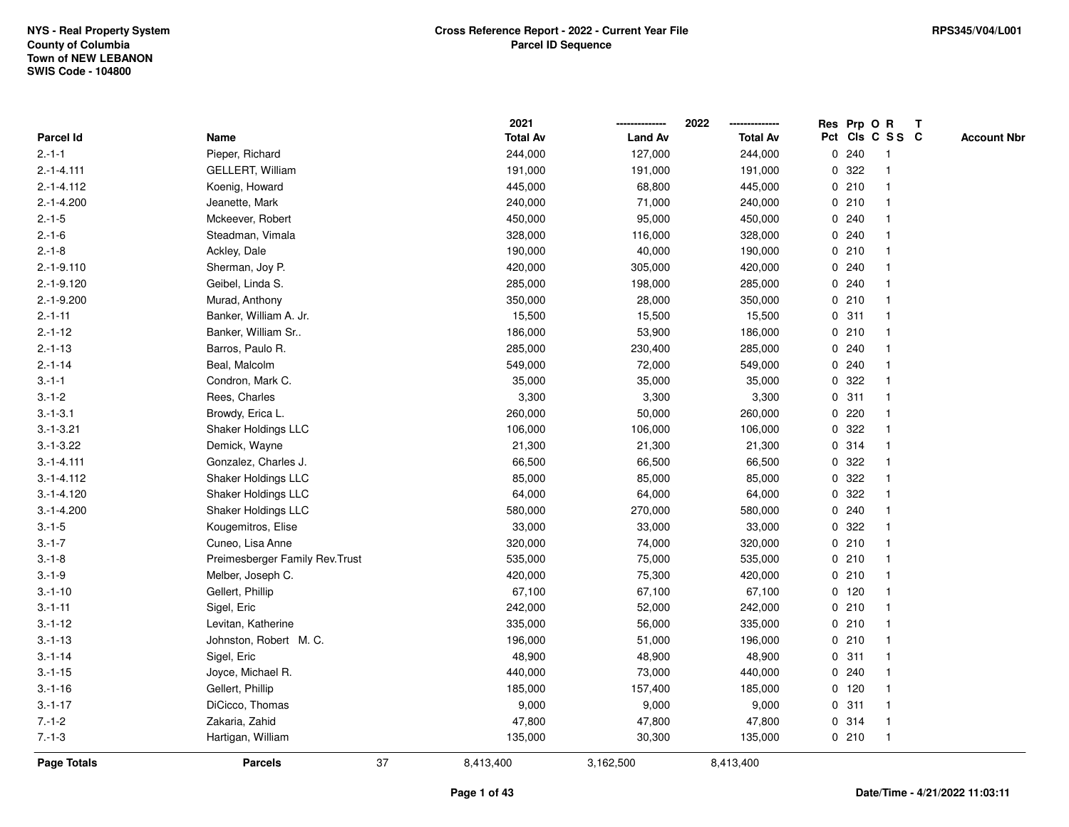|                    |                                 |    | 2021            |                | 2022            |             | Res Prp O R |                 | T |                    |
|--------------------|---------------------------------|----|-----------------|----------------|-----------------|-------------|-------------|-----------------|---|--------------------|
| Parcel Id          | Name                            |    | <b>Total Av</b> | <b>Land Av</b> | <b>Total Av</b> |             |             | Pct Cls C S S C |   | <b>Account Nbr</b> |
| $2.-1-1$           | Pieper, Richard                 |    | 244,000         | 127,000        | 244,000         | 0           | 240         | $\mathbf{1}$    |   |                    |
| $2.-1-4.111$       | GELLERT, William                |    | 191,000         | 191,000        | 191,000         | 0           | 322         |                 |   |                    |
| $2.-1-4.112$       | Koenig, Howard                  |    | 445,000         | 68,800         | 445,000         |             | 0210        |                 |   |                    |
| $2.-1-4.200$       | Jeanette, Mark                  |    | 240,000         | 71,000         | 240,000         |             | 0210        |                 |   |                    |
| $2.-1-5$           | Mckeever, Robert                |    | 450,000         | 95,000         | 450,000         |             | 0.240       |                 |   |                    |
| $2.-1-6$           | Steadman, Vimala                |    | 328,000         | 116,000        | 328,000         |             | 0.240       |                 |   |                    |
| $2.-1-8$           | Ackley, Dale                    |    | 190,000         | 40,000         | 190,000         |             | 0210        |                 |   |                    |
| $2.-1-9.110$       | Sherman, Joy P.                 |    | 420,000         | 305,000        | 420,000         | 0           | 240         |                 |   |                    |
| $2.-1-9.120$       | Geibel, Linda S.                |    | 285,000         | 198,000        | 285,000         | 0           | 240         |                 |   |                    |
| $2.-1-9.200$       | Murad, Anthony                  |    | 350,000         | 28,000         | 350,000         |             | 0210        |                 |   |                    |
| $2.-1-11$          | Banker, William A. Jr.          |    | 15,500          | 15,500         | 15,500          |             | 0.311       |                 |   |                    |
| $2.-1-12$          | Banker, William Sr              |    | 186,000         | 53,900         | 186,000         |             | 0210        |                 |   |                    |
| $2.-1-13$          | Barros, Paulo R.                |    | 285,000         | 230,400        | 285,000         |             | 0.240       |                 |   |                    |
| $2 - 1 - 14$       | Beal, Malcolm                   |    | 549,000         | 72,000         | 549,000         |             | 0.240       |                 |   |                    |
| $3 - 1 - 1$        | Condron, Mark C.                |    | 35,000          | 35,000         | 35,000          | 0           | 322         |                 |   |                    |
| $3 - 1 - 2$        | Rees, Charles                   |    | 3,300           | 3,300          | 3,300           | 0           | 311         |                 |   |                    |
| $3.-1-3.1$         | Browdy, Erica L.                |    | 260,000         | 50,000         | 260,000         | 0           | 220         |                 |   |                    |
| $3.-1-3.21$        | <b>Shaker Holdings LLC</b>      |    | 106,000         | 106,000        | 106,000         |             | 0 322       |                 |   |                    |
| $3.-1-3.22$        | Demick, Wayne                   |    | 21,300          | 21,300         | 21,300          |             | 0.314       |                 |   |                    |
| $3. - 1 - 4.111$   | Gonzalez, Charles J.            |    | 66,500          | 66,500         | 66,500          |             | 0 322       |                 |   |                    |
| $3.-1-4.112$       | Shaker Holdings LLC             |    | 85,000          | 85,000         | 85,000          |             | 0 322       |                 |   |                    |
| $3.-1-4.120$       | Shaker Holdings LLC             |    | 64,000          | 64,000         | 64,000          | 0           | 322         |                 |   |                    |
| $3.-1-4.200$       | <b>Shaker Holdings LLC</b>      |    | 580,000         | 270,000        | 580,000         | 0           | 240         |                 |   |                    |
| $3.-1-5$           | Kougemitros, Elise              |    | 33,000          | 33,000         | 33,000          | $\mathbf 0$ | 322         |                 |   |                    |
| $3.-1-7$           | Cuneo, Lisa Anne                |    | 320,000         | 74,000         | 320,000         |             | 0210        |                 |   |                    |
| $3.-1-8$           | Preimesberger Family Rev. Trust |    | 535,000         | 75,000         | 535,000         |             | 0210        |                 |   |                    |
| $3 - 1 - 9$        | Melber, Joseph C.               |    | 420,000         | 75,300         | 420,000         |             | 0210        |                 |   |                    |
| $3.-1-10$          | Gellert, Phillip                |    | 67,100          | 67,100         | 67,100          |             | $0$ 120     |                 |   |                    |
| $3 - 1 - 11$       | Sigel, Eric                     |    | 242,000         | 52,000         | 242,000         |             | 0210        |                 |   |                    |
| $3 - 1 - 12$       | Levitan, Katherine              |    | 335,000         | 56,000         | 335,000         |             | 0210        |                 |   |                    |
| $3 - 1 - 13$       | Johnston, Robert M. C.          |    | 196,000         | 51,000         | 196,000         |             | 0210        |                 |   |                    |
| $3 - 1 - 14$       | Sigel, Eric                     |    | 48,900          | 48,900         | 48,900          |             | 0.311       |                 |   |                    |
| $3 - 1 - 15$       | Joyce, Michael R.               |    | 440,000         | 73,000         | 440,000         |             | 0.240       |                 |   |                    |
| $3 - 1 - 16$       | Gellert, Phillip                |    | 185,000         | 157,400        | 185,000         |             | $0$ 120     |                 |   |                    |
| $3.-1-17$          | DiCicco, Thomas                 |    | 9,000           | 9,000          | 9,000           |             | 0.311       |                 |   |                    |
| $7.-1-2$           | Zakaria, Zahid                  |    | 47,800          | 47,800         | 47,800          |             | 0.314       | $\mathbf 1$     |   |                    |
| $7 - 1 - 3$        | Hartigan, William               |    | 135,000         | 30,300         | 135,000         |             | 0210        | $\mathbf{1}$    |   |                    |
| <b>Page Totals</b> | <b>Parcels</b>                  | 37 | 8,413,400       | 3,162,500      | 8,413,400       |             |             |                 |   |                    |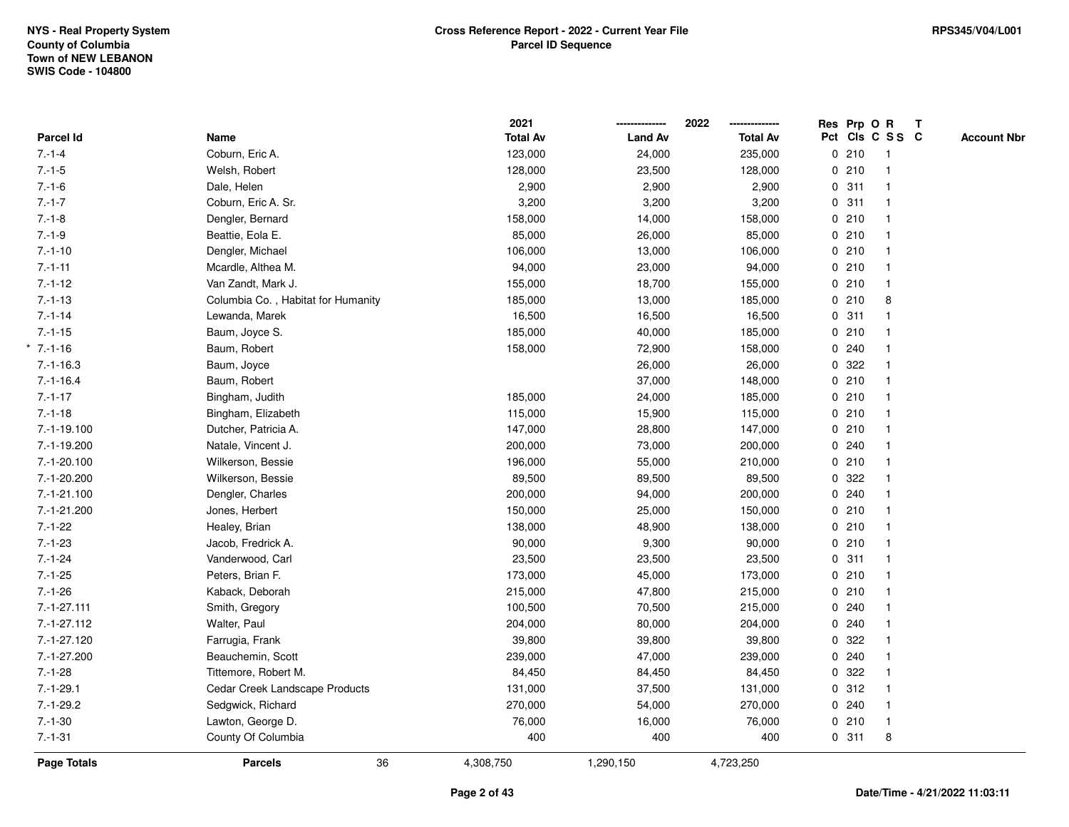|                  |                                    | 2021            |                | 2022            | Res Prp O R |                 | T |                    |
|------------------|------------------------------------|-----------------|----------------|-----------------|-------------|-----------------|---|--------------------|
| <b>Parcel Id</b> | Name                               | <b>Total Av</b> | <b>Land Av</b> | <b>Total Av</b> |             | Pct Cls C S S C |   | <b>Account Nbr</b> |
| $7 - 1 - 4$      | Coburn, Eric A.                    | 123,000         | 24,000         | 235,000         | 0210        | $\mathbf{1}$    |   |                    |
| $7 - 1 - 5$      | Welsh, Robert                      | 128,000         | 23,500         | 128,000         | 0210        | $\mathbf{1}$    |   |                    |
| $7 - 1 - 6$      | Dale, Helen                        | 2,900           | 2,900          | 2,900           | 0.311       | $\mathbf{1}$    |   |                    |
| $7 - 1 - 7$      | Coburn, Eric A. Sr.                | 3,200           | 3,200          | 3,200           | 0.311       | $\mathbf{1}$    |   |                    |
| $7 - 1 - 8$      | Dengler, Bernard                   | 158,000         | 14,000         | 158,000         | 0210        | $\mathbf{1}$    |   |                    |
| $7.-1-9$         | Beattie, Eola E.                   | 85,000          | 26,000         | 85,000          | 0210        | 1               |   |                    |
| $7.-1-10$        | Dengler, Michael                   | 106,000         | 13,000         | 106,000         | 0210        | $\mathbf{1}$    |   |                    |
| $7 - 1 - 11$     | Mcardle, Althea M.                 | 94,000          | 23,000         | 94,000          | 0210        | $\mathbf{1}$    |   |                    |
| $7.-1-12$        | Van Zandt, Mark J.                 | 155,000         | 18,700         | 155,000         | 0210        | $\mathbf{1}$    |   |                    |
| $7 - 1 - 13$     | Columbia Co., Habitat for Humanity | 185,000         | 13,000         | 185,000         | 0210        | 8               |   |                    |
| $7 - 1 - 14$     | Lewanda, Marek                     | 16,500          | 16,500         | 16,500          | 0.311       | 1               |   |                    |
| $7.-1-15$        | Baum, Joyce S.                     | 185,000         | 40,000         | 185,000         | 0210        |                 |   |                    |
| $7 - 1 - 16$     | Baum, Robert                       | 158,000         | 72,900         | 158,000         | 0.240       |                 |   |                    |
| $7.-1-16.3$      | Baum, Joyce                        |                 | 26,000         | 26,000          | 0 322       | 1               |   |                    |
| $7.-1-16.4$      | Baum, Robert                       |                 | 37,000         | 148,000         | 0210        | $\mathbf{1}$    |   |                    |
| $7 - 1 - 17$     | Bingham, Judith                    | 185,000         | 24,000         | 185,000         | 0210        | $\mathbf{1}$    |   |                    |
| $7.-1-18$        | Bingham, Elizabeth                 | 115,000         | 15,900         | 115,000         | 0210        | $\mathbf{1}$    |   |                    |
| 7.-1-19.100      | Dutcher, Patricia A.               | 147,000         | 28,800         | 147,000         | 0210        | 1               |   |                    |
| 7.-1-19.200      | Natale, Vincent J.                 | 200,000         | 73,000         | 200,000         | 0.240       |                 |   |                    |
| 7.-1-20.100      | Wilkerson, Bessie                  | 196,000         | 55,000         | 210,000         | 0210        |                 |   |                    |
| 7.-1-20.200      | Wilkerson, Bessie                  | 89,500          | 89,500         | 89,500          | 0.322       | $\mathbf{1}$    |   |                    |
| 7.-1-21.100      | Dengler, Charles                   | 200,000         | 94,000         | 200,000         | 0.240       | $\mathbf{1}$    |   |                    |
| 7.-1-21.200      | Jones, Herbert                     | 150,000         | 25,000         | 150,000         | 0210        | $\mathbf{1}$    |   |                    |
| $7.-1-22$        | Healey, Brian                      | 138,000         | 48,900         | 138,000         | 0210        | $\mathbf{1}$    |   |                    |
| $7.-1-23$        | Jacob, Fredrick A.                 | 90,000          | 9,300          | 90,000          | 0210        | 1               |   |                    |
| $7.-1-24$        | Vanderwood, Carl                   | 23,500          | 23,500         | 23,500          | 0.311       |                 |   |                    |
| $7.-1-25$        | Peters, Brian F.                   | 173,000         | 45,000         | 173,000         | 0210        |                 |   |                    |
| $7.-1-26$        | Kaback, Deborah                    | 215,000         | 47,800         | 215,000         | 0210        |                 |   |                    |
| $7.-1-27.111$    | Smith, Gregory                     | 100,500         | 70,500         | 215,000         | 0.240       | $\mathbf{1}$    |   |                    |
| $7.-1-27.112$    | Walter, Paul                       | 204,000         | 80,000         | 204,000         | 0.240       | $\mathbf{1}$    |   |                    |
| 7.-1-27.120      | Farrugia, Frank                    | 39,800          | 39,800         | 39,800          | 0.322       | $\mathbf{1}$    |   |                    |
| 7.-1-27.200      | Beauchemin, Scott                  | 239,000         | 47,000         | 239,000         | 0.240       | $\mathbf{1}$    |   |                    |
| $7.-1-28$        | Tittemore, Robert M.               | 84,450          | 84,450         | 84,450          | 0.322       | 1               |   |                    |
| $7.-1-29.1$      | Cedar Creek Landscape Products     | 131,000         | 37,500         | 131,000         | 0.312       | $\mathbf{1}$    |   |                    |
| $7.-1-29.2$      | Sedgwick, Richard                  | 270,000         | 54,000         | 270,000         | 0.240       | $\mathbf{1}$    |   |                    |
| $7.-1-30$        | Lawton, George D.                  | 76,000          | 16,000         | 76,000          | 0210        | $\mathbf{1}$    |   |                    |
| $7 - 1 - 31$     | County Of Columbia                 | 400             | 400            | 400             | 0.311       | 8               |   |                    |
| Page Totals      | 36<br><b>Parcels</b>               | 4,308,750       | 1,290,150      | 4,723,250       |             |                 |   |                    |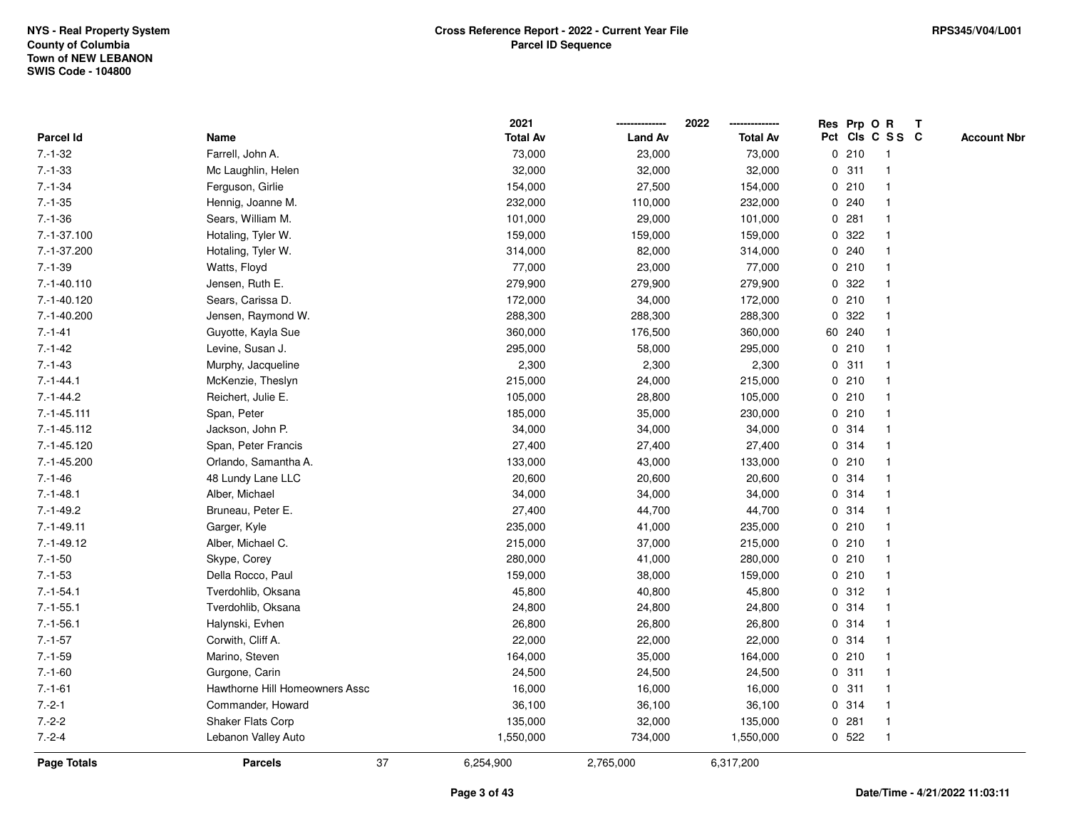|                  |                                | 2021            |                | 2022            |   |        | Res Prp O R             | Т |                    |
|------------------|--------------------------------|-----------------|----------------|-----------------|---|--------|-------------------------|---|--------------------|
| Parcel Id        | Name                           | <b>Total Av</b> | <b>Land Av</b> | <b>Total Av</b> |   |        | Pct Cls C S S C         |   | <b>Account Nbr</b> |
| $7.-1-32$        | Farrell, John A.               | 73,000          | 23,000         | 73,000          |   | 0210   | $\overline{\mathbf{1}}$ |   |                    |
| $7. - 1 - 33$    | Mc Laughlin, Helen             | 32,000          | 32,000         | 32,000          | 0 | 311    | $\overline{\mathbf{1}}$ |   |                    |
| $7 - 1 - 34$     | Ferguson, Girlie               | 154,000         | 27,500         | 154,000         |   | 0210   | -1                      |   |                    |
| $7.-1-35$        | Hennig, Joanne M.              | 232,000         | 110,000        | 232,000         |   | 0.240  | -1                      |   |                    |
| $7 - 1 - 36$     | Sears, William M.              | 101,000         | 29,000         | 101,000         |   | 0.281  |                         |   |                    |
| 7.-1-37.100      | Hotaling, Tyler W.             | 159,000         | 159,000        | 159,000         |   | 0.322  |                         |   |                    |
| 7.-1-37.200      | Hotaling, Tyler W.             | 314,000         | 82,000         | 314,000         |   | 0.240  |                         |   |                    |
| $7.-1-39$        | Watts, Floyd                   | 77,000          | 23,000         | 77,000          |   | 0210   | $\overline{\mathbf{1}}$ |   |                    |
| $7.-1-40.110$    | Jensen, Ruth E.                | 279,900         | 279,900        | 279,900         |   | 0.322  | -1                      |   |                    |
| 7.-1-40.120      | Sears, Carissa D.              | 172,000         | 34,000         | 172,000         |   | 0210   | $\mathbf{1}$            |   |                    |
| $7.-1-40.200$    | Jensen, Raymond W.             | 288,300         | 288,300        | 288,300         |   | 0.322  |                         |   |                    |
| $7 - 1 - 41$     | Guyotte, Kayla Sue             | 360,000         | 176,500        | 360,000         |   | 60 240 |                         |   |                    |
| $7.-1-42$        | Levine, Susan J.               | 295,000         | 58,000         | 295,000         |   | 0210   |                         |   |                    |
| $7 - 1 - 43$     | Murphy, Jacqueline             | 2,300           | 2,300          | 2,300           |   | 0.311  | -1                      |   |                    |
| $7 - 1 - 44.1$   | McKenzie, Theslyn              | 215,000         | 24,000         | 215,000         |   | 0210   | -1                      |   |                    |
| $7 - 1 - 44.2$   | Reichert, Julie E.             | 105,000         | 28,800         | 105,000         |   | 0210   | $\overline{\mathbf{1}}$ |   |                    |
| $7.-1-45.111$    | Span, Peter                    | 185,000         | 35,000         | 230,000         |   | 0210   | -1                      |   |                    |
| $7.-1-45.112$    | Jackson, John P.               | 34,000          | 34,000         | 34,000          |   | 0.314  | -1                      |   |                    |
| $7. -1 - 45.120$ | Span, Peter Francis            | 27,400          | 27,400         | 27,400          |   | 0.314  |                         |   |                    |
| $7.-1-45.200$    | Orlando, Samantha A.           | 133,000         | 43,000         | 133,000         |   | 0210   |                         |   |                    |
| $7.-1-46$        | 48 Lundy Lane LLC              | 20,600          | 20,600         | 20,600          |   | 0.314  |                         |   |                    |
| $7 - 1 - 48.1$   | Alber, Michael                 | 34,000          | 34,000         | 34,000          |   | 0.314  | -1                      |   |                    |
| $7 - 1 - 49.2$   | Bruneau, Peter E.              | 27,400          | 44,700         | 44,700          |   | 0.314  | $\overline{\mathbf{1}}$ |   |                    |
| $7.-1-49.11$     | Garger, Kyle                   | 235,000         | 41,000         | 235,000         |   | 0210   | -1                      |   |                    |
| $7.-1-49.12$     | Alber, Michael C.              | 215,000         | 37,000         | 215,000         |   | 0210   | -1                      |   |                    |
| $7.-1-50$        | Skype, Corey                   | 280,000         | 41,000         | 280,000         |   | 0210   |                         |   |                    |
| $7 - 1 - 53$     | Della Rocco, Paul              | 159,000         | 38,000         | 159,000         |   | 0210   |                         |   |                    |
| $7.-1-54.1$      | Tverdohlib, Oksana             | 45,800          | 40,800         | 45,800          |   | 0.312  |                         |   |                    |
| $7.-1-55.1$      | Tverdohlib, Oksana             | 24,800          | 24,800         | 24,800          |   | 0.314  | $\overline{1}$          |   |                    |
| $7 - 1 - 56.1$   | Halynski, Evhen                | 26,800          | 26,800         | 26,800          |   | 0.314  | -1                      |   |                    |
| $7.-1-57$        | Corwith, Cliff A.              | 22,000          | 22,000         | 22,000          |   | 0.314  | $\overline{\mathbf{1}}$ |   |                    |
| $7.-1-59$        | Marino, Steven                 | 164,000         | 35,000         | 164,000         |   | 0210   | 1                       |   |                    |
| $7.-1-60$        | Gurgone, Carin                 | 24,500          | 24,500         | 24,500          |   | 0.311  | -1                      |   |                    |
| $7.-1-61$        | Hawthorne Hill Homeowners Assc | 16,000          | 16,000         | 16,000          |   | 0.311  |                         |   |                    |
| $7.-2-1$         | Commander, Howard              | 36,100          | 36,100         | 36,100          |   | 0.314  | -1                      |   |                    |
| $7.-2-2$         | Shaker Flats Corp              | 135,000         | 32,000         | 135,000         |   | 0.281  | $\overline{\mathbf{1}}$ |   |                    |
| $7.-2-4$         | Lebanon Valley Auto            | 1,550,000       | 734,000        | 1,550,000       |   | 0.522  | $\overline{1}$          |   |                    |
| Page Totals      | 37<br><b>Parcels</b>           | 6,254,900       | 2,765,000      | 6,317,200       |   |        |                         |   |                    |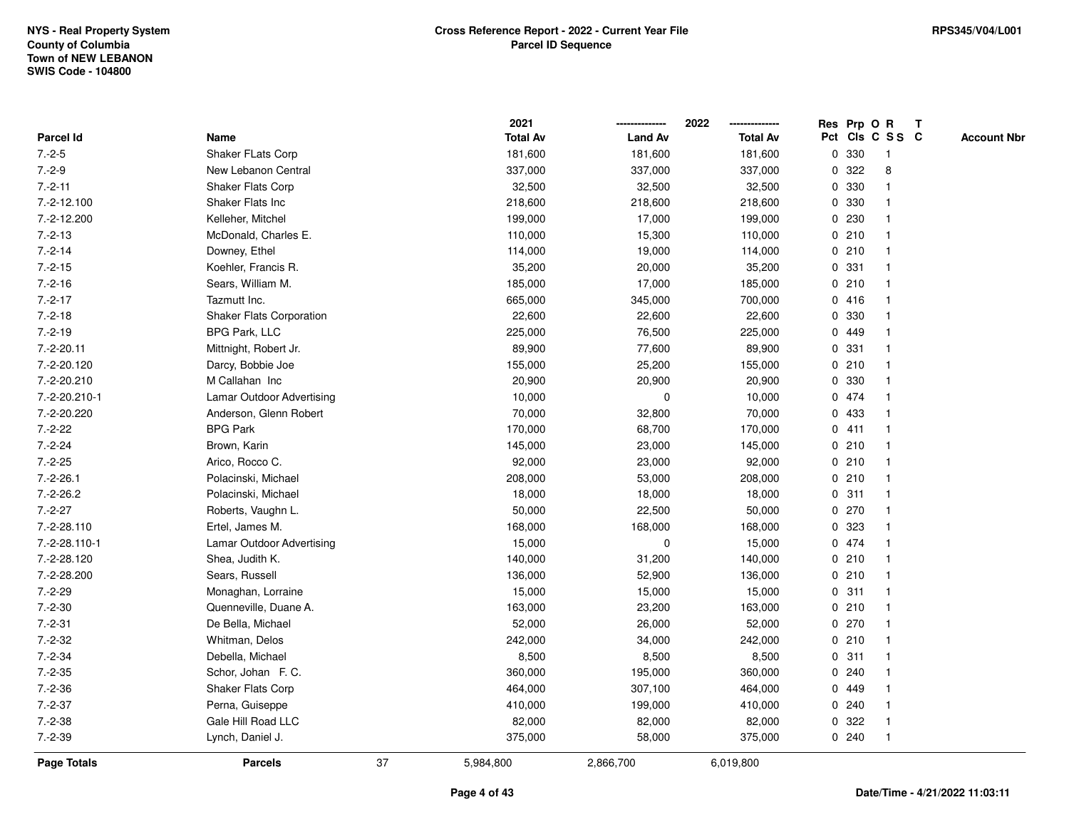|                    |                                 |    | 2021            |                | 2022            |              |       | Res Prp O R     | $\mathbf{T}$       |
|--------------------|---------------------------------|----|-----------------|----------------|-----------------|--------------|-------|-----------------|--------------------|
| Parcel Id          | Name                            |    | <b>Total Av</b> | <b>Land Av</b> | <b>Total Av</b> |              |       | Pct Cls C S S C | <b>Account Nbr</b> |
| $7.-2-5$           | Shaker FLats Corp               |    | 181,600         | 181,600        | 181,600         |              | 0 330 | $\mathbf{1}$    |                    |
| $7.-2-9$           | New Lebanon Central             |    | 337,000         | 337,000        | 337,000         | 0            | 322   | 8               |                    |
| $7.-2-11$          | <b>Shaker Flats Corp</b>        |    | 32,500          | 32,500         | 32,500          |              | 0 330 | -1              |                    |
| 7.-2-12.100        | Shaker Flats Inc                |    | 218,600         | 218,600        | 218,600         | $\mathbf 0$  | 330   | $\mathbf{1}$    |                    |
| 7.-2-12.200        | Kelleher, Mitchel               |    | 199,000         | 17,000         | 199,000         | $\mathbf 0$  | 230   |                 |                    |
| $7.-2-13$          | McDonald, Charles E.            |    | 110,000         | 15,300         | 110,000         |              | 0210  | $\mathbf 1$     |                    |
| $7.-2-14$          | Downey, Ethel                   |    | 114,000         | 19,000         | 114,000         |              | 0210  |                 |                    |
| $7.-2-15$          | Koehler, Francis R.             |    | 35,200          | 20,000         | 35,200          |              | 0 331 |                 |                    |
| $7.-2-16$          | Sears, William M.               |    | 185,000         | 17,000         | 185,000         |              | 0210  |                 |                    |
| $7.-2-17$          | Tazmutt Inc.                    |    | 665,000         | 345,000        | 700,000         |              | 0416  |                 |                    |
| $7.-2-18$          | <b>Shaker Flats Corporation</b> |    | 22,600          | 22,600         | 22,600          | 0            | 330   | -1              |                    |
| $7.-2-19$          | BPG Park, LLC                   |    | 225,000         | 76,500         | 225,000         |              | 0 449 | $\mathbf{1}$    |                    |
| $7.-2-20.11$       | Mittnight, Robert Jr.           |    | 89,900          | 77,600         | 89,900          |              | 0 331 |                 |                    |
| 7.-2-20.120        | Darcy, Bobbie Joe               |    | 155,000         | 25,200         | 155,000         |              | 0210  |                 |                    |
| 7.-2-20.210        | M Callahan Inc                  |    | 20,900          | 20,900         | 20,900          | 0            | 330   |                 |                    |
| 7.-2-20.210-1      | Lamar Outdoor Advertising       |    | 10,000          | 0              | 10,000          |              | 0 474 |                 |                    |
| 7.-2-20.220        | Anderson, Glenn Robert          |    | 70,000          | 32,800         | 70,000          | $\mathbf 0$  | 433   | $\mathbf{1}$    |                    |
| $7.-2-22$          | <b>BPG Park</b>                 |    | 170,000         | 68,700         | 170,000         |              | 0411  | $\mathbf 1$     |                    |
| $7.-2-24$          | Brown, Karin                    |    | 145,000         | 23,000         | 145,000         |              | 0210  | $\mathbf{1}$    |                    |
| $7.-2-25$          | Arico, Rocco C.                 |    | 92,000          | 23,000         | 92,000          |              | 0210  |                 |                    |
| $7.-2-26.1$        | Polacinski, Michael             |    | 208,000         | 53,000         | 208,000         |              | 0210  |                 |                    |
| $7.-2-26.2$        | Polacinski, Michael             |    | 18,000          | 18,000         | 18,000          |              | 0.311 |                 |                    |
| $7.-2-27$          | Roberts, Vaughn L.              |    | 50,000          | 22,500         | 50,000          |              | 0270  | $\mathbf 1$     |                    |
| 7.-2-28.110        | Ertel, James M.                 |    | 168,000         | 168,000        | 168,000         | $\mathbf{0}$ | 323   | $\overline{1}$  |                    |
| 7.-2-28.110-1      | Lamar Outdoor Advertising       |    | 15,000          | 0              | 15,000          |              | 0 474 | -1              |                    |
| 7.-2-28.120        | Shea, Judith K.                 |    | 140,000         | 31,200         | 140,000         |              | 0210  | 1               |                    |
| 7.-2-28.200        | Sears, Russell                  |    | 136,000         | 52,900         | 136,000         |              | 0210  |                 |                    |
| $7.-2-29$          | Monaghan, Lorraine              |    | 15,000          | 15,000         | 15,000          |              | 0.311 |                 |                    |
| $7.-2-30$          | Quenneville, Duane A.           |    | 163,000         | 23,200         | 163,000         |              | 0210  | $\mathbf{1}$    |                    |
| $7.-2-31$          | De Bella, Michael               |    | 52,000          | 26,000         | 52,000          | $\mathbf 0$  | 270   | $\mathbf{1}$    |                    |
| $7.-2-32$          | Whitman, Delos                  |    | 242,000         | 34,000         | 242,000         |              | 0210  | $\mathbf{1}$    |                    |
| $7.-2-34$          | Debella, Michael                |    | 8,500           | 8,500          | 8,500           | 0            | 311   | $\mathbf 1$     |                    |
| $7.-2-35$          | Schor, Johan F. C.              |    | 360,000         | 195,000        | 360,000         |              | 0.240 |                 |                    |
| $7.-2-36$          | <b>Shaker Flats Corp</b>        |    | 464,000         | 307,100        | 464,000         |              | 0 449 |                 |                    |
| $7.-2-37$          | Perna, Guiseppe                 |    | 410,000         | 199,000        | 410,000         | $\mathbf{0}$ | 240   |                 |                    |
| $7.-2-38$          | Gale Hill Road LLC              |    | 82,000          | 82,000         | 82,000          | 0            | 322   | $\overline{1}$  |                    |
| $7 - 2 - 39$       | Lynch, Daniel J.                |    | 375,000         | 58,000         | 375,000         |              | 0.240 | $\mathbf{1}$    |                    |
| <b>Page Totals</b> | <b>Parcels</b>                  | 37 | 5,984,800       | 2,866,700      | 6,019,800       |              |       |                 |                    |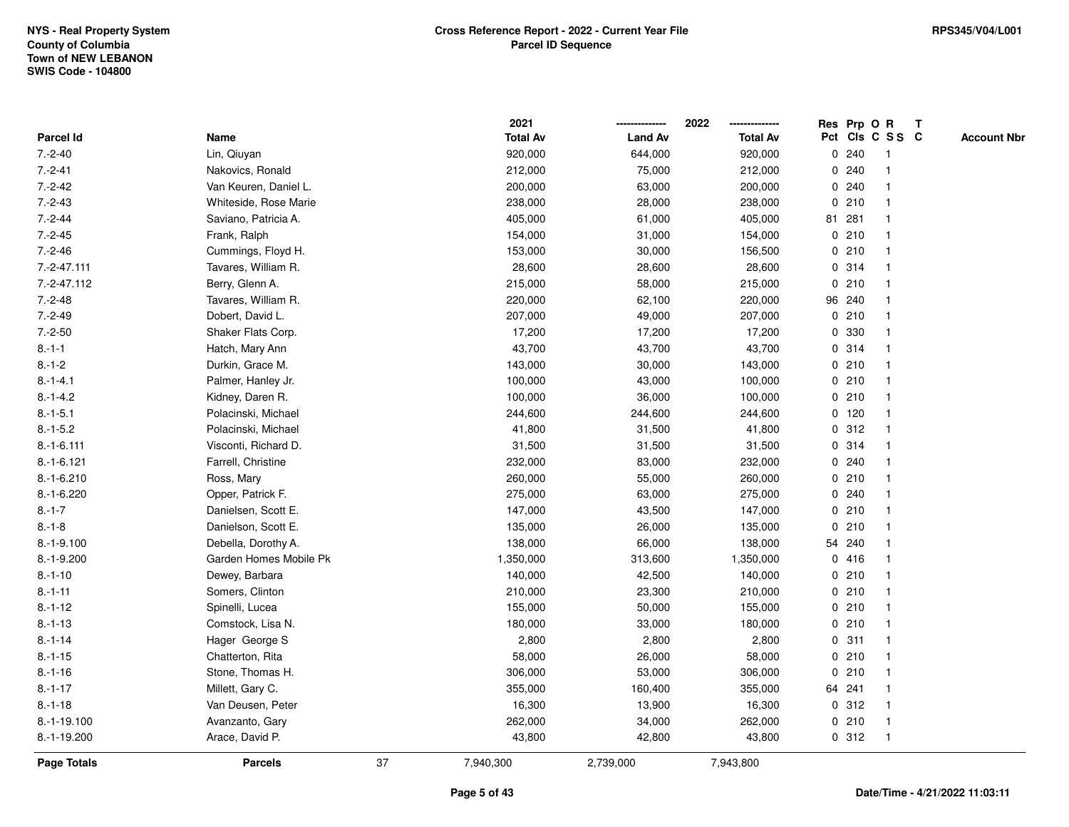|                    |                        |    | 2021            |                | 2022            |             | Res Prp O R |                 | Т |                    |
|--------------------|------------------------|----|-----------------|----------------|-----------------|-------------|-------------|-----------------|---|--------------------|
| Parcel Id          | Name                   |    | <b>Total Av</b> | <b>Land Av</b> | <b>Total Av</b> |             |             | Pct Cls C S S C |   | <b>Account Nbr</b> |
| $7.-2-40$          | Lin, Qiuyan            |    | 920,000         | 644,000        | 920,000         | 0           | 240         | $\mathbf{1}$    |   |                    |
| $7.-2-41$          | Nakovics, Ronald       |    | 212,000         | 75,000         | 212,000         | 0           | 240         |                 |   |                    |
| $7.-2-42$          | Van Keuren, Daniel L.  |    | 200,000         | 63,000         | 200,000         |             | 0.240       |                 |   |                    |
| $7.-2-43$          | Whiteside, Rose Marie  |    | 238,000         | 28,000         | 238,000         |             | 0210        |                 |   |                    |
| $7.-2-44$          | Saviano, Patricia A.   |    | 405,000         | 61,000         | 405,000         |             | 81 281      |                 |   |                    |
| $7.-2-45$          | Frank, Ralph           |    | 154,000         | 31,000         | 154,000         |             | 0210        |                 |   |                    |
| $7.-2-46$          | Cummings, Floyd H.     |    | 153,000         | 30,000         | 156,500         |             | 0210        |                 |   |                    |
| $7.-2-47.111$      | Tavares, William R.    |    | 28,600          | 28,600         | 28,600          | 0           | 314         |                 |   |                    |
| $7.-2-47.112$      | Berry, Glenn A.        |    | 215,000         | 58,000         | 215,000         | 0           | 210         |                 |   |                    |
| $7.-2-48$          | Tavares, William R.    |    | 220,000         | 62,100         | 220,000         |             | 96 240      |                 |   |                    |
| $7.-2-49$          | Dobert, David L.       |    | 207,000         | 49,000         | 207,000         |             | 0210        |                 |   |                    |
| $7.-2-50$          | Shaker Flats Corp.     |    | 17,200          | 17,200         | 17,200          |             | 0 330       |                 |   |                    |
| $8.-1-1$           | Hatch, Mary Ann        |    | 43,700          | 43,700         | 43,700          |             | 0.314       |                 |   |                    |
| $8.-1-2$           | Durkin, Grace M.       |    | 143,000         | 30,000         | 143,000         |             | 0210        |                 |   |                    |
| $8.-1-4.1$         | Palmer, Hanley Jr.     |    | 100,000         | 43,000         | 100,000         |             | 0210        |                 |   |                    |
| $8.-1-4.2$         | Kidney, Daren R.       |    | 100,000         | 36,000         | 100,000         | 0           | 210         |                 |   |                    |
| $8.-1-5.1$         | Polacinski, Michael    |    | 244,600         | 244,600        | 244,600         |             | $0$ 120     |                 |   |                    |
| $8.-1-5.2$         | Polacinski, Michael    |    | 41,800          | 31,500         | 41,800          |             | 0.312       |                 |   |                    |
| $8.-1-6.111$       | Visconti, Richard D.   |    | 31,500          | 31,500         | 31,500          |             | 0.314       |                 |   |                    |
| $8.-1-6.121$       | Farrell, Christine     |    | 232,000         | 83,000         | 232,000         |             | 0.240       |                 |   |                    |
| $8.-1-6.210$       | Ross, Mary             |    | 260,000         | 55,000         | 260,000         |             | 0210        |                 |   |                    |
| $8.-1-6.220$       | Opper, Patrick F.      |    | 275,000         | 63,000         | 275,000         |             | 0.240       |                 |   |                    |
| $8.-1-7$           | Danielsen, Scott E.    |    | 147,000         | 43,500         | 147,000         |             | 0210        |                 |   |                    |
| $8 - 1 - 8$        | Danielson, Scott E.    |    | 135,000         | 26,000         | 135,000         | $\mathbf 0$ | 210         |                 |   |                    |
| $8.-1-9.100$       | Debella, Dorothy A.    |    | 138,000         | 66,000         | 138,000         |             | 54 240      |                 |   |                    |
| $8.-1-9.200$       | Garden Homes Mobile Pk |    | 1,350,000       | 313,600        | 1,350,000       |             | 0416        |                 |   |                    |
| $8.-1-10$          | Dewey, Barbara         |    | 140,000         | 42,500         | 140,000         |             | 0210        |                 |   |                    |
| $8 - 1 - 11$       | Somers, Clinton        |    | 210,000         | 23,300         | 210,000         |             | 0210        |                 |   |                    |
| $8. - 1 - 12$      | Spinelli, Lucea        |    | 155,000         | 50,000         | 155,000         |             | 0210        |                 |   |                    |
| $8. - 1 - 13$      | Comstock, Lisa N.      |    | 180,000         | 33,000         | 180,000         |             | 0210        | $\mathbf{1}$    |   |                    |
| $8 - 1 - 14$       | Hager George S         |    | 2,800           | 2,800          | 2,800           |             | 0.311       |                 |   |                    |
| $8.-1-15$          | Chatterton, Rita       |    | 58,000          | 26,000         | 58,000          |             | 0210        |                 |   |                    |
| $8. - 1 - 16$      | Stone, Thomas H.       |    | 306,000         | 53,000         | 306,000         |             | 0210        |                 |   |                    |
| $8.-1-17$          | Millett, Gary C.       |    | 355,000         | 160,400        | 355,000         |             | 64 241      |                 |   |                    |
| $8.-1-18$          | Van Deusen, Peter      |    | 16,300          | 13,900         | 16,300          |             | 0.312       |                 |   |                    |
| 8.-1-19.100        | Avanzanto, Gary        |    | 262,000         | 34,000         | 262,000         |             | 0210        | $\mathbf 1$     |   |                    |
| 8.-1-19.200        | Arace, David P.        |    | 43,800          | 42,800         | 43,800          |             | 0.312       | $\overline{1}$  |   |                    |
| <b>Page Totals</b> | <b>Parcels</b>         | 37 | 7,940,300       | 2,739,000      | 7,943,800       |             |             |                 |   |                    |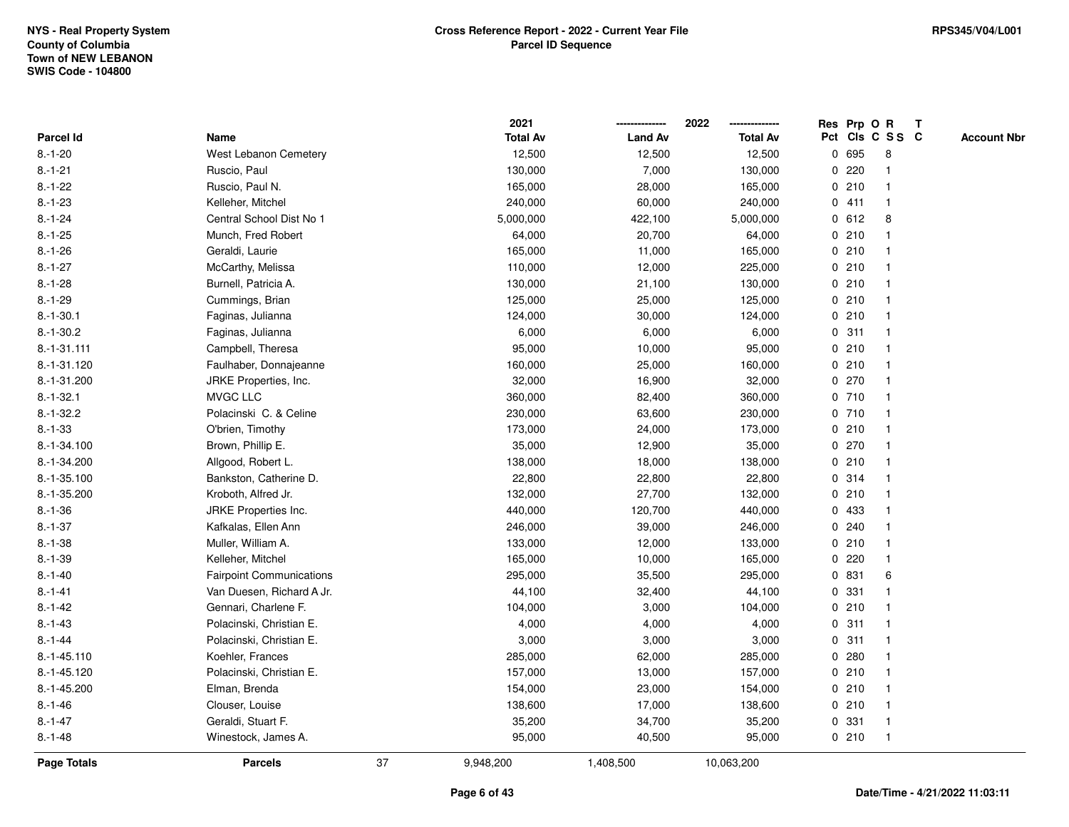|                    |                                 |    | 2021            |                | 2022            |   |       | Res Prp O R     | T |                    |
|--------------------|---------------------------------|----|-----------------|----------------|-----------------|---|-------|-----------------|---|--------------------|
| Parcel Id          | Name                            |    | <b>Total Av</b> | <b>Land Av</b> | <b>Total Av</b> |   |       | Pct Cls C S S C |   | <b>Account Nbr</b> |
| $8.-1-20$          | West Lebanon Cemetery           |    | 12,500          | 12,500         | 12,500          |   | 0 695 | 8               |   |                    |
| $8.-1-21$          | Ruscio, Paul                    |    | 130,000         | 7,000          | 130,000         | 0 | 220   | $\mathbf 1$     |   |                    |
| $8 - 1 - 22$       | Ruscio, Paul N.                 |    | 165,000         | 28,000         | 165,000         |   | 0210  | $\mathbf{1}$    |   |                    |
| $8. - 1 - 23$      | Kelleher, Mitchel               |    | 240,000         | 60,000         | 240,000         |   | 0411  | -1              |   |                    |
| $8.-1-24$          | Central School Dist No 1        |    | 5,000,000       | 422,100        | 5,000,000       |   | 0 612 | 8               |   |                    |
| $8.-1-25$          | Munch, Fred Robert              |    | 64,000          | 20,700         | 64,000          |   | 0210  |                 |   |                    |
| $8 - 1 - 26$       | Geraldi, Laurie                 |    | 165,000         | 11,000         | 165,000         |   | 0210  | $\mathbf{1}$    |   |                    |
| $8.-1-27$          | McCarthy, Melissa               |    | 110,000         | 12,000         | 225,000         |   | 0210  | $\mathbf{1}$    |   |                    |
| $8. - 1 - 28$      | Burnell, Patricia A.            |    | 130,000         | 21,100         | 130,000         |   | 0210  | -1              |   |                    |
| $8.-1-29$          | Cummings, Brian                 |    | 125,000         | 25,000         | 125,000         |   | 0210  | $\mathbf{1}$    |   |                    |
| $8.-1-30.1$        | Faginas, Julianna               |    | 124,000         | 30,000         | 124,000         |   | 0210  | 1               |   |                    |
| $8.-1-30.2$        | Faginas, Julianna               |    | 6,000           | 6,000          | 6,000           |   | 0.311 |                 |   |                    |
| $8.-1-31.111$      | Campbell, Theresa               |    | 95,000          | 10,000         | 95,000          |   | 0210  |                 |   |                    |
| 8.-1-31.120        | Faulhaber, Donnajeanne          |    | 160,000         | 25,000         | 160,000         |   | 0210  |                 |   |                    |
| 8.-1-31.200        | JRKE Properties, Inc.           |    | 32,000          | 16,900         | 32,000          |   | 0270  | $\mathbf{1}$    |   |                    |
| $8.-1-32.1$        | MVGC LLC                        |    | 360,000         | 82,400         | 360,000         |   | 0710  | $\mathbf{1}$    |   |                    |
| $8.-1-32.2$        | Polacinski C. & Celine          |    | 230,000         | 63,600         | 230,000         |   | 0 710 | $\mathbf{1}$    |   |                    |
| $8 - 1 - 33$       | O'brien, Timothy                |    | 173,000         | 24,000         | 173,000         |   | 0210  | $\mathbf 1$     |   |                    |
| 8.-1-34.100        | Brown, Phillip E.               |    | 35,000          | 12,900         | 35,000          |   | 0270  |                 |   |                    |
| 8.-1-34.200        | Allgood, Robert L.              |    | 138,000         | 18,000         | 138,000         |   | 0210  |                 |   |                    |
| $8.-1-35.100$      | Bankston, Catherine D.          |    | 22,800          | 22,800         | 22,800          |   | 0 314 |                 |   |                    |
| 8.-1-35.200        | Kroboth, Alfred Jr.             |    | 132,000         | 27,700         | 132,000         |   | 0210  | $\mathbf{1}$    |   |                    |
| $8.-1-36$          | <b>JRKE Properties Inc.</b>     |    | 440,000         | 120,700        | 440,000         |   | 0 433 | $\overline{1}$  |   |                    |
| $8.-1-37$          | Kafkalas, Ellen Ann             |    | 246,000         | 39,000         | 246,000         |   | 0.240 | $\mathbf{1}$    |   |                    |
| $8.-1-38$          | Muller, William A.              |    | 133,000         | 12,000         | 133,000         |   | 0210  | $\mathbf 1$     |   |                    |
| $8 - 1 - 39$       | Kelleher, Mitchel               |    | 165,000         | 10,000         | 165,000         |   | 0220  |                 |   |                    |
| $8 - 1 - 40$       | <b>Fairpoint Communications</b> |    | 295,000         | 35,500         | 295,000         |   | 0 831 | 6               |   |                    |
| $8 - 1 - 41$       | Van Duesen, Richard A Jr.       |    | 44,100          | 32,400         | 44,100          |   | 0 331 |                 |   |                    |
| $8 - 1 - 42$       | Gennari, Charlene F.            |    | 104,000         | 3,000          | 104,000         |   | 0210  | $\mathbf{1}$    |   |                    |
| $8. - 1 - 43$      | Polacinski, Christian E.        |    | 4,000           | 4,000          | 4,000           | 0 | 311   | $\mathbf{1}$    |   |                    |
| $8.-1-44$          | Polacinski, Christian E.        |    | 3,000           | 3,000          | 3,000           | 0 | 311   | $\mathbf{1}$    |   |                    |
| $8.-1-45.110$      | Koehler, Frances                |    | 285,000         | 62,000         | 285,000         |   | 0.280 | $\mathbf 1$     |   |                    |
| 8.-1-45.120        | Polacinski, Christian E.        |    | 157,000         | 13,000         | 157,000         |   | 0210  |                 |   |                    |
| 8.-1-45.200        | Elman, Brenda                   |    | 154,000         | 23,000         | 154,000         |   | 0210  |                 |   |                    |
| $8. - 1 - 46$      | Clouser, Louise                 |    | 138,600         | 17,000         | 138,600         |   | 0210  |                 |   |                    |
| $8. - 1 - 47$      | Geraldi, Stuart F.              |    | 35,200          | 34,700         | 35,200          | 0 | 331   | $\mathbf{1}$    |   |                    |
| $8 - 1 - 48$       | Winestock, James A.             |    | 95,000          | 40,500         | 95,000          |   | 0210  | $\mathbf{1}$    |   |                    |
| <b>Page Totals</b> | <b>Parcels</b>                  | 37 | 9,948,200       | 1,408,500      | 10,063,200      |   |       |                 |   |                    |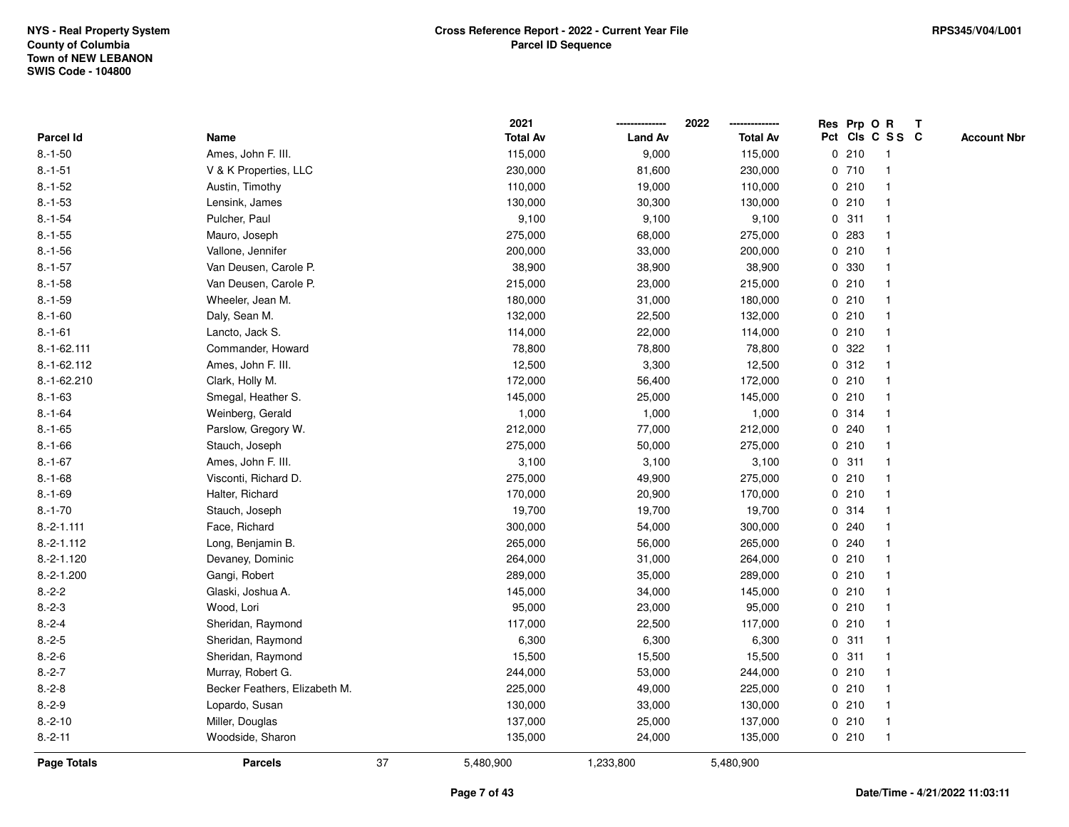|                    |                               |    | 2021            |                | 2022            |             |       | Res Prp O R     | Т |                    |
|--------------------|-------------------------------|----|-----------------|----------------|-----------------|-------------|-------|-----------------|---|--------------------|
| <b>Parcel Id</b>   | Name                          |    | <b>Total Av</b> | <b>Land Av</b> | <b>Total Av</b> |             |       | Pct Cls C S S C |   | <b>Account Nbr</b> |
| $8.-1-50$          | Ames, John F. III.            |    | 115,000         | 9,000          | 115,000         | 0           | 210   | $\mathbf{1}$    |   |                    |
| $8.-1-51$          | V & K Properties, LLC         |    | 230,000         | 81,600         | 230,000         |             | 0710  |                 |   |                    |
| $8.-1-52$          | Austin, Timothy               |    | 110,000         | 19,000         | 110,000         |             | 0210  |                 |   |                    |
| $8 - 1 - 53$       | Lensink, James                |    | 130,000         | 30,300         | 130,000         |             | 0210  |                 |   |                    |
| $8.-1-54$          | Pulcher, Paul                 |    | 9,100           | 9,100          | 9,100           |             | 0.311 |                 |   |                    |
| $8.-1-55$          | Mauro, Joseph                 |    | 275,000         | 68,000         | 275,000         |             | 0 283 |                 |   |                    |
| $8 - 1 - 56$       | Vallone, Jennifer             |    | 200,000         | 33,000         | 200,000         |             | 0210  |                 |   |                    |
| $8.-1-57$          | Van Deusen, Carole P.         |    | 38,900          | 38,900         | 38,900          | 0           | 330   |                 |   |                    |
| $8.-1-58$          | Van Deusen, Carole P.         |    | 215,000         | 23,000         | 215,000         |             | 0210  |                 |   |                    |
| $8.-1-59$          | Wheeler, Jean M.              |    | 180,000         | 31,000         | 180,000         |             | 0210  |                 |   |                    |
| $8.-1-60$          | Daly, Sean M.                 |    | 132,000         | 22,500         | 132,000         |             | 0210  |                 |   |                    |
| $8.-1-61$          | Lancto, Jack S.               |    | 114,000         | 22,000         | 114,000         |             | 0210  |                 |   |                    |
| $8.-1-62.111$      | Commander, Howard             |    | 78,800          | 78,800         | 78,800          |             | 0 322 |                 |   |                    |
| 8.-1-62.112        | Ames, John F. III.            |    | 12,500          | 3,300          | 12,500          |             | 0.312 |                 |   |                    |
| 8.-1-62.210        | Clark, Holly M.               |    | 172,000         | 56,400         | 172,000         | 0           | 210   |                 |   |                    |
| $8 - 1 - 63$       | Smegal, Heather S.            |    | 145,000         | 25,000         | 145,000         | 0           | 210   |                 |   |                    |
| $8 - 1 - 64$       | Weinberg, Gerald              |    | 1,000           | 1,000          | 1,000           |             | 0 314 |                 |   |                    |
| $8 - 1 - 65$       | Parslow, Gregory W.           |    | 212,000         | 77,000         | 212,000         |             | 0.240 |                 |   |                    |
| $8.-1-66$          | Stauch, Joseph                |    | 275,000         | 50,000         | 275,000         |             | 0210  |                 |   |                    |
| $8.-1-67$          | Ames, John F. III.            |    | 3,100           | 3,100          | 3,100           |             | 0.311 |                 |   |                    |
| $8 - 1 - 68$       | Visconti, Richard D.          |    | 275,000         | 49,900         | 275,000         |             | 0210  |                 |   |                    |
| $8.-1-69$          | Halter, Richard               |    | 170,000         | 20,900         | 170,000         |             | 0210  |                 |   |                    |
| $8 - 1 - 70$       | Stauch, Joseph                |    | 19,700          | 19,700         | 19,700          |             | 0.314 |                 |   |                    |
| $8.-2-1.111$       | Face, Richard                 |    | 300,000         | 54,000         | 300,000         | $\mathbf 0$ | 240   |                 |   |                    |
| $8.-2-1.112$       | Long, Benjamin B.             |    | 265,000         | 56,000         | 265,000         |             | 0.240 |                 |   |                    |
| $8.-2-1.120$       | Devaney, Dominic              |    | 264,000         | 31,000         | 264,000         |             | 0210  |                 |   |                    |
| $8.-2-1.200$       | Gangi, Robert                 |    | 289,000         | 35,000         | 289,000         |             | 0210  |                 |   |                    |
| $8.-2-2$           | Glaski, Joshua A.             |    | 145,000         | 34,000         | 145,000         |             | 0210  |                 |   |                    |
| $8.-2-3$           | Wood, Lori                    |    | 95,000          | 23,000         | 95,000          |             | 0210  |                 |   |                    |
| $8.-2-4$           | Sheridan, Raymond             |    | 117,000         | 22,500         | 117,000         |             | 0210  | -1              |   |                    |
| $8.-2-5$           | Sheridan, Raymond             |    | 6,300           | 6,300          | 6,300           | 0           | 311   |                 |   |                    |
| $8.-2-6$           | Sheridan, Raymond             |    | 15,500          | 15,500         | 15,500          |             | 0.311 | $\mathbf 1$     |   |                    |
| $8.-2-7$           | Murray, Robert G.             |    | 244,000         | 53,000         | 244,000         |             | 0210  |                 |   |                    |
| $8.-2-8$           | Becker Feathers, Elizabeth M. |    | 225,000         | 49,000         | 225,000         |             | 0210  |                 |   |                    |
| $8.-2-9$           | Lopardo, Susan                |    | 130,000         | 33,000         | 130,000         |             | 0210  |                 |   |                    |
| $8.-2-10$          | Miller, Douglas               |    | 137,000         | 25,000         | 137,000         |             | 0210  | $\overline{1}$  |   |                    |
| $8.-2-11$          | Woodside, Sharon              |    | 135,000         | 24,000         | 135,000         |             | 0210  | $\mathbf{1}$    |   |                    |
| <b>Page Totals</b> | <b>Parcels</b>                | 37 | 5,480,900       | 1,233,800      | 5,480,900       |             |       |                 |   |                    |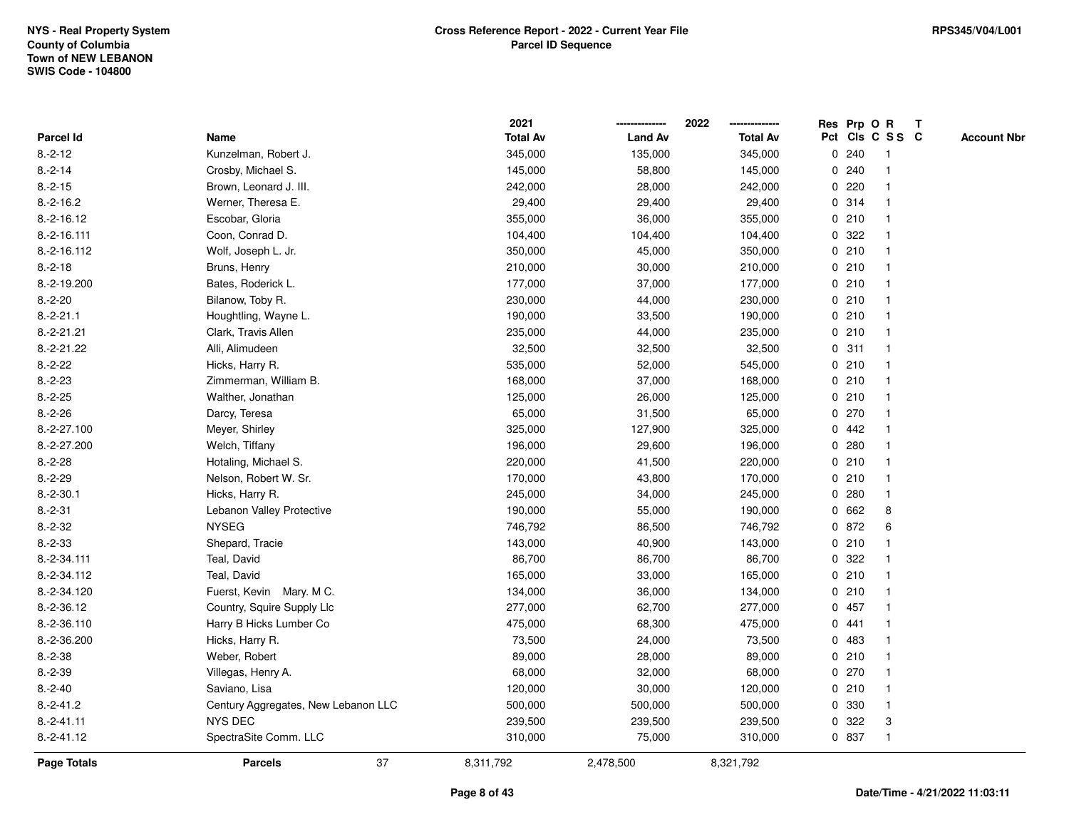|                    |                                     | 2021            |                | 2022            |   |       | Res Prp O R     | T                  |
|--------------------|-------------------------------------|-----------------|----------------|-----------------|---|-------|-----------------|--------------------|
| <b>Parcel Id</b>   | Name                                | <b>Total Av</b> | <b>Land Av</b> | <b>Total Av</b> |   |       | Pct Cls C S S C | <b>Account Nbr</b> |
| $8.-2-12$          | Kunzelman, Robert J.                | 345,000         | 135,000        | 345,000         | 0 | 240   | -1              |                    |
| $8.-2-14$          | Crosby, Michael S.                  | 145,000         | 58,800         | 145,000         |   | 0.240 | $\overline{1}$  |                    |
| $8.-2-15$          | Brown, Leonard J. III.              | 242,000         | 28,000         | 242,000         |   | 0.220 | 1               |                    |
| $8.-2-16.2$        | Werner, Theresa E.                  | 29,400          | 29,400         | 29,400          |   | 0.314 |                 |                    |
| $8.-2-16.12$       | Escobar, Gloria                     | 355,000         | 36,000         | 355,000         |   | 0210  |                 |                    |
| $8.-2-16.111$      | Coon, Conrad D.                     | 104,400         | 104,400        | 104,400         |   | 0.322 |                 |                    |
| 8.-2-16.112        | Wolf, Joseph L. Jr.                 | 350,000         | 45,000         | 350,000         |   | 0210  | $\mathbf{1}$    |                    |
| $8.-2-18$          | Bruns, Henry                        | 210,000         | 30,000         | 210,000         |   | 0210  | $\overline{1}$  |                    |
| 8.-2-19.200        | Bates, Roderick L.                  | 177,000         | 37,000         | 177,000         |   | 0210  | -1              |                    |
| $8.-2-20$          | Bilanow, Toby R.                    | 230,000         | 44,000         | 230,000         |   | 0210  | $\mathbf{1}$    |                    |
| $8.-2-21.1$        | Houghtling, Wayne L.                | 190,000         | 33,500         | 190,000         |   | 0210  |                 |                    |
| $8.-2-21.21$       | Clark, Travis Allen                 | 235,000         | 44,000         | 235,000         |   | 0210  |                 |                    |
| $8.-2-21.22$       | Alli, Alimudeen                     | 32,500          | 32,500         | 32,500          |   | 0.311 |                 |                    |
| $8.-2-22$          | Hicks, Harry R.                     | 535,000         | 52,000         | 545,000         |   | 0210  | 1               |                    |
| $8.-2-23$          | Zimmerman, William B.               | 168,000         | 37,000         | 168,000         |   | 0210  | $\mathbf{1}$    |                    |
| $8.-2-25$          | Walther, Jonathan                   | 125,000         | 26,000         | 125,000         |   | 0210  | $\overline{1}$  |                    |
| $8.-2-26$          | Darcy, Teresa                       | 65,000          | 31,500         | 65,000          |   | 0270  |                 |                    |
| 8.-2-27.100        | Meyer, Shirley                      | 325,000         | 127,900        | 325,000         |   | 0442  |                 |                    |
| 8.-2-27.200        | Welch, Tiffany                      | 196,000         | 29,600         | 196,000         |   | 0.280 |                 |                    |
| $8.-2-28$          | Hotaling, Michael S.                | 220,000         | 41,500         | 220,000         |   | 0210  |                 |                    |
| $8.-2-29$          | Nelson, Robert W. Sr.               | 170,000         | 43,800         | 170,000         |   | 0210  | $\mathbf{1}$    |                    |
| $8.-2-30.1$        | Hicks, Harry R.                     | 245,000         | 34,000         | 245,000         |   | 0.280 |                 |                    |
| $8.-2-31$          | Lebanon Valley Protective           | 190,000         | 55,000         | 190,000         |   | 0 662 | 8               |                    |
| $8.-2-32$          | <b>NYSEG</b>                        | 746,792         | 86,500         | 746,792         |   | 0 872 | 6               |                    |
| $8.-2-33$          | Shepard, Tracie                     | 143,000         | 40,900         | 143,000         |   | 0210  |                 |                    |
| 8.-2-34.111        | Teal, David                         | 86,700          | 86,700         | 86,700          |   | 0.322 |                 |                    |
| 8.-2-34.112        | Teal, David                         | 165,000         | 33,000         | 165,000         |   | 0210  |                 |                    |
| 8.-2-34.120        | Fuerst, Kevin Mary. M C.            | 134,000         | 36,000         | 134,000         |   | 0210  |                 |                    |
| 8.-2-36.12         | Country, Squire Supply Llc          | 277,000         | 62,700         | 277,000         |   | 0457  | $\mathbf{1}$    |                    |
| 8.-2-36.110        | Harry B Hicks Lumber Co             | 475,000         | 68,300         | 475,000         |   | 0441  | 1               |                    |
| 8.-2-36.200        | Hicks, Harry R.                     | 73,500          | 24,000         | 73,500          |   | 0 483 | $\mathbf{1}$    |                    |
| $8.-2-38$          | Weber, Robert                       | 89,000          | 28,000         | 89,000          |   | 0210  |                 |                    |
| $8.-2-39$          | Villegas, Henry A.                  | 68,000          | 32,000         | 68,000          |   | 0270  |                 |                    |
| $8.-2-40$          | Saviano, Lisa                       | 120,000         | 30,000         | 120,000         |   | 0210  |                 |                    |
| $8.-2-41.2$        | Century Aggregates, New Lebanon LLC | 500,000         | 500,000        | 500,000         |   | 0 330 | $\mathbf{1}$    |                    |
| $8.-2-41.11$       | <b>NYS DEC</b>                      | 239,500         | 239,500        | 239,500         | 0 | 322   | 3               |                    |
| $8.-2-41.12$       | SpectraSite Comm. LLC               | 310,000         | 75,000         | 310,000         |   | 0 837 | $\mathbf{1}$    |                    |
| <b>Page Totals</b> | 37<br><b>Parcels</b>                | 8,311,792       | 2,478,500      | 8,321,792       |   |       |                 |                    |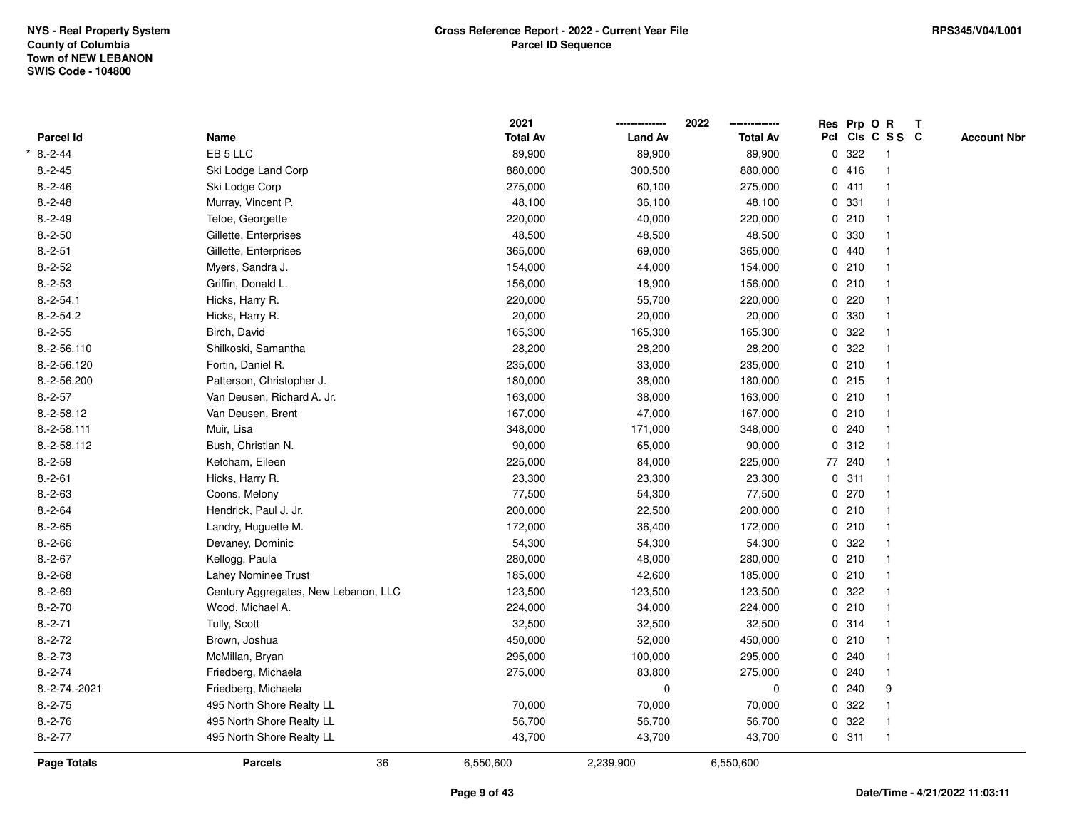|                  |                                      |    | 2021            |                | 2022            | Res Prp O R |                         | $\mathbf{T}$ |                    |
|------------------|--------------------------------------|----|-----------------|----------------|-----------------|-------------|-------------------------|--------------|--------------------|
| <b>Parcel Id</b> | Name                                 |    | <b>Total Av</b> | <b>Land Av</b> | <b>Total Av</b> |             | Pct Cls C S S C         |              | <b>Account Nbr</b> |
| $8.-2-44$        | EB 5 LLC                             |    | 89,900          | 89,900         | 89,900          | 0.322       | $\overline{1}$          |              |                    |
| $8.-2-45$        | Ski Lodge Land Corp                  |    | 880,000         | 300,500        | 880,000         | 0416        | $\overline{\mathbf{1}}$ |              |                    |
| $8.-2-46$        | Ski Lodge Corp                       |    | 275,000         | 60,100         | 275,000         | 0411        | $\mathbf{1}$            |              |                    |
| $8.-2-48$        | Murray, Vincent P.                   |    | 48,100          | 36,100         | 48,100          | 0.331       |                         |              |                    |
| $8.-2-49$        | Tefoe, Georgette                     |    | 220,000         | 40,000         | 220,000         | 0210        |                         |              |                    |
| $8.-2-50$        | Gillette, Enterprises                |    | 48,500          | 48,500         | 48,500          | 0 330       |                         |              |                    |
| $8.-2-51$        | Gillette, Enterprises                |    | 365,000         | 69,000         | 365,000         | 0440        |                         |              |                    |
| $8.-2-52$        | Myers, Sandra J.                     |    | 154,000         | 44,000         | 154,000         | 0210        |                         |              |                    |
| $8.-2-53$        | Griffin, Donald L.                   |    | 156,000         | 18,900         | 156,000         | 0210        |                         |              |                    |
| $8.-2-54.1$      | Hicks, Harry R.                      |    | 220,000         | 55,700         | 220,000         | $0$ 220     |                         |              |                    |
| $8.-2-54.2$      | Hicks, Harry R.                      |    | 20,000          | 20,000         | 20,000          | 0 330       |                         |              |                    |
| $8.-2-55$        | Birch, David                         |    | 165,300         | 165,300        | 165,300         | 0.322       |                         |              |                    |
| 8.-2-56.110      | Shilkoski, Samantha                  |    | 28,200          | 28,200         | 28,200          | 0.322       |                         |              |                    |
| 8.-2-56.120      | Fortin, Daniel R.                    |    | 235,000         | 33,000         | 235,000         | 0210        |                         |              |                    |
| 8.-2-56.200      | Patterson, Christopher J.            |    | 180,000         | 38,000         | 180,000         | 0215        | -1                      |              |                    |
| $8.-2-57$        | Van Deusen, Richard A. Jr.           |    | 163,000         | 38,000         | 163,000         | 0210        | $\mathbf{1}$            |              |                    |
| $8.-2-58.12$     | Van Deusen, Brent                    |    | 167,000         | 47,000         | 167,000         | 0210        | $\overline{1}$          |              |                    |
| 8.-2-58.111      | Muir, Lisa                           |    | 348,000         | 171,000        | 348,000         | 0.240       |                         |              |                    |
| 8.-2-58.112      | Bush, Christian N.                   |    | 90,000          | 65,000         | 90,000          | 0.312       |                         |              |                    |
| $8.-2-59$        | Ketcham, Eileen                      |    | 225,000         | 84,000         | 225,000         | 77 240      |                         |              |                    |
| $8.-2-61$        | Hicks, Harry R.                      |    | 23,300          | 23,300         | 23,300          | 0.311       |                         |              |                    |
| $8.-2-63$        | Coons, Melony                        |    | 77,500          | 54,300         | 77,500          | 0270        | -1                      |              |                    |
| $8.-2-64$        | Hendrick, Paul J. Jr.                |    | 200,000         | 22,500         | 200,000         | 0210        | $\overline{\mathbf{1}}$ |              |                    |
| $8.-2-65$        | Landry, Huguette M.                  |    | 172,000         | 36,400         | 172,000         | 0210        | $\overline{\mathbf{1}}$ |              |                    |
| $8.-2-66$        | Devaney, Dominic                     |    | 54,300          | 54,300         | 54,300          | 0.322       |                         |              |                    |
| $8.-2-67$        | Kellogg, Paula                       |    | 280,000         | 48,000         | 280,000         | 0210        |                         |              |                    |
| $8.-2-68$        | Lahey Nominee Trust                  |    | 185,000         | 42,600         | 185,000         | 0210        |                         |              |                    |
| $8.-2-69$        | Century Aggregates, New Lebanon, LLC |    | 123,500         | 123,500        | 123,500         | 0.322       |                         |              |                    |
| $8.-2-70$        | Wood, Michael A.                     |    | 224,000         | 34,000         | 224,000         | 0210        |                         |              |                    |
| $8.-2-71$        | Tully, Scott                         |    | 32,500          | 32,500         | 32,500          | 0.314       | -1                      |              |                    |
| $8.-2-72$        | Brown, Joshua                        |    | 450,000         | 52,000         | 450,000         | 0210        | $\mathbf{1}$            |              |                    |
| $8.-2-73$        | McMillan, Bryan                      |    | 295,000         | 100,000        | 295,000         | 0.240       |                         |              |                    |
| $8.-2-74$        | Friedberg, Michaela                  |    | 275,000         | 83,800         | 275,000         | 0.240       |                         |              |                    |
| 8.-2-74.-2021    | Friedberg, Michaela                  |    |                 | 0              | 0               | 0.240       | 9                       |              |                    |
| $8.-2-75$        | 495 North Shore Realty LL            |    | 70,000          | 70,000         | 70,000          | 0.322       |                         |              |                    |
| $8.-2-76$        | 495 North Shore Realty LL            |    | 56,700          | 56,700         | 56,700          | 0.322       |                         |              |                    |
| $8.-2-77$        | 495 North Shore Realty LL            |    | 43,700          | 43,700         | 43,700          | 0.311       | $\overline{\mathbf{1}}$ |              |                    |
| Page Totals      | <b>Parcels</b>                       | 36 | 6,550,600       | 2,239,900      | 6,550,600       |             |                         |              |                    |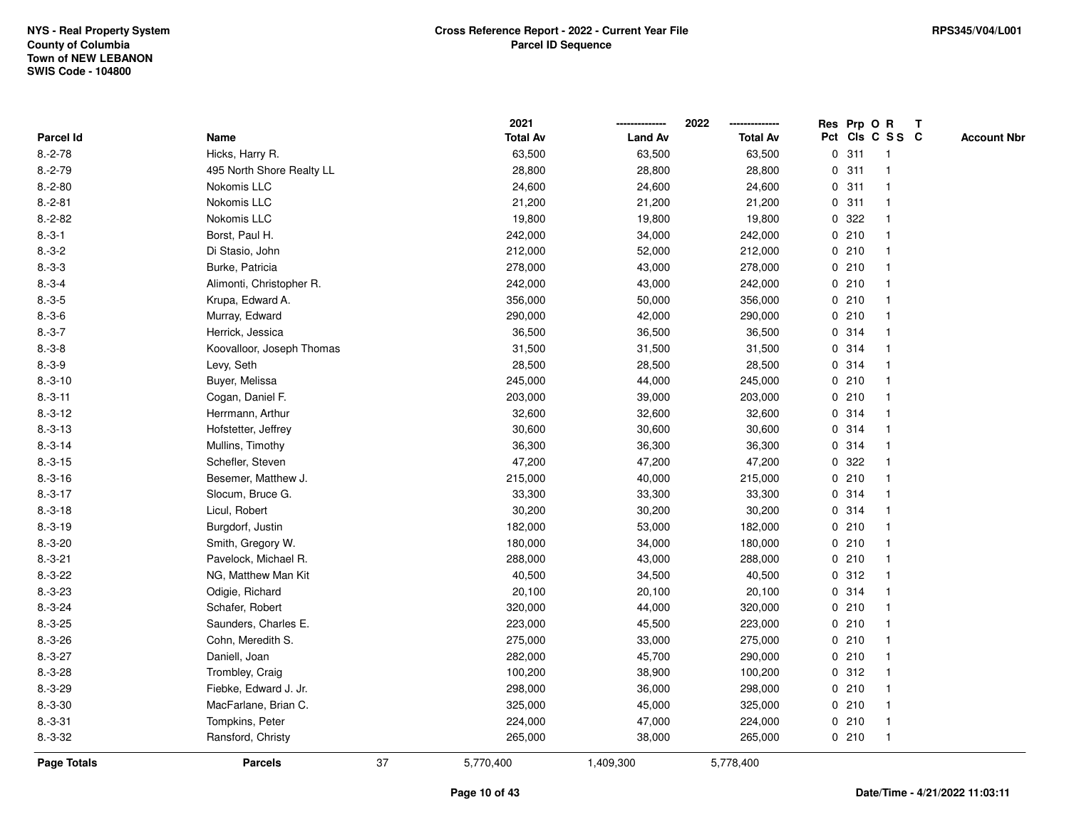|                    |                           |    | 2021            |                | 2022            |   |       | Res Prp O R     | T |                    |
|--------------------|---------------------------|----|-----------------|----------------|-----------------|---|-------|-----------------|---|--------------------|
| Parcel Id          | Name                      |    | <b>Total Av</b> | <b>Land Av</b> | <b>Total Av</b> |   |       | Pct Cls C S S C |   | <b>Account Nbr</b> |
| $8.-2-78$          | Hicks, Harry R.           |    | 63,500          | 63,500         | 63,500          | 0 | 311   | $\mathbf{1}$    |   |                    |
| $8.-2-79$          | 495 North Shore Realty LL |    | 28,800          | 28,800         | 28,800          | 0 | 311   |                 |   |                    |
| $8.-2-80$          | Nokomis LLC               |    | 24,600          | 24,600         | 24,600          |   | 0.311 | $\mathbf{1}$    |   |                    |
| $8.-2-81$          | Nokomis LLC               |    | 21,200          | 21,200         | 21,200          |   | 0.311 |                 |   |                    |
| $8.-2-82$          | Nokomis LLC               |    | 19,800          | 19,800         | 19,800          |   | 0.322 |                 |   |                    |
| $8.-3-1$           | Borst, Paul H.            |    | 242,000         | 34,000         | 242,000         |   | 0210  |                 |   |                    |
| $8.-3-2$           | Di Stasio, John           |    | 212,000         | 52,000         | 212,000         |   | 0210  |                 |   |                    |
| $8.-3-3$           | Burke, Patricia           |    | 278,000         | 43,000         | 278,000         |   | 0210  |                 |   |                    |
| $8.-3-4$           | Alimonti, Christopher R.  |    | 242,000         | 43,000         | 242,000         |   | 0210  |                 |   |                    |
| $8.-3-5$           | Krupa, Edward A.          |    | 356,000         | 50,000         | 356,000         |   | 0210  |                 |   |                    |
| $8.-3-6$           | Murray, Edward            |    | 290,000         | 42,000         | 290,000         |   | 0210  |                 |   |                    |
| $8.-3-7$           | Herrick, Jessica          |    | 36,500          | 36,500         | 36,500          |   | 0.314 |                 |   |                    |
| $8.-3-8$           | Koovalloor, Joseph Thomas |    | 31,500          | 31,500         | 31,500          |   | 0 314 |                 |   |                    |
| $8.-3-9$           | Levy, Seth                |    | 28,500          | 28,500         | 28,500          |   | 0.314 |                 |   |                    |
| $8.-3-10$          | Buyer, Melissa            |    | 245,000         | 44,000         | 245,000         |   | 0210  |                 |   |                    |
| $8.-3-11$          | Cogan, Daniel F.          |    | 203,000         | 39,000         | 203,000         |   | 0210  |                 |   |                    |
| $8.-3-12$          | Herrmann, Arthur          |    | 32,600          | 32,600         | 32,600          |   | 0 314 |                 |   |                    |
| $8.-3-13$          | Hofstetter, Jeffrey       |    | 30,600          | 30,600         | 30,600          |   | 0.314 |                 |   |                    |
| $8.-3-14$          | Mullins, Timothy          |    | 36,300          | 36,300         | 36,300          |   | 0 314 |                 |   |                    |
| $8.-3-15$          | Schefler, Steven          |    | 47,200          | 47,200         | 47,200          |   | 0 322 |                 |   |                    |
| $8.-3-16$          | Besemer, Matthew J.       |    | 215,000         | 40,000         | 215,000         |   | 0210  |                 |   |                    |
| $8.-3-17$          | Slocum, Bruce G.          |    | 33,300          | 33,300         | 33,300          |   | 0 314 |                 |   |                    |
| $8.-3-18$          | Licul, Robert             |    | 30,200          | 30,200         | 30,200          |   | 0 314 |                 |   |                    |
| $8.-3-19$          | Burgdorf, Justin          |    | 182,000         | 53,000         | 182,000         |   | 0210  |                 |   |                    |
| $8.-3-20$          | Smith, Gregory W.         |    | 180,000         | 34,000         | 180,000         |   | 0210  |                 |   |                    |
| $8.-3-21$          | Pavelock, Michael R.      |    | 288,000         | 43,000         | 288,000         |   | 0210  |                 |   |                    |
| $8.-3-22$          | NG, Matthew Man Kit       |    | 40,500          | 34,500         | 40,500          |   | 0.312 |                 |   |                    |
| $8.-3-23$          | Odigie, Richard           |    | 20,100          | 20,100         | 20,100          |   | 0.314 |                 |   |                    |
| $8.-3-24$          | Schafer, Robert           |    | 320,000         | 44,000         | 320,000         |   | 0210  |                 |   |                    |
| $8.-3-25$          | Saunders, Charles E.      |    | 223,000         | 45,500         | 223,000         |   | 0210  |                 |   |                    |
| $8.-3-26$          | Cohn, Meredith S.         |    | 275,000         | 33,000         | 275,000         |   | 0210  |                 |   |                    |
| $8.-3-27$          | Daniell, Joan             |    | 282,000         | 45,700         | 290,000         |   | 0210  |                 |   |                    |
| $8.-3-28$          | Trombley, Craig           |    | 100,200         | 38,900         | 100,200         |   | 0.312 |                 |   |                    |
| $8.-3-29$          | Fiebke, Edward J. Jr.     |    | 298,000         | 36,000         | 298,000         |   | 0210  |                 |   |                    |
| $8.-3-30$          | MacFarlane, Brian C.      |    | 325,000         | 45,000         | 325,000         |   | 0210  |                 |   |                    |
| $8.-3-31$          | Tompkins, Peter           |    | 224,000         | 47,000         | 224,000         |   | 0210  | $\mathbf{1}$    |   |                    |
| $8.-3-32$          | Ransford, Christy         |    | 265,000         | 38,000         | 265,000         |   | 0210  | $\mathbf{1}$    |   |                    |
| <b>Page Totals</b> | <b>Parcels</b>            | 37 | 5,770,400       | 1,409,300      | 5,778,400       |   |       |                 |   |                    |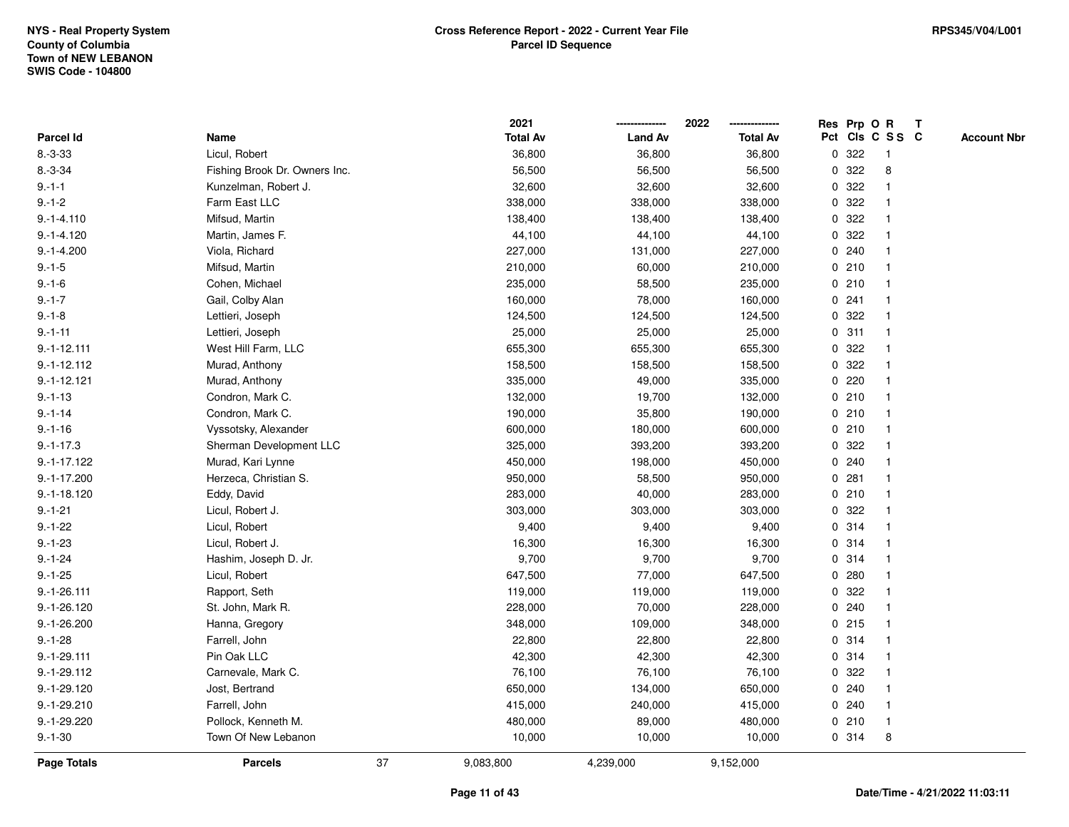|               |                               |    | 2021            |                | 2022            |   | Res Prp O R |                 | Т |                    |
|---------------|-------------------------------|----|-----------------|----------------|-----------------|---|-------------|-----------------|---|--------------------|
| Parcel Id     | Name                          |    | <b>Total Av</b> | <b>Land Av</b> | <b>Total Av</b> |   |             | Pct Cls C S S C |   | <b>Account Nbr</b> |
| $8.-3-33$     | Licul, Robert                 |    | 36,800          | 36,800         | 36,800          | 0 | 322         | $\mathbf{1}$    |   |                    |
| $8.-3-34$     | Fishing Brook Dr. Owners Inc. |    | 56,500          | 56,500         | 56,500          | 0 | 322         | 8               |   |                    |
| $9. - 1 - 1$  | Kunzelman, Robert J.          |    | 32,600          | 32,600         | 32,600          |   | 0.322       |                 |   |                    |
| $9.-1-2$      | Farm East LLC                 |    | 338,000         | 338,000        | 338,000         |   | 0.322       |                 |   |                    |
| $9.-1-4.110$  | Mifsud, Martin                |    | 138,400         | 138,400        | 138,400         |   | 0.322       |                 |   |                    |
| $9.-1-4.120$  | Martin, James F.              |    | 44,100          | 44,100         | 44,100          |   | 0.322       |                 |   |                    |
| $9.-1-4.200$  | Viola, Richard                |    | 227,000         | 131,000        | 227,000         |   | 0.240       |                 |   |                    |
| $9.-1-5$      | Mifsud, Martin                |    | 210,000         | 60,000         | 210,000         | 0 | 210         |                 |   |                    |
| $9 - 1 - 6$   | Cohen, Michael                |    | 235,000         | 58,500         | 235,000         |   | 0210        |                 |   |                    |
| $9.-1-7$      | Gail, Colby Alan              |    | 160,000         | 78,000         | 160,000         |   | 0.241       |                 |   |                    |
| $9.-1-8$      | Lettieri, Joseph              |    | 124,500         | 124,500        | 124,500         |   | 0.322       |                 |   |                    |
| $9. - 1 - 11$ | Lettieri, Joseph              |    | 25,000          | 25,000         | 25,000          |   | 0.311       |                 |   |                    |
| $9.-1-12.111$ | West Hill Farm, LLC           |    | 655,300         | 655,300        | 655,300         |   | 0 322       |                 |   |                    |
| $9.-1-12.112$ | Murad, Anthony                |    | 158,500         | 158,500        | 158,500         | 0 | 322         |                 |   |                    |
| $9.-1-12.121$ | Murad, Anthony                |    | 335,000         | 49,000         | 335,000         | 0 | 220         |                 |   |                    |
| $9. - 1 - 13$ | Condron, Mark C.              |    | 132,000         | 19,700         | 132,000         | 0 | 210         |                 |   |                    |
| $9 - 1 - 14$  | Condron, Mark C.              |    | 190,000         | 35,800         | 190,000         |   | 0210        |                 |   |                    |
| $9 - 1 - 16$  | Vyssotsky, Alexander          |    | 600,000         | 180,000        | 600,000         |   | 0210        |                 |   |                    |
| $9.-1-17.3$   | Sherman Development LLC       |    | 325,000         | 393,200        | 393,200         |   | 0 322       |                 |   |                    |
| $9.-1-17.122$ | Murad, Kari Lynne             |    | 450,000         | 198,000        | 450,000         |   | 0.240       |                 |   |                    |
| $9.-1-17.200$ | Herzeca, Christian S.         |    | 950,000         | 58,500         | 950,000         |   | 0.281       |                 |   |                    |
| $9.-1-18.120$ | Eddy, David                   |    | 283,000         | 40,000         | 283,000         |   | 0210        |                 |   |                    |
| $9.-1-21$     | Licul, Robert J.              |    | 303,000         | 303,000        | 303,000         | 0 | 322         |                 |   |                    |
| $9.-1-22$     | Licul, Robert                 |    | 9,400           | 9,400          | 9,400           |   | 0.314       |                 |   |                    |
| $9.-1-23$     | Licul, Robert J.              |    | 16,300          | 16,300         | 16,300          |   | 0.314       |                 |   |                    |
| $9.-1-24$     | Hashim, Joseph D. Jr.         |    | 9,700           | 9,700          | 9,700           |   | 0.314       |                 |   |                    |
| $9. - 1 - 25$ | Licul, Robert                 |    | 647,500         | 77,000         | 647,500         |   | 0.280       |                 |   |                    |
| $9.-1-26.111$ | Rapport, Seth                 |    | 119,000         | 119,000        | 119,000         | 0 | 322         |                 |   |                    |
| $9.-1-26.120$ | St. John, Mark R.             |    | 228,000         | 70,000         | 228,000         | 0 | 240         |                 |   |                    |
| $9.-1-26.200$ | Hanna, Gregory                |    | 348,000         | 109,000        | 348,000         | 0 | 215         |                 |   |                    |
| $9.-1-28$     | Farrell, John                 |    | 22,800          | 22,800         | 22,800          | 0 | 314         |                 |   |                    |
| $9.-1-29.111$ | Pin Oak LLC                   |    | 42,300          | 42,300         | 42,300          |   | 0.314       |                 |   |                    |
| $9.-1-29.112$ | Carnevale, Mark C.            |    | 76,100          | 76,100         | 76,100          |   | 0 322       |                 |   |                    |
| $9.-1-29.120$ | Jost, Bertrand                |    | 650,000         | 134,000        | 650,000         |   | 0.240       |                 |   |                    |
| $9.-1-29.210$ | Farrell, John                 |    | 415,000         | 240,000        | 415,000         |   | 0.240       |                 |   |                    |
| $9.-1-29.220$ | Pollock, Kenneth M.           |    | 480,000         | 89,000         | 480,000         |   | 0210        | $\overline{1}$  |   |                    |
| $9. - 1 - 30$ | Town Of New Lebanon           |    | 10,000          | 10,000         | 10,000          |   | 0.314       | 8               |   |                    |
| Page Totals   | <b>Parcels</b>                | 37 | 9,083,800       | 4,239,000      | 9,152,000       |   |             |                 |   |                    |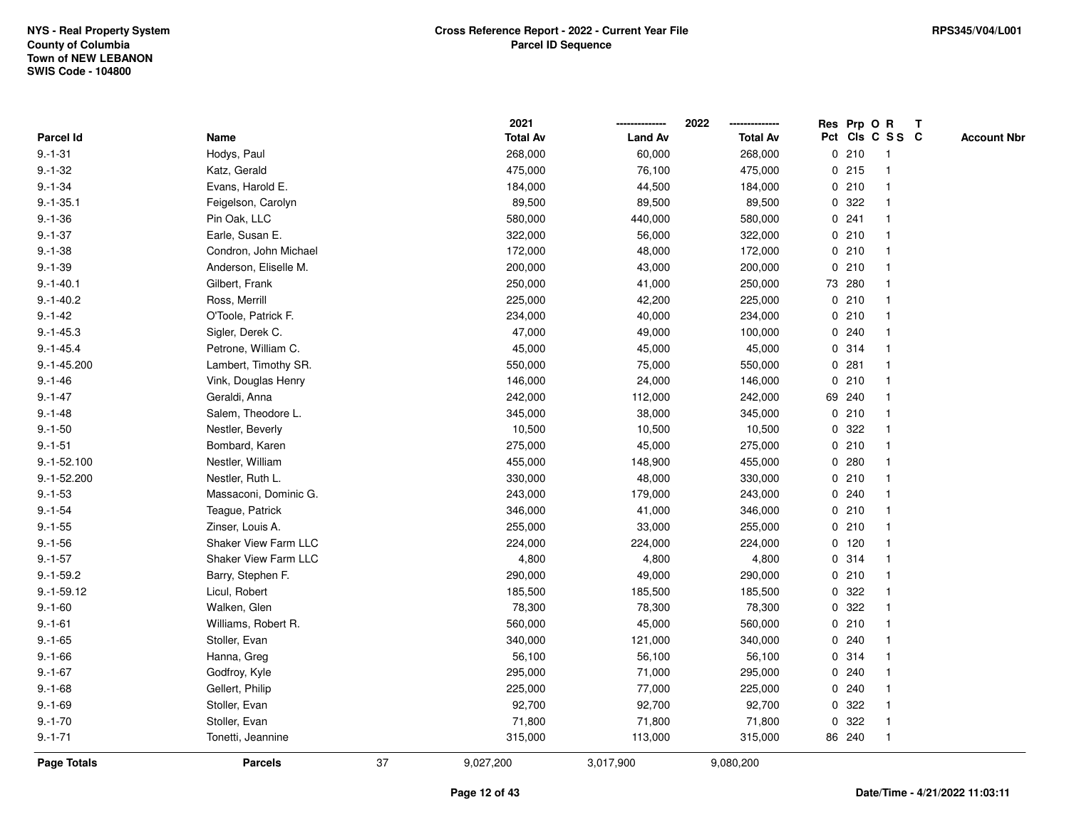|               |                       |    | 2021            |                | 2022            |             | Res Prp O R |                 | T |                    |
|---------------|-----------------------|----|-----------------|----------------|-----------------|-------------|-------------|-----------------|---|--------------------|
| Parcel Id     | Name                  |    | <b>Total Av</b> | <b>Land Av</b> | <b>Total Av</b> |             |             | Pct Cls C S S C |   | <b>Account Nbr</b> |
| $9.-1-31$     | Hodys, Paul           |    | 268,000         | 60,000         | 268,000         | 0           | 210         | $\mathbf{1}$    |   |                    |
| $9.-1-32$     | Katz, Gerald          |    | 475,000         | 76,100         | 475,000         | 0           | 215         | -1              |   |                    |
| $9.-1-34$     | Evans, Harold E.      |    | 184,000         | 44,500         | 184,000         |             | 0210        | $\mathbf 1$     |   |                    |
| $9.-1-35.1$   | Feigelson, Carolyn    |    | 89,500          | 89,500         | 89,500          |             | 0 322       |                 |   |                    |
| $9.-1-36$     | Pin Oak, LLC          |    | 580,000         | 440,000        | 580,000         |             | 0.241       |                 |   |                    |
| $9.-1-37$     | Earle, Susan E.       |    | 322,000         | 56,000         | 322,000         |             | 0210        |                 |   |                    |
| $9.-1-38$     | Condron, John Michael |    | 172,000         | 48,000         | 172,000         |             | 0210        | $\mathbf 1$     |   |                    |
| $9.-1-39$     | Anderson, Eliselle M. |    | 200,000         | 43,000         | 200,000         | 0           | 210         |                 |   |                    |
| $9.-1-40.1$   | Gilbert, Frank        |    | 250,000         | 41,000         | 250,000         |             | 73 280      | -1              |   |                    |
| $9.-1-40.2$   | Ross, Merrill         |    | 225,000         | 42,200         | 225,000         |             | 0210        | $\mathbf 1$     |   |                    |
| $9.-1-42$     | O'Toole, Patrick F.   |    | 234,000         | 40,000         | 234,000         |             | 0210        |                 |   |                    |
| $9.-1-45.3$   | Sigler, Derek C.      |    | 47,000          | 49,000         | 100,000         |             | 0.240       |                 |   |                    |
| $9.-1-45.4$   | Petrone, William C.   |    | 45,000          | 45,000         | 45,000          |             | 0.314       |                 |   |                    |
| $9.-1-45.200$ | Lambert, Timothy SR.  |    | 550,000         | 75,000         | 550,000         |             | 0.281       |                 |   |                    |
| $9 - 1 - 46$  | Vink, Douglas Henry   |    | 146,000         | 24,000         | 146,000         | $\mathbf 0$ | 210         |                 |   |                    |
| $9. - 1 - 47$ | Geraldi, Anna         |    | 242,000         | 112,000        | 242,000         |             | 69 240      | -1              |   |                    |
| $9. - 1 - 48$ | Salem, Theodore L.    |    | 345,000         | 38,000         | 345,000         | $\mathbf 0$ | 210         |                 |   |                    |
| $9.-1-50$     | Nestler, Beverly      |    | 10,500          | 10,500         | 10,500          |             | 0 322       |                 |   |                    |
| $9.-1-51$     | Bombard, Karen        |    | 275,000         | 45,000         | 275,000         |             | 0210        |                 |   |                    |
| $9.-1-52.100$ | Nestler, William      |    | 455,000         | 148,900        | 455,000         |             | 0.280       |                 |   |                    |
| $9.-1-52.200$ | Nestler, Ruth L.      |    | 330,000         | 48,000         | 330,000         |             | 0210        |                 |   |                    |
| $9.-1-53$     | Massaconi, Dominic G. |    | 243,000         | 179,000        | 243,000         |             | 0.240       |                 |   |                    |
| $9. - 1 - 54$ | Teague, Patrick       |    | 346,000         | 41,000         | 346,000         | 0           | 210         | $\mathbf 1$     |   |                    |
| $9.-1-55$     | Zinser, Louis A.      |    | 255,000         | 33,000         | 255,000         | $\mathbf 0$ | 210         |                 |   |                    |
| $9.-1-56$     | Shaker View Farm LLC  |    | 224,000         | 224,000        | 224,000         |             | $0$ 120     |                 |   |                    |
| $9. - 1 - 57$ | Shaker View Farm LLC  |    | 4,800           | 4,800          | 4,800           |             | 0 314       |                 |   |                    |
| $9.-1-59.2$   | Barry, Stephen F.     |    | 290,000         | 49,000         | 290,000         |             | 0210        |                 |   |                    |
| $9.-1-59.12$  | Licul, Robert         |    | 185,500         | 185,500        | 185,500         | 0           | 322         |                 |   |                    |
| $9 - 1 - 60$  | Walken, Glen          |    | 78,300          | 78,300         | 78,300          | 0           | 322         |                 |   |                    |
| $9.-1-61$     | Williams, Robert R.   |    | 560,000         | 45,000         | 560,000         | 0           | 210         |                 |   |                    |
| $9. - 1 - 65$ | Stoller, Evan         |    | 340,000         | 121,000        | 340,000         | 0           | 240         |                 |   |                    |
| $9.-1-66$     | Hanna, Greg           |    | 56,100          | 56,100         | 56,100          |             | 0 314       | -1              |   |                    |
| $9.-1-67$     | Godfroy, Kyle         |    | 295,000         | 71,000         | 295,000         |             | 0.240       |                 |   |                    |
| $9. - 1 - 68$ | Gellert, Philip       |    | 225,000         | 77,000         | 225,000         |             | 0.240       |                 |   |                    |
| $9. - 1 - 69$ | Stoller, Evan         |    | 92,700          | 92,700         | 92,700          | 0           | 322         |                 |   |                    |
| $9.-1-70$     | Stoller, Evan         |    | 71,800          | 71,800         | 71,800          | 0           | 322         | -1              |   |                    |
| $9. - 1 - 71$ | Tonetti, Jeannine     |    | 315,000         | 113,000        | 315,000         |             | 86 240      | $\overline{1}$  |   |                    |
| Page Totals   | <b>Parcels</b>        | 37 | 9,027,200       | 3,017,900      | 9,080,200       |             |             |                 |   |                    |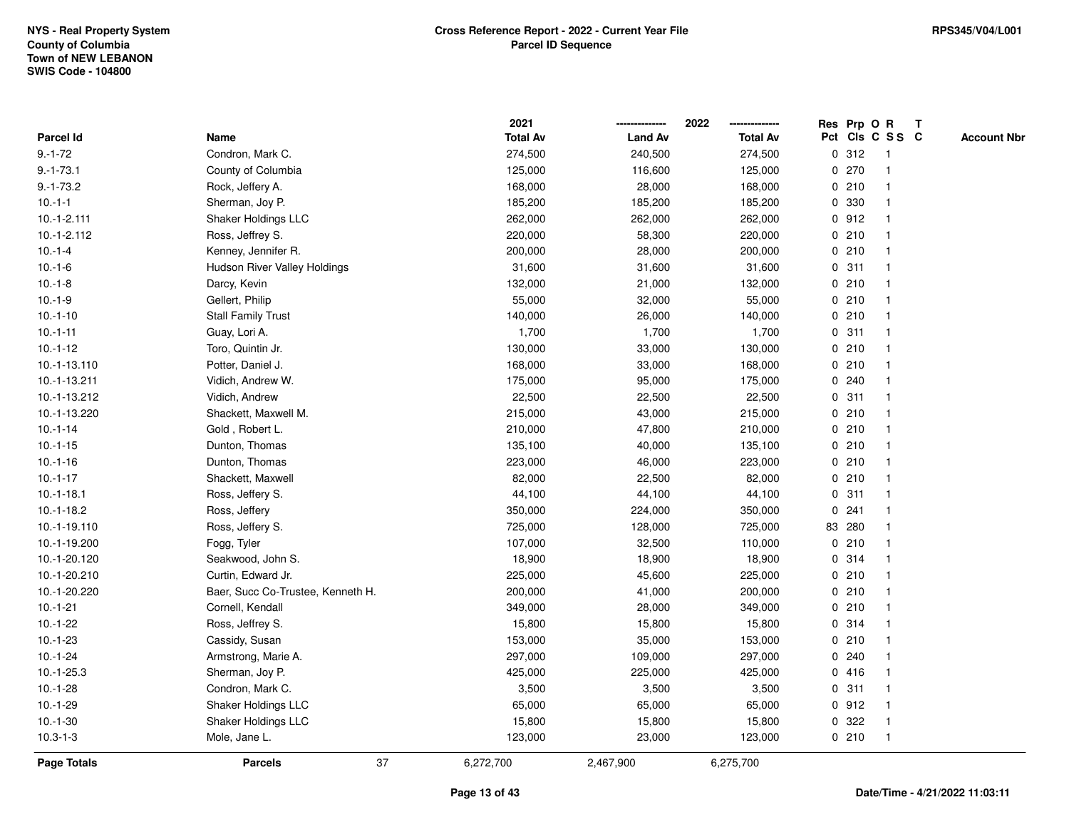|                 |                                   |    | 2021            |                | 2022<br>-------------- |   | Res Prp O R |                         | Т |                    |
|-----------------|-----------------------------------|----|-----------------|----------------|------------------------|---|-------------|-------------------------|---|--------------------|
| Parcel Id       | Name                              |    | <b>Total Av</b> | <b>Land Av</b> | <b>Total Av</b>        |   |             | Pct Cls C S S C         |   | <b>Account Nbr</b> |
| $9. - 1 - 72$   | Condron, Mark C.                  |    | 274,500         | 240,500        | 274,500                |   | 0.312       | $\overline{\mathbf{1}}$ |   |                    |
| $9. - 1 - 73.1$ | County of Columbia                |    | 125,000         | 116,600        | 125,000                |   | 0270        | $\overline{\mathbf{1}}$ |   |                    |
| $9.-1-73.2$     | Rock, Jeffery A.                  |    | 168,000         | 28,000         | 168,000                |   | 0210        | -1                      |   |                    |
| $10.-1-1$       | Sherman, Joy P.                   |    | 185,200         | 185,200        | 185,200                |   | 0 330       | -1                      |   |                    |
| $10.-1-2.111$   | Shaker Holdings LLC               |    | 262,000         | 262,000        | 262,000                |   | 0.912       |                         |   |                    |
| $10.-1-2.112$   | Ross, Jeffrey S.                  |    | 220,000         | 58,300         | 220,000                |   | 0210        |                         |   |                    |
| $10.-1-4$       | Kenney, Jennifer R.               |    | 200,000         | 28,000         | 200,000                |   | 0210        | -1                      |   |                    |
| $10.-1-6$       | Hudson River Valley Holdings      |    | 31,600          | 31,600         | 31,600                 |   | 0.311       | $\overline{\mathbf{1}}$ |   |                    |
| $10.-1-8$       | Darcy, Kevin                      |    | 132,000         | 21,000         | 132,000                |   | 0210        | $\overline{\mathbf{1}}$ |   |                    |
| $10.-1-9$       | Gellert, Philip                   |    | 55,000          | 32,000         | 55,000                 |   | 0210        | $\mathbf{1}$            |   |                    |
| $10.-1-10$      | <b>Stall Family Trust</b>         |    | 140,000         | 26,000         | 140,000                |   | 0210        |                         |   |                    |
| $10.-1-11$      | Guay, Lori A.                     |    | 1,700           | 1,700          | 1,700                  |   | 0.311       |                         |   |                    |
| $10.-1-12$      | Toro, Quintin Jr.                 |    | 130,000         | 33,000         | 130,000                |   | 0210        |                         |   |                    |
| 10.-1-13.110    | Potter, Daniel J.                 |    | 168,000         | 33,000         | 168,000                |   | 0210        |                         |   |                    |
| 10.-1-13.211    | Vidich, Andrew W.                 |    | 175,000         | 95,000         | 175,000                |   | 0.240       | -1                      |   |                    |
| 10.-1-13.212    | Vidich, Andrew                    |    | 22,500          | 22,500         | 22,500                 |   | 0.311       | $\overline{\mathbf{1}}$ |   |                    |
| 10.-1-13.220    | Shackett, Maxwell M.              |    | 215,000         | 43,000         | 215,000                |   | 0210        | $\mathbf{1}$            |   |                    |
| $10.-1-14$      | Gold, Robert L.                   |    | 210,000         | 47,800         | 210,000                |   | 0210        |                         |   |                    |
| $10.-1-15$      | Dunton, Thomas                    |    | 135,100         | 40,000         | 135,100                |   | 0210        |                         |   |                    |
| $10.-1-16$      | Dunton, Thomas                    |    | 223,000         | 46,000         | 223,000                |   | 0210        |                         |   |                    |
| $10.-1-17$      | Shackett, Maxwell                 |    | 82,000          | 22,500         | 82,000                 |   | 0210        | $\overline{1}$          |   |                    |
| $10.-1-18.1$    | Ross, Jeffery S.                  |    | 44,100          | 44,100         | 44,100                 |   | 0.311       | -1                      |   |                    |
| $10.-1-18.2$    | Ross, Jeffery                     |    | 350,000         | 224,000        | 350,000                | 0 | 241         | $\overline{\mathbf{1}}$ |   |                    |
| 10.-1-19.110    | Ross, Jeffery S.                  |    | 725,000         | 128,000        | 725,000                |   | 83 280      | $\mathbf{1}$            |   |                    |
| 10.-1-19.200    | Fogg, Tyler                       |    | 107,000         | 32,500         | 110,000                |   | 0210        |                         |   |                    |
| 10.-1-20.120    | Seakwood, John S.                 |    | 18,900          | 18,900         | 18,900                 |   | 0.314       |                         |   |                    |
| 10.-1-20.210    | Curtin, Edward Jr.                |    | 225,000         | 45,600         | 225,000                |   | 0210        |                         |   |                    |
| 10.-1-20.220    | Baer, Succ Co-Trustee, Kenneth H. |    | 200,000         | 41,000         | 200,000                |   | 0210        | -1                      |   |                    |
| $10.-1-21$      | Cornell, Kendall                  |    | 349,000         | 28,000         | 349,000                |   | 0210        | -1                      |   |                    |
| $10.-1-22$      | Ross, Jeffrey S.                  |    | 15,800          | 15,800         | 15,800                 |   | 0.314       | $\overline{\mathbf{1}}$ |   |                    |
| $10.-1-23$      | Cassidy, Susan                    |    | 153,000         | 35,000         | 153,000                |   | 0210        | -1                      |   |                    |
| $10.-1-24$      | Armstrong, Marie A.               |    | 297,000         | 109,000        | 297,000                |   | 0.240       |                         |   |                    |
| $10.-1-25.3$    | Sherman, Joy P.                   |    | 425,000         | 225,000        | 425,000                |   | 0416        |                         |   |                    |
| $10.-1-28$      | Condron, Mark C.                  |    | 3,500           | 3,500          | 3,500                  |   | 0.311       | 1                       |   |                    |
| $10.-1-29$      | Shaker Holdings LLC               |    | 65,000          | 65,000         | 65,000                 |   | 0.912       | $\overline{1}$          |   |                    |
| $10.-1-30$      | Shaker Holdings LLC               |    | 15,800          | 15,800         | 15,800                 | 0 | 322         | -1                      |   |                    |
| $10.3 - 1 - 3$  | Mole, Jane L.                     |    | 123,000         | 23,000         | 123,000                |   | 0210        | $\overline{1}$          |   |                    |
| Page Totals     | <b>Parcels</b>                    | 37 | 6,272,700       | 2,467,900      | 6,275,700              |   |             |                         |   |                    |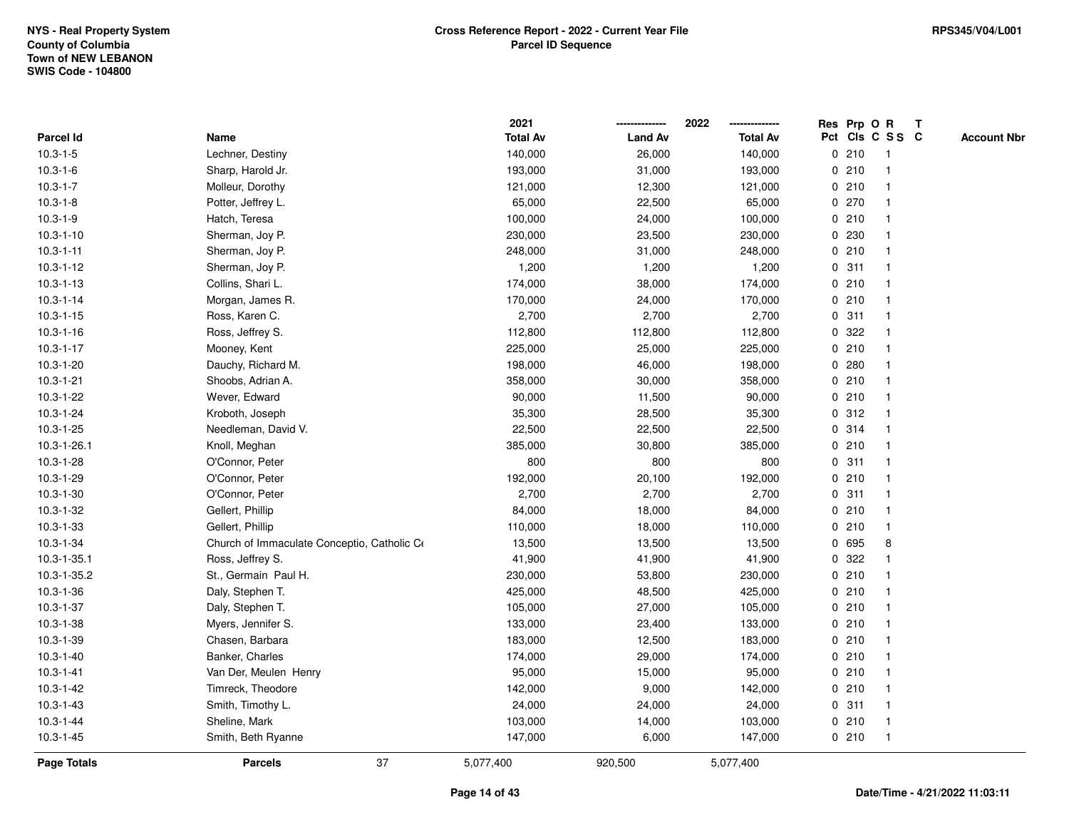|                  |                                             |    | 2021            |                | 2022            |             |       | Res Prp O R     | T |                    |
|------------------|---------------------------------------------|----|-----------------|----------------|-----------------|-------------|-------|-----------------|---|--------------------|
| <b>Parcel Id</b> | Name                                        |    | <b>Total Av</b> | <b>Land Av</b> | <b>Total Av</b> |             |       | Pct Cls C S S C |   | <b>Account Nbr</b> |
| $10.3 - 1 - 5$   | Lechner, Destiny                            |    | 140,000         | 26,000         | 140,000         | 0           | 210   | $\mathbf{1}$    |   |                    |
| $10.3 - 1 - 6$   | Sharp, Harold Jr.                           |    | 193,000         | 31,000         | 193,000         | 0           | 210   |                 |   |                    |
| $10.3 - 1 - 7$   | Molleur, Dorothy                            |    | 121,000         | 12,300         | 121,000         |             | 0210  | -1              |   |                    |
| $10.3 - 1 - 8$   | Potter, Jeffrey L.                          |    | 65,000          | 22,500         | 65,000          |             | 0 270 |                 |   |                    |
| $10.3 - 1 - 9$   | Hatch, Teresa                               |    | 100,000         | 24,000         | 100,000         |             | 0210  |                 |   |                    |
| $10.3 - 1 - 10$  | Sherman, Joy P.                             |    | 230,000         | 23,500         | 230,000         |             | 0 230 |                 |   |                    |
| $10.3 - 1 - 11$  | Sherman, Joy P.                             |    | 248,000         | 31,000         | 248,000         |             | 0210  |                 |   |                    |
| $10.3 - 1 - 12$  | Sherman, Joy P.                             |    | 1,200           | 1,200          | 1,200           | 0           | 311   | -1              |   |                    |
| $10.3 - 1 - 13$  | Collins, Shari L.                           |    | 174,000         | 38,000         | 174,000         | 0           | 210   |                 |   |                    |
| $10.3 - 1 - 14$  | Morgan, James R.                            |    | 170,000         | 24,000         | 170,000         |             | 0210  | -1              |   |                    |
| $10.3 - 1 - 15$  | Ross, Karen C.                              |    | 2,700           | 2,700          | 2,700           |             | 0.311 |                 |   |                    |
| $10.3 - 1 - 16$  | Ross, Jeffrey S.                            |    | 112,800         | 112,800        | 112,800         |             | 0 322 |                 |   |                    |
| $10.3 - 1 - 17$  | Mooney, Kent                                |    | 225,000         | 25,000         | 225,000         |             | 0210  |                 |   |                    |
| $10.3 - 1 - 20$  | Dauchy, Richard M.                          |    | 198,000         | 46,000         | 198,000         |             | 0.280 |                 |   |                    |
| $10.3 - 1 - 21$  | Shoobs, Adrian A.                           |    | 358,000         | 30,000         | 358,000         | $\mathbf 0$ | 210   |                 |   |                    |
| 10.3-1-22        | Wever, Edward                               |    | 90,000          | 11,500         | 90,000          | $\mathbf 0$ | 210   | $\mathbf{1}$    |   |                    |
| 10.3-1-24        | Kroboth, Joseph                             |    | 35,300          | 28,500         | 35,300          |             | 0.312 | $\mathbf{1}$    |   |                    |
| $10.3 - 1 - 25$  | Needleman, David V.                         |    | 22,500          | 22,500         | 22,500          |             | 0.314 |                 |   |                    |
| 10.3-1-26.1      | Knoll, Meghan                               |    | 385,000         | 30,800         | 385,000         |             | 0210  |                 |   |                    |
| $10.3 - 1 - 28$  | O'Connor, Peter                             |    | 800             | 800            | 800             |             | 0.311 |                 |   |                    |
| 10.3-1-29        | O'Connor, Peter                             |    | 192,000         | 20,100         | 192,000         |             | 0210  |                 |   |                    |
| $10.3 - 1 - 30$  | O'Connor, Peter                             |    | 2,700           | 2,700          | 2,700           |             | 0.311 |                 |   |                    |
| 10.3-1-32        | Gellert, Phillip                            |    | 84,000          | 18,000         | 84,000          | 0           | 210   | -1              |   |                    |
| $10.3 - 1 - 33$  | Gellert, Phillip                            |    | 110,000         | 18,000         | 110,000         | $\mathbf 0$ | 210   | $\overline{1}$  |   |                    |
| 10.3-1-34        | Church of Immaculate Conceptio, Catholic Co |    | 13,500          | 13,500         | 13,500          |             | 0 695 | 8               |   |                    |
| 10.3-1-35.1      | Ross, Jeffrey S.                            |    | 41,900          | 41,900         | 41,900          |             | 0 322 |                 |   |                    |
| 10.3-1-35.2      | St., Germain Paul H.                        |    | 230,000         | 53,800         | 230,000         |             | 0210  |                 |   |                    |
| $10.3 - 1 - 36$  | Daly, Stephen T.                            |    | 425,000         | 48,500         | 425,000         |             | 0210  |                 |   |                    |
| $10.3 - 1 - 37$  | Daly, Stephen T.                            |    | 105,000         | 27,000         | 105,000         |             | 0210  |                 |   |                    |
| $10.3 - 1 - 38$  | Myers, Jennifer S.                          |    | 133,000         | 23,400         | 133,000         | $\mathbf 0$ | 210   |                 |   |                    |
| 10.3-1-39        | Chasen, Barbara                             |    | 183,000         | 12,500         | 183,000         |             | 0210  |                 |   |                    |
| $10.3 - 1 - 40$  | Banker, Charles                             |    | 174,000         | 29,000         | 174,000         |             | 0210  | -1              |   |                    |
| $10.3 - 1 - 41$  | Van Der, Meulen Henry                       |    | 95,000          | 15,000         | 95,000          |             | 0210  |                 |   |                    |
| $10.3 - 1 - 42$  | Timreck, Theodore                           |    | 142,000         | 9,000          | 142,000         |             | 0210  |                 |   |                    |
| $10.3 - 1 - 43$  | Smith, Timothy L.                           |    | 24,000          | 24,000         | 24,000          |             | 0.311 | $\mathbf 1$     |   |                    |
| $10.3 - 1 - 44$  | Sheline, Mark                               |    | 103,000         | 14,000         | 103,000         |             | 0210  | $\mathbf{1}$    |   |                    |
| $10.3 - 1 - 45$  | Smith, Beth Ryanne                          |    | 147,000         | 6,000          | 147,000         |             | 0210  | $\overline{1}$  |   |                    |
| Page Totals      | <b>Parcels</b>                              | 37 | 5,077,400       | 920,500        | 5,077,400       |             |       |                 |   |                    |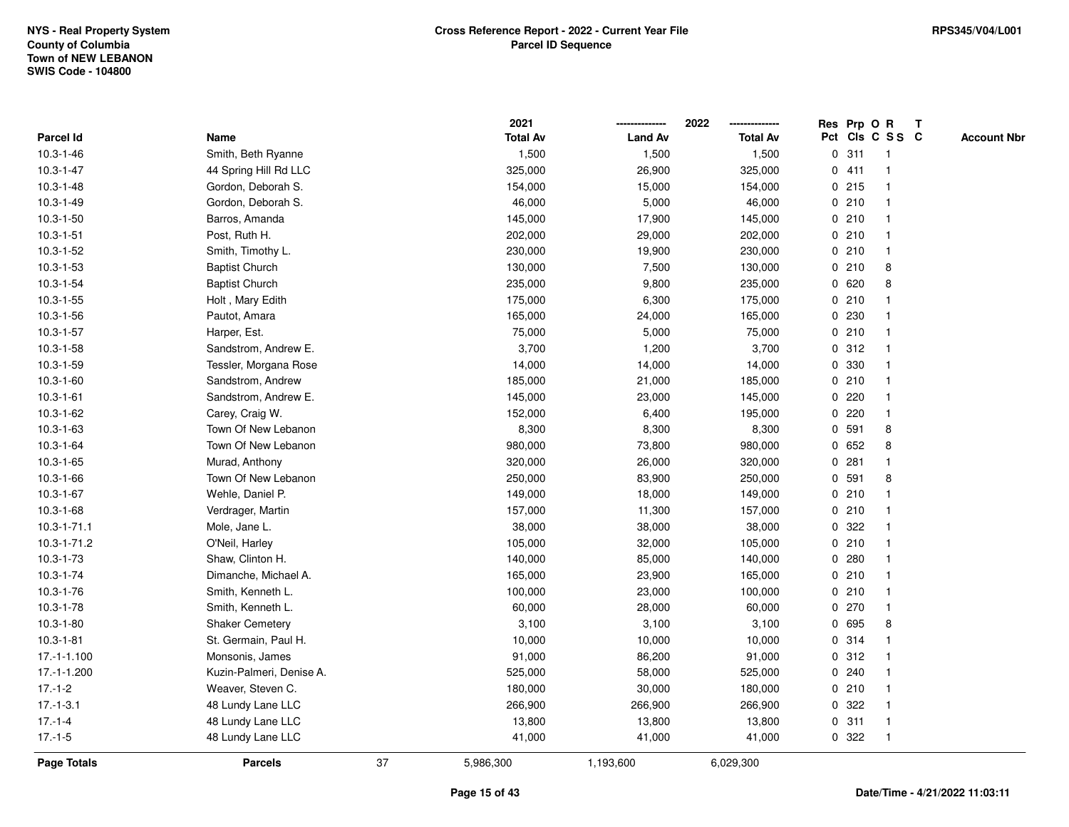|                  |                          |    | 2021            |                | 2022            |             | Res Prp O R |                 | T |                    |
|------------------|--------------------------|----|-----------------|----------------|-----------------|-------------|-------------|-----------------|---|--------------------|
| <b>Parcel Id</b> | Name                     |    | <b>Total Av</b> | <b>Land Av</b> | <b>Total Av</b> |             |             | Pct Cls C S S C |   | <b>Account Nbr</b> |
| $10.3 - 1 - 46$  | Smith, Beth Ryanne       |    | 1,500           | 1,500          | 1,500           | 0           | 311         | $\mathbf{1}$    |   |                    |
| $10.3 - 1 - 47$  | 44 Spring Hill Rd LLC    |    | 325,000         | 26,900         | 325,000         |             | 0411        | -1              |   |                    |
| $10.3 - 1 - 48$  | Gordon, Deborah S.       |    | 154,000         | 15,000         | 154,000         |             | 0.215       | $\mathbf{1}$    |   |                    |
| $10.3 - 1 - 49$  | Gordon, Deborah S.       |    | 46,000          | 5,000          | 46,000          |             | 0210        |                 |   |                    |
| $10.3 - 1 - 50$  | Barros, Amanda           |    | 145,000         | 17,900         | 145,000         |             | 0210        |                 |   |                    |
| $10.3 - 1 - 51$  | Post, Ruth H.            |    | 202,000         | 29,000         | 202,000         |             | 0210        |                 |   |                    |
| $10.3 - 1 - 52$  | Smith, Timothy L.        |    | 230,000         | 19,900         | 230,000         |             | 0210        | $\overline{1}$  |   |                    |
| $10.3 - 1 - 53$  | <b>Baptist Church</b>    |    | 130,000         | 7,500          | 130,000         | 0           | 210         | 8               |   |                    |
| $10.3 - 1 - 54$  | <b>Baptist Church</b>    |    | 235,000         | 9,800          | 235,000         |             | 0620        | 8               |   |                    |
| $10.3 - 1 - 55$  | Holt, Mary Edith         |    | 175,000         | 6,300          | 175,000         |             | 0210        |                 |   |                    |
| $10.3 - 1 - 56$  | Pautot, Amara            |    | 165,000         | 24,000         | 165,000         |             | 0 230       |                 |   |                    |
| $10.3 - 1 - 57$  | Harper, Est.             |    | 75,000          | 5,000          | 75,000          |             | 0210        |                 |   |                    |
| $10.3 - 1 - 58$  | Sandstrom, Andrew E.     |    | 3,700           | 1,200          | 3,700           |             | 0.312       |                 |   |                    |
| 10.3-1-59        | Tessler, Morgana Rose    |    | 14,000          | 14,000         | 14,000          |             | 0 330       |                 |   |                    |
| $10.3 - 1 - 60$  | Sandstrom, Andrew        |    | 185,000         | 21,000         | 185,000         | 0           | 210         |                 |   |                    |
| $10.3 - 1 - 61$  | Sandstrom, Andrew E.     |    | 145,000         | 23,000         | 145,000         | 0           | 220         | -1              |   |                    |
| 10.3-1-62        | Carey, Craig W.          |    | 152,000         | 6,400          | 195,000         | 0           | 220         | $\mathbf{1}$    |   |                    |
| $10.3 - 1 - 63$  | Town Of New Lebanon      |    | 8,300           | 8,300          | 8,300           |             | 0 591       | 8               |   |                    |
| $10.3 - 1 - 64$  | Town Of New Lebanon      |    | 980,000         | 73,800         | 980,000         |             | 0 652       | 8               |   |                    |
| $10.3 - 1 - 65$  | Murad, Anthony           |    | 320,000         | 26,000         | 320,000         |             | 0.281       |                 |   |                    |
| $10.3 - 1 - 66$  | Town Of New Lebanon      |    | 250,000         | 83,900         | 250,000         |             | 0 591       | 8               |   |                    |
| $10.3 - 1 - 67$  | Wehle, Daniel P.         |    | 149,000         | 18,000         | 149,000         |             | 0210        |                 |   |                    |
| $10.3 - 1 - 68$  | Verdrager, Martin        |    | 157,000         | 11,300         | 157,000         | 0           | 210         | $\mathbf 1$     |   |                    |
| 10.3-1-71.1      | Mole, Jane L.            |    | 38,000          | 38,000         | 38,000          | $\mathbf 0$ | 322         |                 |   |                    |
| 10.3-1-71.2      | O'Neil, Harley           |    | 105,000         | 32,000         | 105,000         |             | 0210        |                 |   |                    |
| $10.3 - 1 - 73$  | Shaw, Clinton H.         |    | 140,000         | 85,000         | 140,000         |             | 0.280       |                 |   |                    |
| $10.3 - 1 - 74$  | Dimanche, Michael A.     |    | 165,000         | 23,900         | 165,000         |             | 0210        |                 |   |                    |
| $10.3 - 1 - 76$  | Smith, Kenneth L.        |    | 100,000         | 23,000         | 100,000         |             | 0210        |                 |   |                    |
| $10.3 - 1 - 78$  | Smith, Kenneth L.        |    | 60,000          | 28,000         | 60,000          |             | 0270        |                 |   |                    |
| $10.3 - 1 - 80$  | <b>Shaker Cemetery</b>   |    | 3,100           | 3,100          | 3,100           | 0           | 695         | 8               |   |                    |
| $10.3 - 1 - 81$  | St. Germain, Paul H.     |    | 10,000          | 10,000         | 10,000          | 0           | 314         | $\mathbf 1$     |   |                    |
| $17.-1-1.100$    | Monsonis, James          |    | 91,000          | 86,200         | 91,000          |             | 0.312       |                 |   |                    |
| 17.-1-1.200      | Kuzin-Palmeri, Denise A. |    | 525,000         | 58,000         | 525,000         |             | 0.240       |                 |   |                    |
| $17.-1-2$        | Weaver, Steven C.        |    | 180,000         | 30,000         | 180,000         |             | 0210        |                 |   |                    |
| $17 - 1 - 3.1$   | 48 Lundy Lane LLC        |    | 266,900         | 266,900        | 266,900         |             | 0 322       | $\mathbf{1}$    |   |                    |
| $17 - 1 - 4$     | 48 Lundy Lane LLC        |    | 13,800          | 13,800         | 13,800          | 0           | 311         | $\mathbf{1}$    |   |                    |
| $17 - 1 - 5$     | 48 Lundy Lane LLC        |    | 41,000          | 41,000         | 41,000          |             | 0 322       | $\overline{1}$  |   |                    |
| Page Totals      | <b>Parcels</b>           | 37 | 5,986,300       | 1,193,600      | 6,029,300       |             |             |                 |   |                    |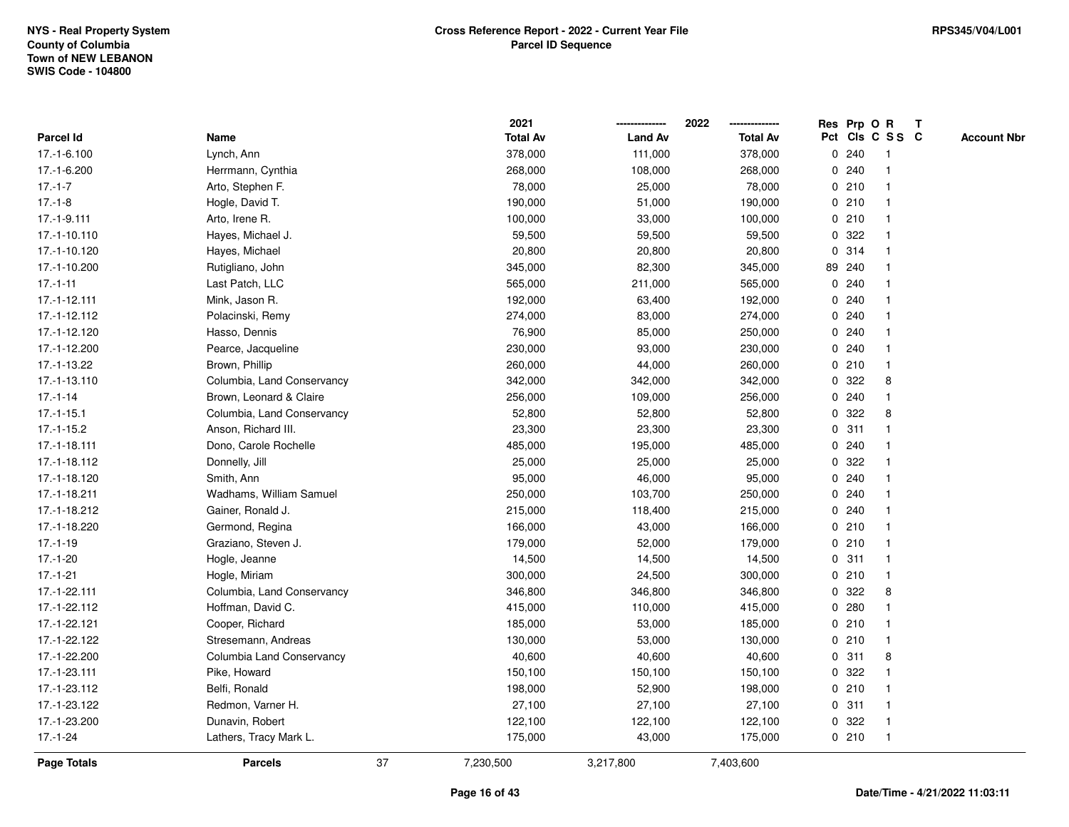|               |                            |    | 2021            |                | 2022<br>-------------- |              | Res Prp O R |                 | Т |                    |
|---------------|----------------------------|----|-----------------|----------------|------------------------|--------------|-------------|-----------------|---|--------------------|
| Parcel Id     | Name                       |    | <b>Total Av</b> | <b>Land Av</b> | <b>Total Av</b>        |              |             | Pct Cls C S S C |   | <b>Account Nbr</b> |
| 17.-1-6.100   | Lynch, Ann                 |    | 378,000         | 111,000        | 378,000                | $\mathbf 0$  | 240         | -1              |   |                    |
| 17.-1-6.200   | Herrmann, Cynthia          |    | 268,000         | 108,000        | 268,000                | 0            | 240         | -1              |   |                    |
| $17.-1-7$     | Arto, Stephen F.           |    | 78,000          | 25,000         | 78,000                 |              | 0210        | $\overline{1}$  |   |                    |
| $17.-1-8$     | Hogle, David T.            |    | 190,000         | 51,000         | 190,000                |              | 0210        |                 |   |                    |
| 17.-1-9.111   | Arto, Irene R.             |    | 100,000         | 33,000         | 100,000                |              | 0210        |                 |   |                    |
| 17.-1-10.110  | Hayes, Michael J.          |    | 59,500          | 59,500         | 59,500                 | 0            | 322         |                 |   |                    |
| 17.-1-10.120  | Hayes, Michael             |    | 20,800          | 20,800         | 20,800                 |              | 0 314       |                 |   |                    |
| 17.-1-10.200  | Rutigliano, John           |    | 345,000         | 82,300         | 345,000                |              | 89 240      |                 |   |                    |
| $17.-1-11$    | Last Patch, LLC            |    | 565,000         | 211,000        | 565,000                |              | 0.240       |                 |   |                    |
| 17.-1-12.111  | Mink, Jason R.             |    | 192,000         | 63,400         | 192,000                | $\mathbf{0}$ | 240         |                 |   |                    |
| 17.-1-12.112  | Polacinski, Remy           |    | 274,000         | 83,000         | 274,000                |              | 0.240       |                 |   |                    |
| 17.-1-12.120  | Hasso, Dennis              |    | 76,900          | 85,000         | 250,000                |              | 0.240       |                 |   |                    |
| 17.-1-12.200  | Pearce, Jacqueline         |    | 230,000         | 93,000         | 230,000                |              | 0.240       |                 |   |                    |
| 17.-1-13.22   | Brown, Phillip             |    | 260,000         | 44,000         | 260,000                |              | 0210        |                 |   |                    |
| 17.-1-13.110  | Columbia, Land Conservancy |    | 342,000         | 342,000        | 342,000                | 0            | 322         | 8               |   |                    |
| $17 - 1 - 14$ | Brown, Leonard & Claire    |    | 256,000         | 109,000        | 256,000                | 0            | 240         | $\mathbf{1}$    |   |                    |
| $17.-1-15.1$  | Columbia, Land Conservancy |    | 52,800          | 52,800         | 52,800                 | 0            | 322         | 8               |   |                    |
| $17.-1-15.2$  | Anson, Richard III.        |    | 23,300          | 23,300         | 23,300                 |              | 0.311       |                 |   |                    |
| 17.-1-18.111  | Dono, Carole Rochelle      |    | 485,000         | 195,000        | 485,000                |              | 0.240       |                 |   |                    |
| 17.-1-18.112  | Donnelly, Jill             |    | 25,000          | 25,000         | 25,000                 |              | 0 322       |                 |   |                    |
| 17.-1-18.120  | Smith, Ann                 |    | 95,000          | 46,000         | 95,000                 | 0            | 240         |                 |   |                    |
| 17.-1-18.211  | Wadhams, William Samuel    |    | 250,000         | 103,700        | 250,000                |              | 0.240       |                 |   |                    |
| 17.-1-18.212  | Gainer, Ronald J.          |    | 215,000         | 118,400        | 215,000                | $\mathbf 0$  | 240         |                 |   |                    |
| 17.-1-18.220  | Germond, Regina            |    | 166,000         | 43,000         | 166,000                |              | 0210        | -1              |   |                    |
| $17.-1-19$    | Graziano, Steven J.        |    | 179,000         | 52,000         | 179,000                |              | 0210        | -1              |   |                    |
| $17.-1-20$    | Hogle, Jeanne              |    | 14,500          | 14,500         | 14,500                 |              | 0.311       |                 |   |                    |
| $17.-1-21$    | Hogle, Miriam              |    | 300,000         | 24,500         | 300,000                |              | 0210        |                 |   |                    |
| 17.-1-22.111  | Columbia, Land Conservancy |    | 346,800         | 346,800        | 346,800                | 0            | 322         | 8               |   |                    |
| 17.-1-22.112  | Hoffman, David C.          |    | 415,000         | 110,000        | 415,000                | 0            | 280         |                 |   |                    |
| 17.-1-22.121  | Cooper, Richard            |    | 185,000         | 53,000         | 185,000                | 0            | 210         |                 |   |                    |
| 17.-1-22.122  | Stresemann, Andreas        |    | 130,000         | 53,000         | 130,000                | $\mathbf{0}$ | 210         | $\overline{1}$  |   |                    |
| 17.-1-22.200  | Columbia Land Conservancy  |    | 40,600          | 40,600         | 40,600                 |              | 0.311       | 8               |   |                    |
| 17.-1-23.111  | Pike, Howard               |    | 150,100         | 150,100        | 150,100                |              | 0.322       |                 |   |                    |
| 17.-1-23.112  | Belfi, Ronald              |    | 198,000         | 52,900         | 198,000                |              | 0210        |                 |   |                    |
| 17.-1-23.122  | Redmon, Varner H.          |    | 27,100          | 27,100         | 27,100                 |              | 0.311       |                 |   |                    |
| 17.-1-23.200  | Dunavin, Robert            |    | 122,100         | 122,100        | 122,100                | 0            | 322         |                 |   |                    |
| $17.-1-24$    | Lathers, Tracy Mark L.     |    | 175,000         | 43,000         | 175,000                |              | 0210        | $\overline{1}$  |   |                    |
| Page Totals   | <b>Parcels</b>             | 37 | 7,230,500       | 3,217,800      | 7,403,600              |              |             |                 |   |                    |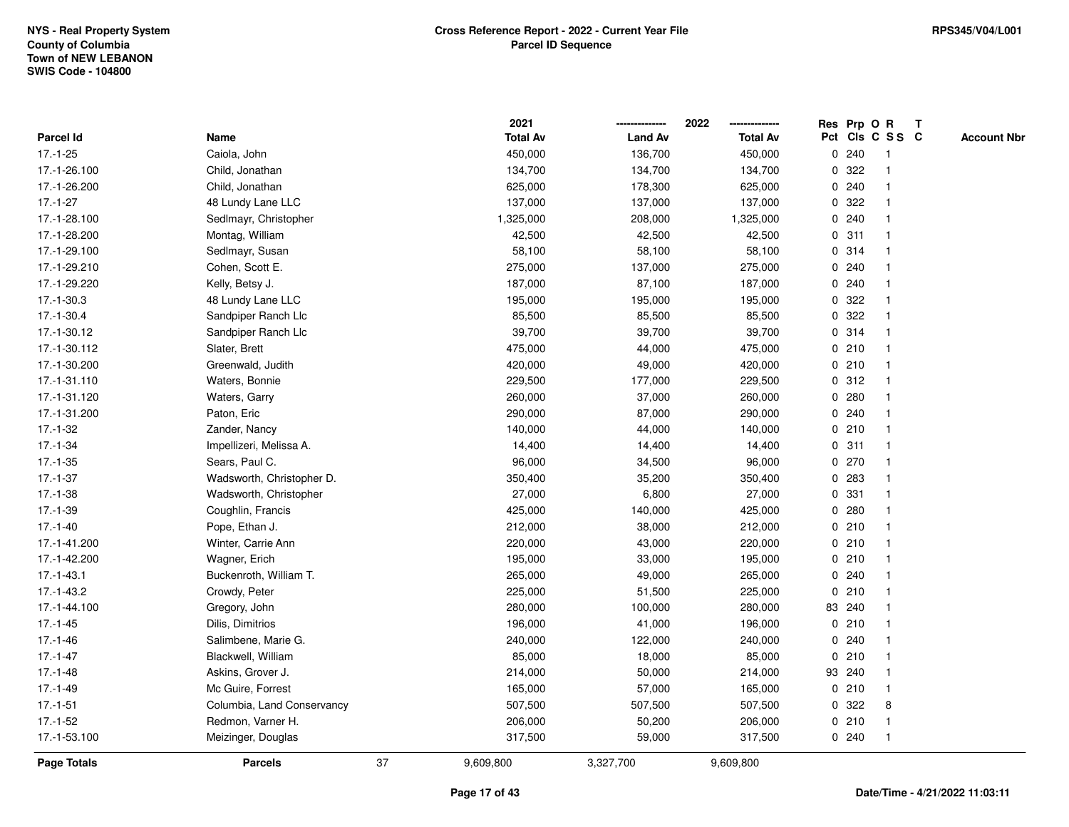|                    |                            |    | 2021            |                | 2022            |             | Res Prp O R |                 | T |                    |
|--------------------|----------------------------|----|-----------------|----------------|-----------------|-------------|-------------|-----------------|---|--------------------|
| Parcel Id          | Name                       |    | <b>Total Av</b> | <b>Land Av</b> | <b>Total Av</b> |             |             | Pct Cls C S S C |   | <b>Account Nbr</b> |
| $17.-1-25$         | Caiola, John               |    | 450,000         | 136,700        | 450,000         | 0           | 240         | -1              |   |                    |
| 17.-1-26.100       | Child, Jonathan            |    | 134,700         | 134,700        | 134,700         | 0           | 322         | -1              |   |                    |
| 17.-1-26.200       | Child, Jonathan            |    | 625,000         | 178,300        | 625,000         |             | 0.240       | -1              |   |                    |
| $17.-1-27$         | 48 Lundy Lane LLC          |    | 137,000         | 137,000        | 137,000         |             | 0 322       |                 |   |                    |
| 17.-1-28.100       | Sedlmayr, Christopher      |    | 1,325,000       | 208,000        | 1,325,000       |             | 0.240       |                 |   |                    |
| 17.-1-28.200       | Montag, William            |    | 42,500          | 42,500         | 42,500          |             | 0.311       |                 |   |                    |
| 17.-1-29.100       | Sedlmayr, Susan            |    | 58,100          | 58,100         | 58,100          |             | 0.314       |                 |   |                    |
| 17.-1-29.210       | Cohen, Scott E.            |    | 275,000         | 137,000        | 275,000         | 0           | 240         |                 |   |                    |
| 17.-1-29.220       | Kelly, Betsy J.            |    | 187,000         | 87,100         | 187,000         | 0           | 240         |                 |   |                    |
| $17.-1-30.3$       | 48 Lundy Lane LLC          |    | 195,000         | 195,000        | 195,000         |             | 0 322       |                 |   |                    |
| $17.-1-30.4$       | Sandpiper Ranch Llc        |    | 85,500          | 85,500         | 85,500          |             | 0.322       |                 |   |                    |
| 17.-1-30.12        | Sandpiper Ranch Llc        |    | 39,700          | 39,700         | 39,700          |             | 0.314       |                 |   |                    |
| 17.-1-30.112       | Slater, Brett              |    | 475,000         | 44,000         | 475,000         |             | 0210        |                 |   |                    |
| 17.-1-30.200       | Greenwald, Judith          |    | 420,000         | 49,000         | 420,000         |             | 0210        |                 |   |                    |
| 17.-1-31.110       | Waters, Bonnie             |    | 229,500         | 177,000        | 229,500         | $\mathbf 0$ | 312         |                 |   |                    |
| 17.-1-31.120       | Waters, Garry              |    | 260,000         | 37,000         | 260,000         | 0           | 280         | -1              |   |                    |
| 17.-1-31.200       | Paton, Eric                |    | 290,000         | 87,000         | 290,000         | $\mathbf 0$ | 240         | $\mathbf{1}$    |   |                    |
| 17.-1-32           | Zander, Nancy              |    | 140,000         | 44,000         | 140,000         |             | 0210        |                 |   |                    |
| $17.-1-34$         | Impellizeri, Melissa A.    |    | 14,400          | 14,400         | 14,400          |             | 0.311       |                 |   |                    |
| $17.-1-35$         | Sears, Paul C.             |    | 96,000          | 34,500         | 96,000          |             | 0 270       |                 |   |                    |
| $17.-1-37$         | Wadsworth, Christopher D.  |    | 350,400         | 35,200         | 350,400         |             | 0 283       |                 |   |                    |
| 17.-1-38           | Wadsworth, Christopher     |    | 27,000          | 6,800          | 27,000          | 0           | 331         |                 |   |                    |
| $17.-1-39$         | Coughlin, Francis          |    | 425,000         | 140,000        | 425,000         | 0           | 280         | -1              |   |                    |
| $17.-1-40$         | Pope, Ethan J.             |    | 212,000         | 38,000         | 212,000         | $\mathbf 0$ | 210         | $\overline{1}$  |   |                    |
| 17.-1-41.200       | Winter, Carrie Ann         |    | 220,000         | 43,000         | 220,000         |             | 0210        |                 |   |                    |
| 17.-1-42.200       | Wagner, Erich              |    | 195,000         | 33,000         | 195,000         |             | 0210        |                 |   |                    |
| $17 - 1 - 43.1$    | Buckenroth, William T.     |    | 265,000         | 49,000         | 265,000         |             | 0.240       |                 |   |                    |
| $17.-1-43.2$       | Crowdy, Peter              |    | 225,000         | 51,500         | 225,000         | 0           | 210         |                 |   |                    |
| 17.-1-44.100       | Gregory, John              |    | 280,000         | 100,000        | 280,000         |             | 83 240      |                 |   |                    |
| $17.-1-45$         | Dilis, Dimitrios           |    | 196,000         | 41,000         | 196,000         | 0           | 210         |                 |   |                    |
| 17.-1-46           | Salimbene, Marie G.        |    | 240,000         | 122,000        | 240,000         | 0           | 240         | -1              |   |                    |
| $17.-1-47$         | Blackwell, William         |    | 85,000          | 18,000         | 85,000          |             | 0210        | -1              |   |                    |
| $17.-1-48$         | Askins, Grover J.          |    | 214,000         | 50,000         | 214,000         |             | 93 240      |                 |   |                    |
| $17.-1-49$         | Mc Guire, Forrest          |    | 165,000         | 57,000         | 165,000         |             | 0210        |                 |   |                    |
| $17.-1-51$         | Columbia, Land Conservancy |    | 507,500         | 507,500        | 507,500         |             | 0 322       | 8               |   |                    |
| $17.-1-52$         | Redmon, Varner H.          |    | 206,000         | 50,200         | 206,000         | 0           | 210         | -1              |   |                    |
| 17.-1-53.100       | Meizinger, Douglas         |    | 317,500         | 59,000         | 317,500         |             | 0.240       | $\overline{1}$  |   |                    |
| <b>Page Totals</b> | <b>Parcels</b>             | 37 | 9,609,800       | 3,327,700      | 9,609,800       |             |             |                 |   |                    |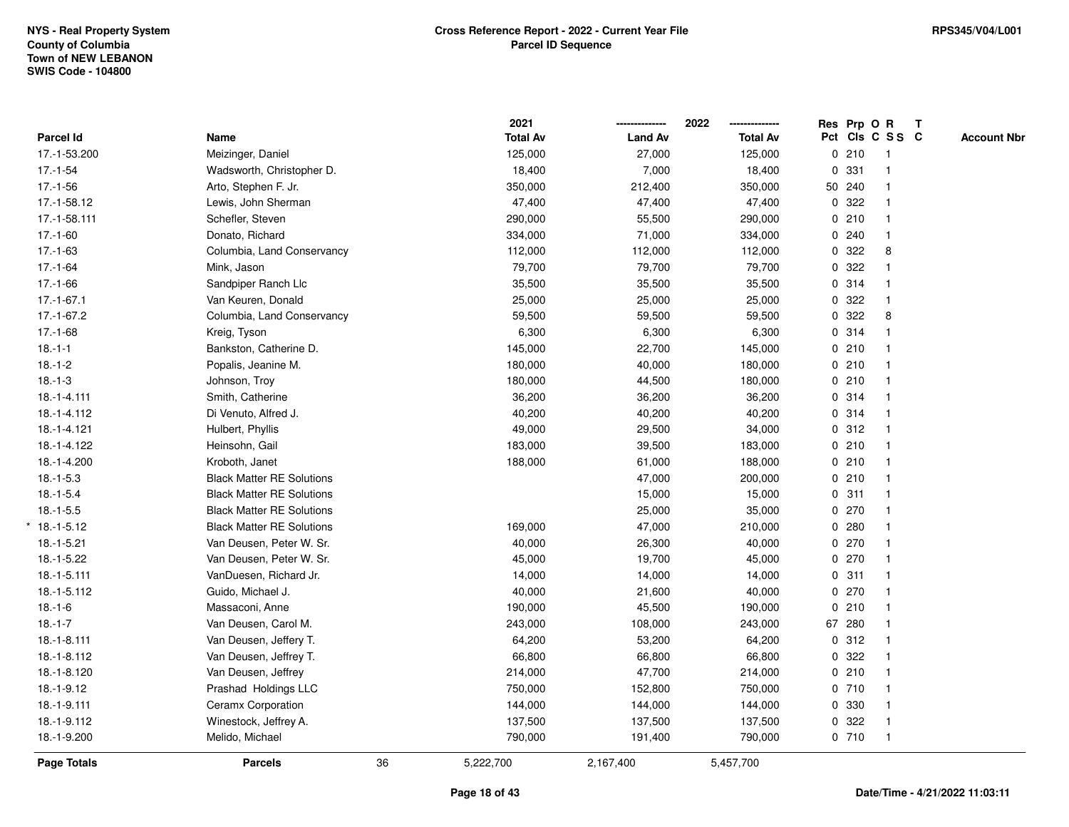|                  |                                  |    | 2021            |                | 2022            | Res Prp O R |                 | $\mathbf{T}$ |                    |
|------------------|----------------------------------|----|-----------------|----------------|-----------------|-------------|-----------------|--------------|--------------------|
| <b>Parcel Id</b> | Name                             |    | <b>Total Av</b> | <b>Land Av</b> | <b>Total Av</b> |             | Pct Cls C S S C |              | <b>Account Nbr</b> |
| 17.-1-53.200     | Meizinger, Daniel                |    | 125,000         | 27,000         | 125,000         | 0210        | $\overline{1}$  |              |                    |
| $17.-1-54$       | Wadsworth, Christopher D.        |    | 18,400          | 7,000          | 18,400          | 0 331       | $\mathbf{1}$    |              |                    |
| $17.-1-56$       | Arto, Stephen F. Jr.             |    | 350,000         | 212,400        | 350,000         | 50 240      | $\mathbf{1}$    |              |                    |
| 17.-1-58.12      | Lewis, John Sherman              |    | 47,400          | 47,400         | 47,400          | 0.322       | $\mathbf{1}$    |              |                    |
| 17.-1-58.111     | Schefler, Steven                 |    | 290,000         | 55,500         | 290,000         | 0210        |                 |              |                    |
| $17.-1-60$       | Donato, Richard                  |    | 334,000         | 71,000         | 334,000         | 0.240       |                 |              |                    |
| $17.-1-63$       | Columbia, Land Conservancy       |    | 112,000         | 112,000        | 112,000         | 0.322       | 8               |              |                    |
| $17.-1-64$       | Mink, Jason                      |    | 79,700          | 79,700         | 79,700          | 0 322       | $\mathbf{1}$    |              |                    |
| $17.-1-66$       | Sandpiper Ranch Llc              |    | 35,500          | 35,500         | 35,500          | 0 314       | $\mathbf{1}$    |              |                    |
| $17.-1-67.1$     | Van Keuren, Donald               |    | 25,000          | 25,000         | 25,000          | 0.322       | $\mathbf{1}$    |              |                    |
| 17.-1-67.2       | Columbia, Land Conservancy       |    | 59,500          | 59,500         | 59,500          | 0.322       | 8               |              |                    |
| $17.-1-68$       | Kreig, Tyson                     |    | 6,300           | 6,300          | 6,300           | 0 314       |                 |              |                    |
| $18.-1-1$        | Bankston, Catherine D.           |    | 145,000         | 22,700         | 145,000         | 0210        |                 |              |                    |
| $18.-1-2$        | Popalis, Jeanine M.              |    | 180,000         | 40,000         | 180,000         | 0210        | $\mathbf{1}$    |              |                    |
| $18.-1-3$        | Johnson, Troy                    |    | 180,000         | 44,500         | 180,000         | 0210        | $\mathbf{1}$    |              |                    |
| $18.-1-4.111$    | Smith, Catherine                 |    | 36,200          | 36,200         | 36,200          | 0.314       | $\mathbf{1}$    |              |                    |
| 18.-1-4.112      | Di Venuto, Alfred J.             |    | 40,200          | 40,200         | 40,200          | 0 314       | $\mathbf{1}$    |              |                    |
| 18.-1-4.121      | Hulbert, Phyllis                 |    | 49,000          | 29,500         | 34,000          | 0.312       | $\mathbf 1$     |              |                    |
| 18.-1-4.122      | Heinsohn, Gail                   |    | 183,000         | 39,500         | 183,000         | 0210        |                 |              |                    |
| 18.-1-4.200      | Kroboth, Janet                   |    | 188,000         | 61,000         | 188,000         | 0210        |                 |              |                    |
| $18.-1-5.3$      | <b>Black Matter RE Solutions</b> |    |                 | 47,000         | 200,000         | 0210        | $\overline{1}$  |              |                    |
| $18.-1-5.4$      | <b>Black Matter RE Solutions</b> |    |                 | 15,000         | 15,000          | 0.311       | $\mathbf{1}$    |              |                    |
| $18.-1-5.5$      | <b>Black Matter RE Solutions</b> |    |                 | 25,000         | 35,000          | 0270        | $\mathbf{1}$    |              |                    |
| $*$ 18.-1-5.12   | <b>Black Matter RE Solutions</b> |    | 169,000         | 47,000         | 210,000         | 0.280       | $\mathbf{1}$    |              |                    |
| $18.-1-5.21$     | Van Deusen, Peter W. Sr.         |    | 40,000          | 26,300         | 40,000          | $0$ 270     | $\mathbf{1}$    |              |                    |
| $18.-1-5.22$     | Van Deusen, Peter W. Sr.         |    | 45,000          | 19,700         | 45,000          | $0$ 270     |                 |              |                    |
| $18.-1-5.111$    | VanDuesen, Richard Jr.           |    | 14,000          | 14,000         | 14,000          | 0.311       |                 |              |                    |
| 18.-1-5.112      | Guido, Michael J.                |    | 40,000          | 21,600         | 40,000          | 0270        | 1               |              |                    |
| $18.-1-6$        | Massaconi, Anne                  |    | 190,000         | 45,500         | 190,000         | 0210        | $\mathbf{1}$    |              |                    |
| $18.-1-7$        | Van Deusen, Carol M.             |    | 243,000         | 108,000        | 243,000         | 67 280      | $\mathbf{1}$    |              |                    |
| 18.-1-8.111      | Van Deusen, Jeffery T.           |    | 64,200          | 53,200         | 64,200          | 0.312       | $\mathbf{1}$    |              |                    |
| 18.-1-8.112      | Van Deusen, Jeffrey T.           |    | 66,800          | 66,800         | 66,800          | 0.322       | $\mathbf{1}$    |              |                    |
| 18.-1-8.120      | Van Deusen, Jeffrey              |    | 214,000         | 47,700         | 214,000         | 0210        | $\mathbf{1}$    |              |                    |
| $18.-1-9.12$     | Prashad Holdings LLC             |    | 750,000         | 152,800        | 750,000         | 0710        |                 |              |                    |
| 18.-1-9.111      | Ceramx Corporation               |    | 144,000         | 144,000        | 144,000         | 0 330       | $\mathbf{1}$    |              |                    |
| 18.-1-9.112      | Winestock, Jeffrey A.            |    | 137,500         | 137,500        | 137,500         | 0 322       | $\mathbf{1}$    |              |                    |
| 18.-1-9.200      | Melido, Michael                  |    | 790,000         | 191,400        | 790,000         | 0710        | $\mathbf{1}$    |              |                    |
| Page Totals      | <b>Parcels</b>                   | 36 | 5,222,700       | 2,167,400      | 5,457,700       |             |                 |              |                    |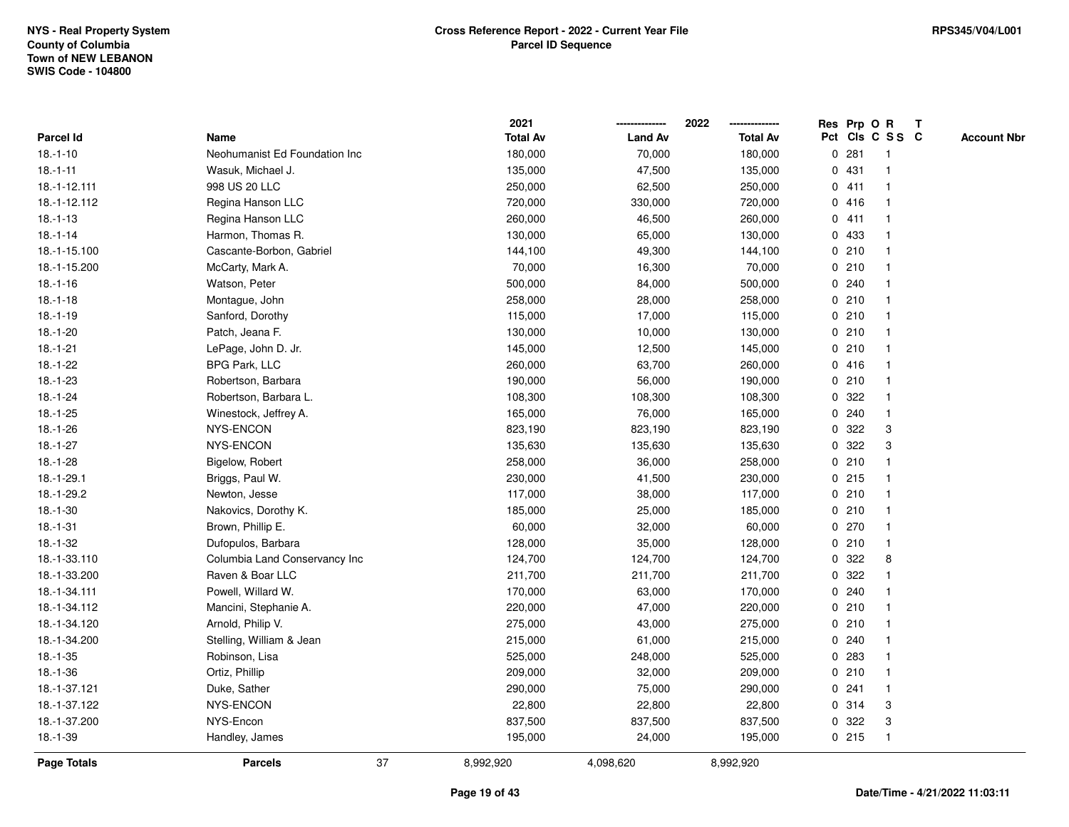|                |                               | 2021            |                | 2022            |   |         | Res Prp O R     | Т |                    |
|----------------|-------------------------------|-----------------|----------------|-----------------|---|---------|-----------------|---|--------------------|
| Parcel Id      | Name                          | <b>Total Av</b> | <b>Land Av</b> | <b>Total Av</b> |   |         | Pct Cls C S S C |   | <b>Account Nbr</b> |
| $18.-1-10$     | Neohumanist Ed Foundation Inc | 180,000         | 70,000         | 180,000         | 0 | 281     | $\mathbf{1}$    |   |                    |
| $18.-1-11$     | Wasuk, Michael J.             | 135,000         | 47,500         | 135,000         |   | 0431    | 1               |   |                    |
| 18.-1-12.111   | 998 US 20 LLC                 | 250,000         | 62,500         | 250,000         |   | 0411    | $\mathbf{1}$    |   |                    |
| 18.-1-12.112   | Regina Hanson LLC             | 720,000         | 330,000        | 720,000         |   | 0416    | -1              |   |                    |
| $18. - 1 - 13$ | Regina Hanson LLC             | 260,000         | 46,500         | 260,000         |   | 0411    |                 |   |                    |
| $18.-1-14$     | Harmon, Thomas R.             | 130,000         | 65,000         | 130,000         |   | 0 433   |                 |   |                    |
| 18.-1-15.100   | Cascante-Borbon, Gabriel      | 144,100         | 49,300         | 144,100         |   | 0210    | $\mathbf 1$     |   |                    |
| 18.-1-15.200   | McCarty, Mark A.              | 70,000          | 16,300         | 70,000          |   | 0210    | $\mathbf{1}$    |   |                    |
| $18.-1-16$     | Watson, Peter                 | 500,000         | 84,000         | 500,000         |   | 0.240   | 1               |   |                    |
| $18.-1-18$     | Montague, John                | 258,000         | 28,000         | 258,000         |   | 0210    | $\mathbf{1}$    |   |                    |
| $18.-1-19$     | Sanford, Dorothy              | 115,000         | 17,000         | 115,000         |   | 0210    | $\mathbf 1$     |   |                    |
| $18.-1-20$     | Patch, Jeana F.               | 130,000         | 10,000         | 130,000         |   | 0210    |                 |   |                    |
| $18.-1-21$     | LePage, John D. Jr.           | 145,000         | 12,500         | 145,000         |   | 0210    |                 |   |                    |
| $18.-1-22$     | <b>BPG Park, LLC</b>          | 260,000         | 63,700         | 260,000         |   | 0416    | $\mathbf 1$     |   |                    |
| $18.-1-23$     | Robertson, Barbara            | 190,000         | 56,000         | 190,000         |   | 0210    | $\mathbf{1}$    |   |                    |
| $18.-1-24$     | Robertson, Barbara L.         | 108,300         | 108,300        | 108,300         | 0 | 322     | $\mathbf{1}$    |   |                    |
| $18.-1-25$     | Winestock, Jeffrey A.         | 165,000         | 76,000         | 165,000         |   | 0.240   | $\mathbf{1}$    |   |                    |
| 18.-1-26       | NYS-ENCON                     | 823,190         | 823,190        | 823,190         |   | 0.322   | 3               |   |                    |
| $18.-1-27$     | NYS-ENCON                     | 135,630         | 135,630        | 135,630         |   | 0.322   | 3               |   |                    |
| $18.-1-28$     | Bigelow, Robert               | 258,000         | 36,000         | 258,000         |   | 0210    |                 |   |                    |
| 18.-1-29.1     | Briggs, Paul W.               | 230,000         | 41,500         | 230,000         |   | $0$ 215 | $\mathbf{1}$    |   |                    |
| 18.-1-29.2     | Newton, Jesse                 | 117,000         | 38,000         | 117,000         |   | 0210    | 1               |   |                    |
| $18.-1-30$     | Nakovics, Dorothy K.          | 185,000         | 25,000         | 185,000         |   | 0210    | $\mathbf{1}$    |   |                    |
| $18.-1-31$     | Brown, Phillip E.             | 60,000          | 32,000         | 60,000          |   | 0270    | $\mathbf 1$     |   |                    |
| $18.-1-32$     | Dufopulos, Barbara            | 128,000         | 35,000         | 128,000         |   | 0210    | $\mathbf{1}$    |   |                    |
| 18.-1-33.110   | Columbia Land Conservancy Inc | 124,700         | 124,700        | 124,700         |   | 0.322   | 8               |   |                    |
| 18.-1-33.200   | Raven & Boar LLC              | 211,700         | 211,700        | 211,700         | 0 | 322     |                 |   |                    |
| 18.-1-34.111   | Powell, Willard W.            | 170,000         | 63,000         | 170,000         |   | 0.240   | $\mathbf 1$     |   |                    |
| 18.-1-34.112   | Mancini, Stephanie A.         | 220,000         | 47,000         | 220,000         |   | 0210    | $\mathbf{1}$    |   |                    |
| 18.-1-34.120   | Arnold, Philip V.             | 275,000         | 43,000         | 275,000         |   | 0210    | $\mathbf{1}$    |   |                    |
| 18.-1-34.200   | Stelling, William & Jean      | 215,000         | 61,000         | 215,000         |   | 0.240   | $\mathbf 1$     |   |                    |
| $18.-1-35$     | Robinson, Lisa                | 525,000         | 248,000        | 525,000         |   | 0.283   | $\mathbf 1$     |   |                    |
| $18.-1-36$     | Ortiz, Phillip                | 209,000         | 32,000         | 209,000         |   | 0210    | $\mathbf 1$     |   |                    |
| 18.-1-37.121   | Duke, Sather                  | 290,000         | 75,000         | 290,000         |   | 0.241   | -1              |   |                    |
| 18.-1-37.122   | NYS-ENCON                     | 22,800          | 22,800         | 22,800          |   | 0.314   | 3               |   |                    |
| 18.-1-37.200   | NYS-Encon                     | 837,500         | 837,500        | 837,500         |   | 0.322   | 3               |   |                    |
| $18.-1-39$     | Handley, James                | 195,000         | 24,000         | 195,000         |   | 0215    | $\mathbf{1}$    |   |                    |
| Page Totals    | 37<br><b>Parcels</b>          | 8,992,920       | 4,098,620      | 8,992,920       |   |         |                 |   |                    |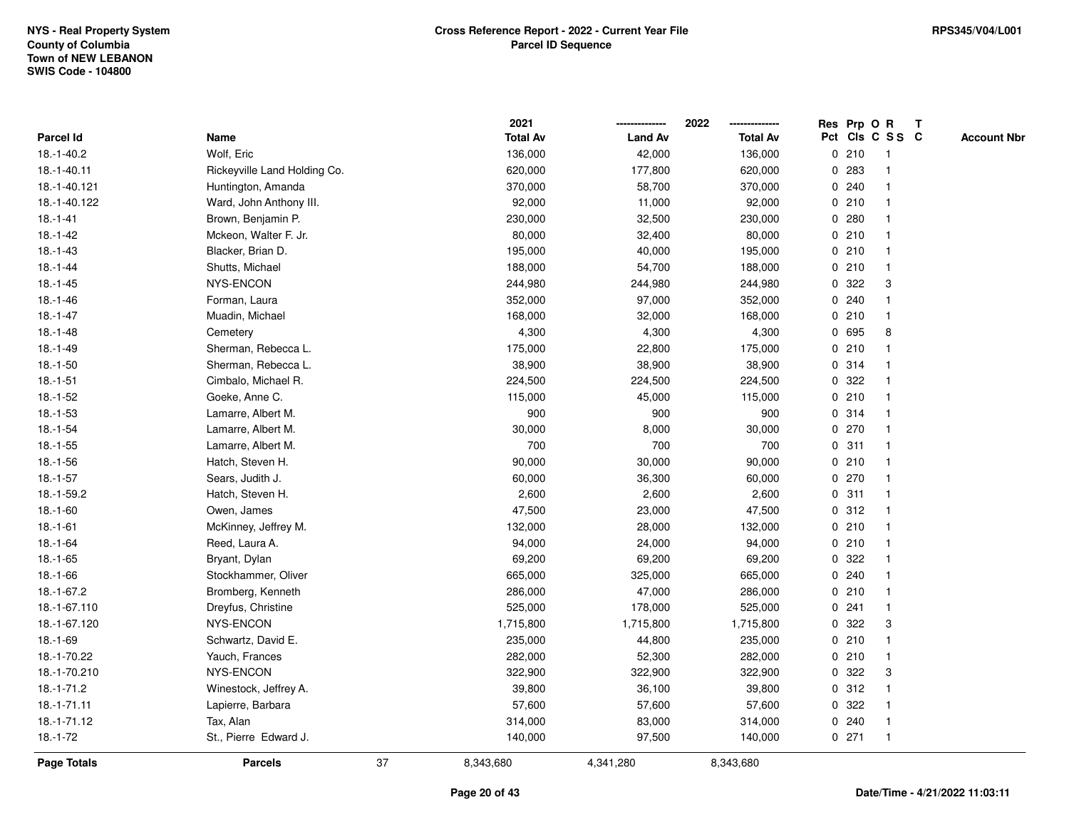|              |                              |    | 2021            |                | 2022<br>-------------- |   | Res Prp O R |                 | T |                    |
|--------------|------------------------------|----|-----------------|----------------|------------------------|---|-------------|-----------------|---|--------------------|
| Parcel Id    | Name                         |    | <b>Total Av</b> | <b>Land Av</b> | <b>Total Av</b>        |   |             | Pct Cls C S S C |   | <b>Account Nbr</b> |
| $18.-1-40.2$ | Wolf, Eric                   |    | 136,000         | 42,000         | 136,000                |   | 0210        | $\mathbf{1}$    |   |                    |
| 18.-1-40.11  | Rickeyville Land Holding Co. |    | 620,000         | 177,800        | 620,000                | 0 | 283         | $\mathbf{1}$    |   |                    |
| 18.-1-40.121 | Huntington, Amanda           |    | 370,000         | 58,700         | 370,000                |   | 0.240       | $\mathbf{1}$    |   |                    |
| 18.-1-40.122 | Ward, John Anthony III.      |    | 92,000          | 11,000         | 92,000                 |   | 0210        | $\mathbf{1}$    |   |                    |
| $18.-1-41$   | Brown, Benjamin P.           |    | 230,000         | 32,500         | 230,000                |   | 0.280       | $\mathbf{1}$    |   |                    |
| $18.-1-42$   | Mckeon, Walter F. Jr.        |    | 80,000          | 32,400         | 80,000                 |   | 0210        |                 |   |                    |
| $18.-1-43$   | Blacker, Brian D.            |    | 195,000         | 40,000         | 195,000                |   | 0210        | $\mathbf 1$     |   |                    |
| $18.-1-44$   | Shutts, Michael              |    | 188,000         | 54,700         | 188,000                |   | 0210        | $\mathbf{1}$    |   |                    |
| $18.-1-45$   | NYS-ENCON                    |    | 244,980         | 244,980        | 244,980                | 0 | 322         | 3               |   |                    |
| $18.-1-46$   | Forman, Laura                |    | 352,000         | 97,000         | 352,000                |   | 0.240       | $\mathbf{1}$    |   |                    |
| $18.-1-47$   | Muadin, Michael              |    | 168,000         | 32,000         | 168,000                |   | 0210        | $\mathbf{1}$    |   |                    |
| $18.-1-48$   | Cemetery                     |    | 4,300           | 4,300          | 4,300                  |   | 0 695       | 8               |   |                    |
| $18.-1-49$   | Sherman, Rebecca L.          |    | 175,000         | 22,800         | 175,000                |   | 0210        |                 |   |                    |
| $18.-1-50$   | Sherman, Rebecca L.          |    | 38,900          | 38,900         | 38,900                 |   | 0.314       | $\mathbf 1$     |   |                    |
| $18.-1-51$   | Cimbalo, Michael R.          |    | 224,500         | 224,500        | 224,500                | 0 | 322         | $\mathbf{1}$    |   |                    |
| $18.-1-52$   | Goeke, Anne C.               |    | 115,000         | 45,000         | 115,000                |   | 0210        | $\mathbf{1}$    |   |                    |
| $18.-1-53$   | Lamarre, Albert M.           |    | 900             | 900            | 900                    |   | 0.314       | $\mathbf{1}$    |   |                    |
| $18.-1-54$   | Lamarre, Albert M.           |    | 30,000          | 8,000          | 30,000                 |   | 0270        | $\mathbf{1}$    |   |                    |
| $18.-1-55$   | Lamarre, Albert M.           |    | 700             | 700            | 700                    |   | 0.311       | $\mathbf{1}$    |   |                    |
| $18.-1-56$   | Hatch, Steven H.             |    | 90,000          | 30,000         | 90,000                 |   | 0210        | $\mathbf 1$     |   |                    |
| $18.-1-57$   | Sears, Judith J.             |    | 60,000          | 36,300         | 60,000                 |   | 0270        | $\mathbf{1}$    |   |                    |
| 18.-1-59.2   | Hatch, Steven H.             |    | 2,600           | 2,600          | 2,600                  |   | 0.311       | $\mathbf{1}$    |   |                    |
| $18.-1-60$   | Owen, James                  |    | 47,500          | 23,000         | 47,500                 | 0 | 312         | $\mathbf{1}$    |   |                    |
| $18.-1-61$   | McKinney, Jeffrey M.         |    | 132,000         | 28,000         | 132,000                |   | 0210        | $\mathbf{1}$    |   |                    |
| $18.-1-64$   | Reed, Laura A.               |    | 94,000          | 24,000         | 94,000                 |   | 0210        | $\mathbf{1}$    |   |                    |
| $18.-1-65$   | Bryant, Dylan                |    | 69,200          | 69,200         | 69,200                 |   | 0.322       | $\mathbf{1}$    |   |                    |
| 18.-1-66     | Stockhammer, Oliver          |    | 665,000         | 325,000        | 665,000                |   | 0.240       |                 |   |                    |
| 18.-1-67.2   | Bromberg, Kenneth            |    | 286,000         | 47,000         | 286,000                |   | 0210        | $\mathbf{1}$    |   |                    |
| 18.-1-67.110 | Dreyfus, Christine           |    | 525,000         | 178,000        | 525,000                |   | 0.241       | $\mathbf{1}$    |   |                    |
| 18.-1-67.120 | NYS-ENCON                    |    | 1,715,800       | 1,715,800      | 1,715,800              | 0 | 322         | 3               |   |                    |
| $18.-1-69$   | Schwartz, David E.           |    | 235,000         | 44,800         | 235,000                |   | 0210        | $\mathbf{1}$    |   |                    |
| 18.-1-70.22  | Yauch, Frances               |    | 282,000         | 52,300         | 282,000                |   | 0210        | $\mathbf{1}$    |   |                    |
| 18.-1-70.210 | NYS-ENCON                    |    | 322,900         | 322,900        | 322,900                |   | 0.322       | 3               |   |                    |
| $18.-1-71.2$ | Winestock, Jeffrey A.        |    | 39,800          | 36,100         | 39,800                 |   | 0.312       | $\mathbf 1$     |   |                    |
| 18.-1-71.11  | Lapierre, Barbara            |    | 57,600          | 57,600         | 57,600                 |   | 0.322       | $\mathbf{1}$    |   |                    |
| 18.-1-71.12  | Tax, Alan                    |    | 314,000         | 83,000         | 314,000                |   | 0.240       | $\mathbf{1}$    |   |                    |
| $18.-1-72$   | St., Pierre Edward J.        |    | 140,000         | 97,500         | 140,000                |   | $0$ 271     | $\mathbf{1}$    |   |                    |
| Page Totals  | <b>Parcels</b>               | 37 | 8,343,680       | 4,341,280      | 8,343,680              |   |             |                 |   |                    |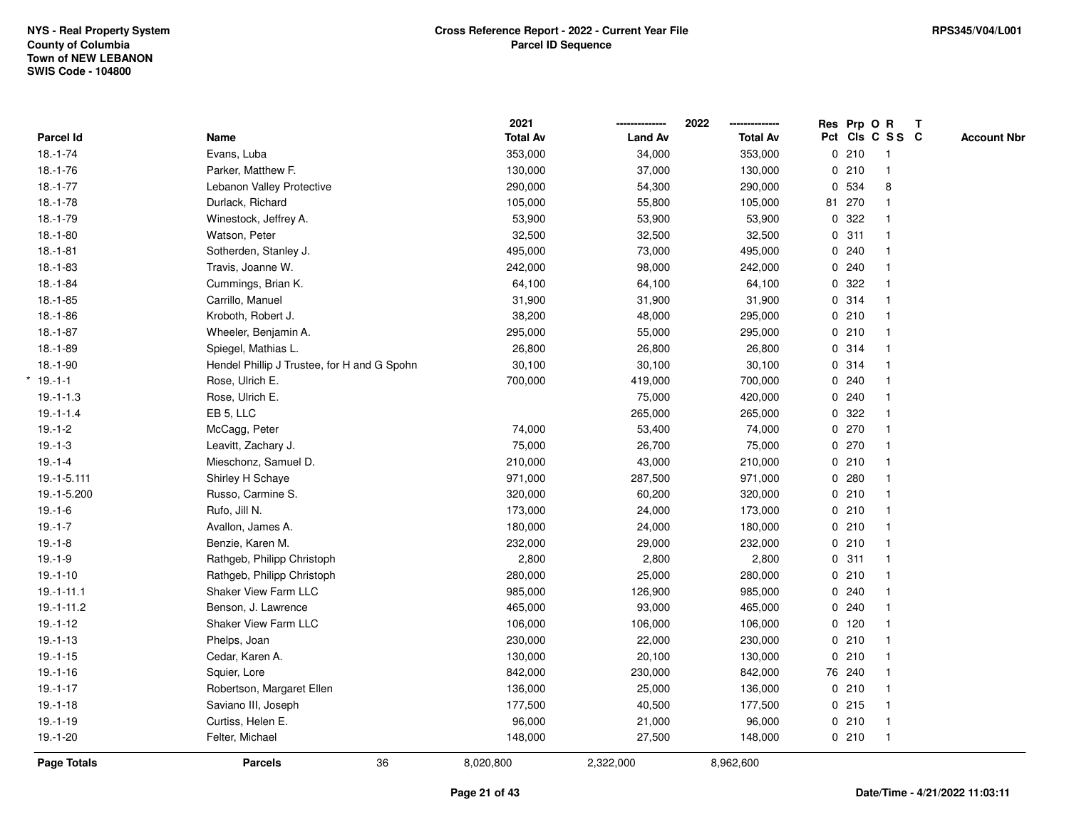|                |                                             | 2021            |                | 2022            |   |         | Res Prp O R     | T |                    |
|----------------|---------------------------------------------|-----------------|----------------|-----------------|---|---------|-----------------|---|--------------------|
| Parcel Id      | Name                                        | <b>Total Av</b> | <b>Land Av</b> | <b>Total Av</b> |   |         | Pct Cls C S S C |   | <b>Account Nbr</b> |
| $18.-1-74$     | Evans, Luba                                 | 353,000         | 34,000         | 353,000         |   | 0210    | $\mathbf{1}$    |   |                    |
| $18.-1-76$     | Parker, Matthew F.                          | 130,000         | 37,000         | 130,000         | 0 | 210     | $\mathbf{1}$    |   |                    |
| $18.-1-77$     | Lebanon Valley Protective                   | 290,000         | 54,300         | 290,000         |   | 0 534   | 8               |   |                    |
| $18.-1-78$     | Durlack, Richard                            | 105,000         | 55,800         | 105,000         |   | 81 270  |                 |   |                    |
| $18.-1-79$     | Winestock, Jeffrey A.                       | 53,900          | 53,900         | 53,900          |   | 0 322   |                 |   |                    |
| $18.-1-80$     | Watson, Peter                               | 32,500          | 32,500         | 32,500          |   | 0.311   |                 |   |                    |
| $18. - 1 - 81$ | Sotherden, Stanley J.                       | 495,000         | 73,000         | 495,000         |   | 0.240   |                 |   |                    |
| $18.-1-83$     | Travis, Joanne W.                           | 242,000         | 98,000         | 242,000         | 0 | 240     | $\mathbf{1}$    |   |                    |
| $18.-1-84$     | Cummings, Brian K.                          | 64,100          | 64,100         | 64,100          | 0 | 322     |                 |   |                    |
| $18.-1-85$     | Carrillo, Manuel                            | 31,900          | 31,900         | 31,900          |   | 0.314   | $\mathbf{1}$    |   |                    |
| $18.-1-86$     | Kroboth, Robert J.                          | 38,200          | 48,000         | 295,000         |   | 0210    |                 |   |                    |
| $18.-1-87$     | Wheeler, Benjamin A.                        | 295,000         | 55,000         | 295,000         |   | 0210    |                 |   |                    |
| $18.-1-89$     | Spiegel, Mathias L.                         | 26,800          | 26,800         | 26,800          |   | 0.314   |                 |   |                    |
| $18.-1-90$     | Hendel Phillip J Trustee, for H and G Spohn | 30,100          | 30,100         | 30,100          |   | 0.314   |                 |   |                    |
| $19.-1-1$      | Rose, Ulrich E.                             | 700,000         | 419,000        | 700,000         | 0 | 240     | $\mathbf{1}$    |   |                    |
| $19.-1-1.3$    | Rose, Ulrich E.                             |                 | 75,000         | 420,000         |   | 0.240   | $\mathbf{1}$    |   |                    |
| $19.-1-1.4$    | EB 5, LLC                                   |                 | 265,000        | 265,000         |   | 0 322   |                 |   |                    |
| $19.-1-2$      | McCagg, Peter                               | 74,000          | 53,400         | 74,000          |   | 0270    |                 |   |                    |
| $19.-1-3$      | Leavitt, Zachary J.                         | 75,000          | 26,700         | 75,000          |   | 0270    |                 |   |                    |
| $19.-1-4$      | Mieschonz, Samuel D.                        | 210,000         | 43,000         | 210,000         |   | 0210    |                 |   |                    |
| 19.-1-5.111    | Shirley H Schaye                            | 971,000         | 287,500        | 971,000         |   | 0.280   |                 |   |                    |
| 19.-1-5.200    | Russo, Carmine S.                           | 320,000         | 60,200         | 320,000         |   | 0210    | $\mathbf{1}$    |   |                    |
| $19.-1-6$      | Rufo, Jill N.                               | 173,000         | 24,000         | 173,000         |   | 0210    | $\mathbf{1}$    |   |                    |
| $19.-1-7$      | Avallon, James A.                           | 180,000         | 24,000         | 180,000         |   | 0210    | $\mathbf{1}$    |   |                    |
| $19.-1-8$      | Benzie, Karen M.                            | 232,000         | 29,000         | 232,000         |   | 0210    | $\mathbf 1$     |   |                    |
| $19.-1-9$      | Rathgeb, Philipp Christoph                  | 2,800           | 2,800          | 2,800           |   | 0.311   |                 |   |                    |
| $19.-1-10$     | Rathgeb, Philipp Christoph                  | 280,000         | 25,000         | 280,000         |   | 0210    |                 |   |                    |
| $19.-1-11.1$   | <b>Shaker View Farm LLC</b>                 | 985,000         | 126,900        | 985,000         |   | 0.240   |                 |   |                    |
| $19.-1-11.2$   | Benson, J. Lawrence                         | 465,000         | 93,000         | 465,000         |   | 0.240   |                 |   |                    |
| $19.-1-12$     | Shaker View Farm LLC                        | 106,000         | 106,000        | 106,000         |   | $0$ 120 | 1               |   |                    |
| $19.-1-13$     | Phelps, Joan                                | 230,000         | 22,000         | 230,000         |   | 0210    | $\mathbf{1}$    |   |                    |
| $19. - 1 - 15$ | Cedar, Karen A.                             | 130,000         | 20,100         | 130,000         |   | 0210    | $\mathbf{1}$    |   |                    |
| $19.-1-16$     | Squier, Lore                                | 842,000         | 230,000        | 842,000         |   | 76 240  |                 |   |                    |
| $19.-1-17$     | Robertson, Margaret Ellen                   | 136,000         | 25,000         | 136,000         |   | 0210    |                 |   |                    |
| $19.-1-18$     | Saviano III, Joseph                         | 177,500         | 40,500         | 177,500         |   | $0$ 215 | $\mathbf{1}$    |   |                    |
| $19.-1-19$     | Curtiss, Helen E.                           | 96,000          | 21,000         | 96,000          |   | 0210    | $\mathbf{1}$    |   |                    |
| $19.-1-20$     | Felter, Michael                             | 148,000         | 27,500         | 148,000         |   | 0210    | $\mathbf{1}$    |   |                    |
| Page Totals    | 36<br><b>Parcels</b>                        | 8,020,800       | 2,322,000      | 8,962,600       |   |         |                 |   |                    |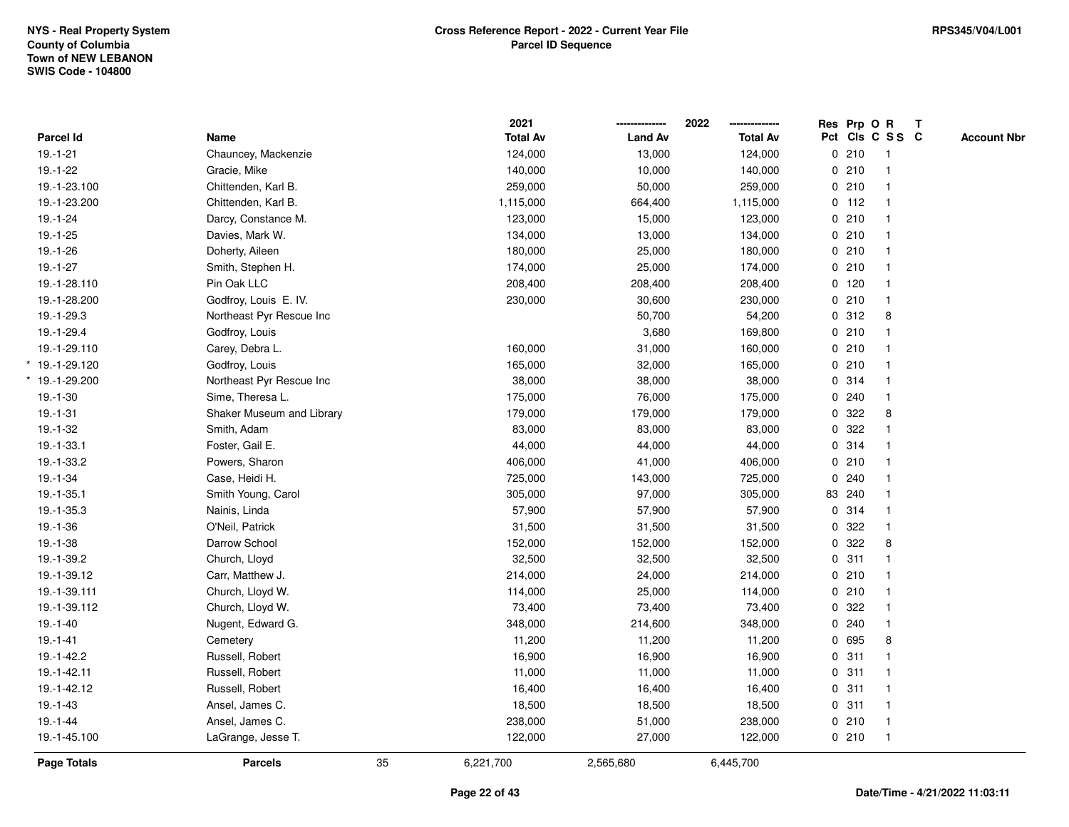|                  |                           |    | 2021            |                | 2022            | Res Prp O R |                         | $\mathbf{T}$ |                    |
|------------------|---------------------------|----|-----------------|----------------|-----------------|-------------|-------------------------|--------------|--------------------|
| Parcel Id        | Name                      |    | <b>Total Av</b> | <b>Land Av</b> | <b>Total Av</b> |             | Pct Cls C S S C         |              | <b>Account Nbr</b> |
| $19.-1-21$       | Chauncey, Mackenzie       |    | 124,000         | 13,000         | 124,000         | 0210        | $\overline{1}$          |              |                    |
| $19.-1-22$       | Gracie, Mike              |    | 140,000         | 10,000         | 140,000         | 0210        | $\overline{1}$          |              |                    |
| 19.-1-23.100     | Chittenden, Karl B.       |    | 259,000         | 50,000         | 259,000         | 0210        | $\mathbf{1}$            |              |                    |
| 19.-1-23.200     | Chittenden, Karl B.       |    | 1,115,000       | 664,400        | 1,115,000       | $0$ 112     |                         |              |                    |
| $19.-1-24$       | Darcy, Constance M.       |    | 123,000         | 15,000         | 123,000         | 0210        |                         |              |                    |
| $19.-1-25$       | Davies, Mark W.           |    | 134,000         | 13,000         | 134,000         | 0210        |                         |              |                    |
| $19.-1-26$       | Doherty, Aileen           |    | 180,000         | 25,000         | 180,000         | 0210        |                         |              |                    |
| $19.-1-27$       | Smith, Stephen H.         |    | 174,000         | 25,000         | 174,000         | 0210        | $\overline{1}$          |              |                    |
| 19.-1-28.110     | Pin Oak LLC               |    | 208,400         | 208,400        | 208,400         | $0$ 120     |                         |              |                    |
| 19.-1-28.200     | Godfroy, Louis E. IV.     |    | 230,000         | 30,600         | 230,000         | 0210        | $\mathbf{1}$            |              |                    |
| 19.-1-29.3       | Northeast Pyr Rescue Inc  |    |                 | 50,700         | 54,200          | 0.312       | 8                       |              |                    |
| 19.-1-29.4       | Godfroy, Louis            |    |                 | 3,680          | 169,800         | 0210        |                         |              |                    |
| 19.-1-29.110     | Carey, Debra L.           |    | 160,000         | 31,000         | 160,000         | 0210        |                         |              |                    |
| $*$ 19.-1-29.120 | Godfroy, Louis            |    | 165,000         | 32,000         | 165,000         | 0210        |                         |              |                    |
| $*$ 19.-1-29.200 | Northeast Pyr Rescue Inc  |    | 38,000          | 38,000         | 38,000          | 0.314       | $\overline{\mathbf{1}}$ |              |                    |
| $19.-1-30$       | Sime, Theresa L.          |    | 175,000         | 76,000         | 175,000         | 0.240       | $\mathbf{1}$            |              |                    |
| $19.-1-31$       | Shaker Museum and Library |    | 179,000         | 179,000        | 179,000         | 0.322       | 8                       |              |                    |
| $19.-1-32$       | Smith, Adam               |    | 83,000          | 83,000         | 83,000          | 0.322       |                         |              |                    |
| 19.-1-33.1       | Foster, Gail E.           |    | 44,000          | 44,000         | 44,000          | 0.314       |                         |              |                    |
| 19.-1-33.2       | Powers, Sharon            |    | 406,000         | 41,000         | 406,000         | 0210        |                         |              |                    |
| $19.-1-34$       | Case, Heidi H.            |    | 725,000         | 143,000        | 725,000         | 0.240       |                         |              |                    |
| $19.-1-35.1$     | Smith Young, Carol        |    | 305,000         | 97,000         | 305,000         | 83 240      |                         |              |                    |
| 19.-1-35.3       | Nainis, Linda             |    | 57,900          | 57,900         | 57,900          | 0.314       |                         |              |                    |
| $19.-1-36$       | O'Neil, Patrick           |    | 31,500          | 31,500         | 31,500          | 0.322       | $\mathbf{1}$            |              |                    |
| $19.-1-38$       | Darrow School             |    | 152,000         | 152,000        | 152,000         | 0.322       | 8                       |              |                    |
| 19.-1-39.2       | Church, Lloyd             |    | 32,500          | 32,500         | 32,500          | 0.311       |                         |              |                    |
| 19.-1-39.12      | Carr, Matthew J.          |    | 214,000         | 24,000         | 214,000         | 0210        |                         |              |                    |
| 19.-1-39.111     | Church, Lloyd W.          |    | 114,000         | 25,000         | 114,000         | 0210        |                         |              |                    |
| 19.-1-39.112     | Church, Lloyd W.          |    | 73,400          | 73,400         | 73,400          | 0.322       |                         |              |                    |
| $19.-1-40$       | Nugent, Edward G.         |    | 348,000         | 214,600        | 348,000         | 0.240       | $\overline{1}$          |              |                    |
| $19.-1-41$       | Cemetery                  |    | 11,200          | 11,200         | 11,200          | 0 695       | 8                       |              |                    |
| 19.-1-42.2       | Russell, Robert           |    | 16,900          | 16,900         | 16,900          | 0.311       |                         |              |                    |
| 19.-1-42.11      | Russell, Robert           |    | 11,000          | 11,000         | 11,000          | 0.311       |                         |              |                    |
| 19.-1-42.12      | Russell, Robert           |    | 16,400          | 16,400         | 16,400          | 0.311       |                         |              |                    |
| $19.-1-43$       | Ansel, James C.           |    | 18,500          | 18,500         | 18,500          | 0.311       | $\overline{\mathbf{1}}$ |              |                    |
| $19.-1-44$       | Ansel, James C.           |    | 238,000         | 51,000         | 238,000         | 0210        | $\overline{1}$          |              |                    |
| 19.-1-45.100     | LaGrange, Jesse T.        |    | 122,000         | 27,000         | 122,000         | 0210        | $\overline{1}$          |              |                    |
| Page Totals      | <b>Parcels</b>            | 35 | 6,221,700       | 2,565,680      | 6,445,700       |             |                         |              |                    |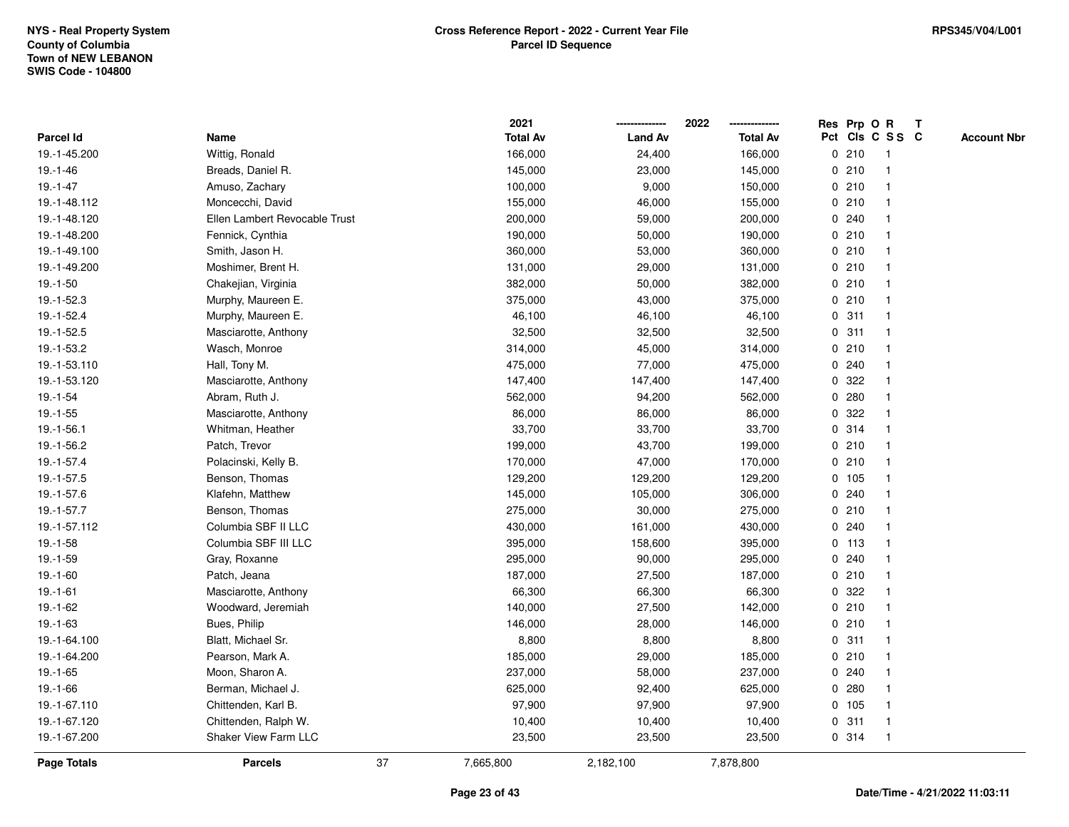|                  |                               |    | 2021            |                | 2022<br>-------------- |             | Res Prp O R |                 | T |                    |
|------------------|-------------------------------|----|-----------------|----------------|------------------------|-------------|-------------|-----------------|---|--------------------|
| <b>Parcel Id</b> | Name                          |    | <b>Total Av</b> | <b>Land Av</b> | <b>Total Av</b>        |             |             | Pct Cls C S S C |   | <b>Account Nbr</b> |
| 19.-1-45.200     | Wittig, Ronald                |    | 166,000         | 24,400         | 166,000                |             | 0210        | $\mathbf{1}$    |   |                    |
| 19.-1-46         | Breads, Daniel R.             |    | 145,000         | 23,000         | 145,000                |             | 0210        | $\overline{1}$  |   |                    |
| $19.-1-47$       | Amuso, Zachary                |    | 100,000         | 9,000          | 150,000                |             | 0210        | 1               |   |                    |
| 19.-1-48.112     | Moncecchi, David              |    | 155,000         | 46,000         | 155,000                |             | 0210        |                 |   |                    |
| 19.-1-48.120     | Ellen Lambert Revocable Trust |    | 200,000         | 59,000         | 200,000                |             | 0.240       |                 |   |                    |
| 19.-1-48.200     | Fennick, Cynthia              |    | 190,000         | 50,000         | 190,000                |             | 0210        |                 |   |                    |
| 19.-1-49.100     | Smith, Jason H.               |    | 360,000         | 53,000         | 360,000                |             | 0210        | $\mathbf{1}$    |   |                    |
| 19.-1-49.200     | Moshimer, Brent H.            |    | 131,000         | 29,000         | 131,000                | 0           | 210         | -1              |   |                    |
| $19.-1-50$       | Chakejian, Virginia           |    | 382,000         | 50,000         | 382,000                |             | 0210        | $\overline{1}$  |   |                    |
| 19.-1-52.3       | Murphy, Maureen E.            |    | 375,000         | 43,000         | 375,000                |             | 0210        | $\mathbf{1}$    |   |                    |
| 19.-1-52.4       | Murphy, Maureen E.            |    | 46,100          | 46,100         | 46,100                 |             | 0.311       | -1              |   |                    |
| 19.-1-52.5       | Masciarotte, Anthony          |    | 32,500          | 32,500         | 32,500                 |             | 0.311       |                 |   |                    |
| 19.-1-53.2       | Wasch, Monroe                 |    | 314,000         | 45,000         | 314,000                |             | 0210        |                 |   |                    |
| 19.-1-53.110     | Hall, Tony M.                 |    | 475,000         | 77,000         | 475,000                |             | 0.240       | 1               |   |                    |
| 19.-1-53.120     | Masciarotte, Anthony          |    | 147,400         | 147,400        | 147,400                | 0           | 322         | 1               |   |                    |
| 19.-1-54         | Abram, Ruth J.                |    | 562,000         | 94,200         | 562,000                | 0           | 280         | -1              |   |                    |
| $19.-1-55$       | Masciarotte, Anthony          |    | 86,000          | 86,000         | 86,000                 |             | 0.322       | $\mathbf 1$     |   |                    |
| 19.-1-56.1       | Whitman, Heather              |    | 33,700          | 33,700         | 33,700                 |             | 0.314       |                 |   |                    |
| 19.-1-56.2       | Patch, Trevor                 |    | 199,000         | 43,700         | 199,000                |             | 0210        |                 |   |                    |
| 19.-1-57.4       | Polacinski, Kelly B.          |    | 170,000         | 47,000         | 170,000                |             | 0210        |                 |   |                    |
| 19.-1-57.5       | Benson, Thomas                |    | 129,200         | 129,200        | 129,200                |             | 0 105       |                 |   |                    |
| 19.-1-57.6       | Klafehn, Matthew              |    | 145,000         | 105,000        | 306,000                | 0           | 240         | $\mathbf{1}$    |   |                    |
| 19.-1-57.7       | Benson, Thomas                |    | 275,000         | 30,000         | 275,000                | 0           | 210         | $\overline{1}$  |   |                    |
| 19.-1-57.112     | Columbia SBF II LLC           |    | 430,000         | 161,000        | 430,000                |             | 0.240       | $\mathbf 1$     |   |                    |
| $19.-1-58$       | Columbia SBF III LLC          |    | 395,000         | 158,600        | 395,000                |             | $0$ 113     | 1               |   |                    |
| $19.-1-59$       | Gray, Roxanne                 |    | 295,000         | 90,000         | 295,000                |             | 0.240       |                 |   |                    |
| $19.-1-60$       | Patch, Jeana                  |    | 187,000         | 27,500         | 187,000                |             | 0210        |                 |   |                    |
| 19.-1-61         | Masciarotte, Anthony          |    | 66,300          | 66,300         | 66,300                 |             | 0.322       |                 |   |                    |
| 19.-1-62         | Woodward, Jeremiah            |    | 140,000         | 27,500         | 142,000                | 0           | 210         | $\overline{1}$  |   |                    |
| $19.-1-63$       | Bues, Philip                  |    | 146,000         | 28,000         | 146,000                | 0           | 210         | $\overline{1}$  |   |                    |
| 19.-1-64.100     | Blatt, Michael Sr.            |    | 8,800           | 8,800          | 8,800                  | $\mathbf 0$ | 311         | $\mathbf{1}$    |   |                    |
| 19.-1-64.200     | Pearson, Mark A.              |    | 185,000         | 29,000         | 185,000                |             | 0210        | 1               |   |                    |
| $19.-1-65$       | Moon, Sharon A.               |    | 237,000         | 58,000         | 237,000                |             | 0.240       |                 |   |                    |
| $19.-1-66$       | Berman, Michael J.            |    | 625,000         | 92,400         | 625,000                |             | 0.280       |                 |   |                    |
| 19.-1-67.110     | Chittenden, Karl B.           |    | 97,900          | 97,900         | 97,900                 |             | 0 105       | $\mathbf{1}$    |   |                    |
| 19.-1-67.120     | Chittenden, Ralph W.          |    | 10,400          | 10,400         | 10,400                 |             | 0.311       | $\overline{1}$  |   |                    |
| 19.-1-67.200     | Shaker View Farm LLC          |    | 23,500          | 23,500         | 23,500                 |             | 0.314       | $\overline{1}$  |   |                    |
| Page Totals      | <b>Parcels</b>                | 37 | 7,665,800       | 2,182,100      | 7,878,800              |             |             |                 |   |                    |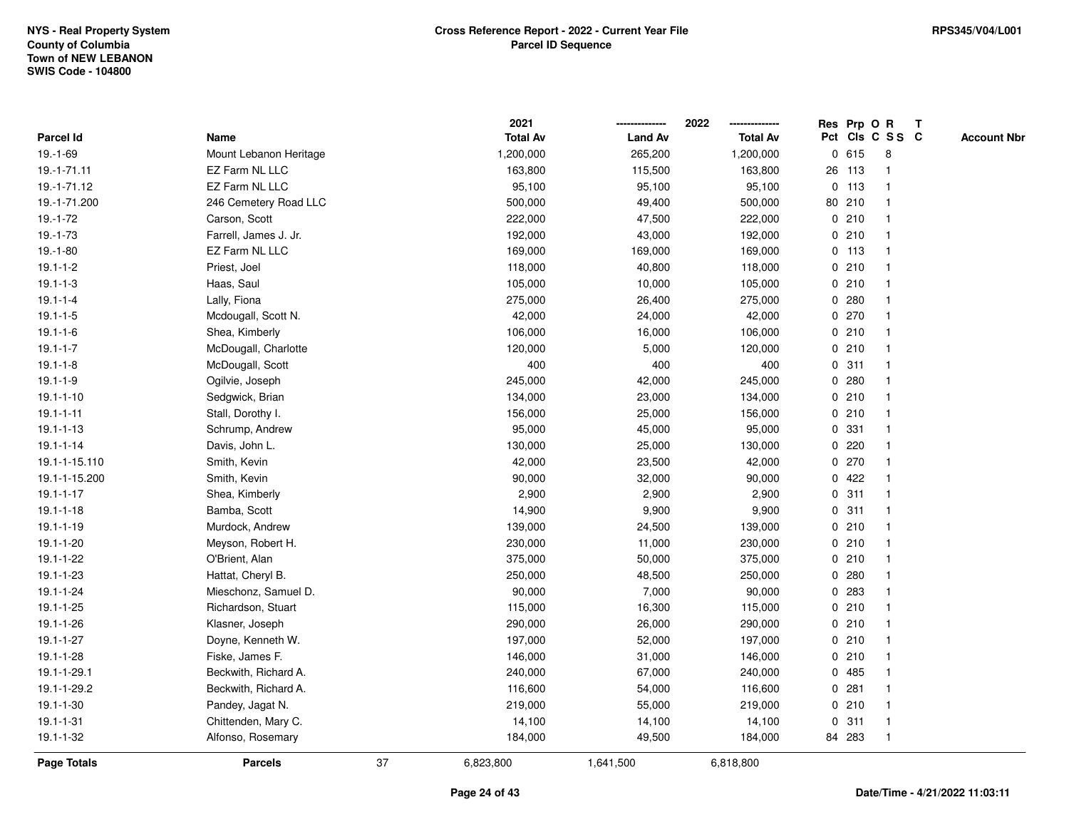|                 |                        |    | 2021            |                | 2022            |         | Res Prp O R             | Т |                    |
|-----------------|------------------------|----|-----------------|----------------|-----------------|---------|-------------------------|---|--------------------|
| Parcel Id       | Name                   |    | <b>Total Av</b> | <b>Land Av</b> | <b>Total Av</b> |         | Pct Cls C S S C         |   | <b>Account Nbr</b> |
| 19.-1-69        | Mount Lebanon Heritage |    | 1,200,000       | 265,200        | 1,200,000       | 0615    | 8                       |   |                    |
| 19.-1-71.11     | EZ Farm NL LLC         |    | 163,800         | 115,500        | 163,800         | 26 113  | -1                      |   |                    |
| 19.-1-71.12     | EZ Farm NL LLC         |    | 95,100          | 95,100         | 95,100          | $0$ 113 | -1                      |   |                    |
| 19.-1-71.200    | 246 Cemetery Road LLC  |    | 500,000         | 49,400         | 500,000         | 80 210  | -1                      |   |                    |
| $19.-1-72$      | Carson, Scott          |    | 222,000         | 47,500         | 222,000         | 0210    |                         |   |                    |
| $19.-1-73$      | Farrell, James J. Jr.  |    | 192,000         | 43,000         | 192,000         | 0210    |                         |   |                    |
| $19.-1-80$      | EZ Farm NL LLC         |    | 169,000         | 169,000        | 169,000         | $0$ 113 | $\overline{1}$          |   |                    |
| $19.1 - 1 - 2$  | Priest, Joel           |    | 118,000         | 40,800         | 118,000         | 0210    | $\overline{\mathbf{1}}$ |   |                    |
| $19.1 - 1 - 3$  | Haas, Saul             |    | 105,000         | 10,000         | 105,000         | 0210    | $\overline{\mathbf{1}}$ |   |                    |
| $19.1 - 1 - 4$  | Lally, Fiona           |    | 275,000         | 26,400         | 275,000         | 0.280   | $\mathbf{1}$            |   |                    |
| $19.1 - 1 - 5$  | Mcdougall, Scott N.    |    | 42,000          | 24,000         | 42,000          | 0270    |                         |   |                    |
| $19.1 - 1 - 6$  | Shea, Kimberly         |    | 106,000         | 16,000         | 106,000         | 0210    |                         |   |                    |
| $19.1 - 1 - 7$  | McDougall, Charlotte   |    | 120,000         | 5,000          | 120,000         | 0210    |                         |   |                    |
| $19.1 - 1 - 8$  | McDougall, Scott       |    | 400             | 400            | 400             | 0.311   | -1                      |   |                    |
| $19.1 - 1 - 9$  | Ogilvie, Joseph        |    | 245,000         | 42,000         | 245,000         | 0.280   | $\overline{\mathbf{1}}$ |   |                    |
| $19.1 - 1 - 10$ | Sedgwick, Brian        |    | 134,000         | 23,000         | 134,000         | 0210    | $\overline{\mathbf{1}}$ |   |                    |
| $19.1 - 1 - 11$ | Stall, Dorothy I.      |    | 156,000         | 25,000         | 156,000         | 0210    | -1                      |   |                    |
| $19.1 - 1 - 13$ | Schrump, Andrew        |    | 95,000          | 45,000         | 95,000          | 0 331   |                         |   |                    |
| $19.1 - 1 - 14$ | Davis, John L.         |    | 130,000         | 25,000         | 130,000         | $0$ 220 |                         |   |                    |
| 19.1-1-15.110   | Smith, Kevin           |    | 42,000          | 23,500         | 42,000          | 0270    |                         |   |                    |
| 19.1-1-15.200   | Smith, Kevin           |    | 90,000          | 32,000         | 90,000          | 0422    | -1                      |   |                    |
| $19.1 - 1 - 17$ | Shea, Kimberly         |    | 2,900           | 2,900          | 2,900           | 0.311   | $\overline{\mathbf{1}}$ |   |                    |
| $19.1 - 1 - 18$ | Bamba, Scott           |    | 14,900          | 9,900          | 9,900           | 0.311   | $\overline{\mathbf{1}}$ |   |                    |
| $19.1 - 1 - 19$ | Murdock, Andrew        |    | 139,000         | 24,500         | 139,000         | 0210    | -1                      |   |                    |
| 19.1-1-20       | Meyson, Robert H.      |    | 230,000         | 11,000         | 230,000         | 0210    | -1                      |   |                    |
| 19.1-1-22       | O'Brient, Alan         |    | 375,000         | 50,000         | 375,000         | 0210    |                         |   |                    |
| 19.1-1-23       | Hattat, Cheryl B.      |    | 250,000         | 48,500         | 250,000         | 0.280   |                         |   |                    |
| $19.1 - 1 - 24$ | Mieschonz, Samuel D.   |    | 90,000          | 7,000          | 90,000          | 0 283   |                         |   |                    |
| 19.1-1-25       | Richardson, Stuart     |    | 115,000         | 16,300         | 115,000         | 0210    | $\overline{\mathbf{1}}$ |   |                    |
| 19.1-1-26       | Klasner, Joseph        |    | 290,000         | 26,000         | 290,000         | 0210    | $\overline{\mathbf{1}}$ |   |                    |
| $19.1 - 1 - 27$ | Doyne, Kenneth W.      |    | 197,000         | 52,000         | 197,000         | 0210    | $\overline{1}$          |   |                    |
| 19.1-1-28       | Fiske, James F.        |    | 146,000         | 31,000         | 146,000         | 0210    | -1                      |   |                    |
| 19.1-1-29.1     | Beckwith, Richard A.   |    | 240,000         | 67,000         | 240,000         | 0 485   |                         |   |                    |
| 19.1-1-29.2     | Beckwith, Richard A.   |    | 116,600         | 54,000         | 116,600         | 0.281   |                         |   |                    |
| $19.1 - 1 - 30$ | Pandey, Jagat N.       |    | 219,000         | 55,000         | 219,000         | 0210    | $\overline{\mathbf{1}}$ |   |                    |
| $19.1 - 1 - 31$ | Chittenden, Mary C.    |    | 14,100          | 14,100         | 14,100          | 0.311   | $\overline{1}$          |   |                    |
| 19.1-1-32       | Alfonso, Rosemary      |    | 184,000         | 49,500         | 184,000         | 84 283  | $\overline{\mathbf{1}}$ |   |                    |
| Page Totals     | <b>Parcels</b>         | 37 | 6,823,800       | 1,641,500      | 6,818,800       |         |                         |   |                    |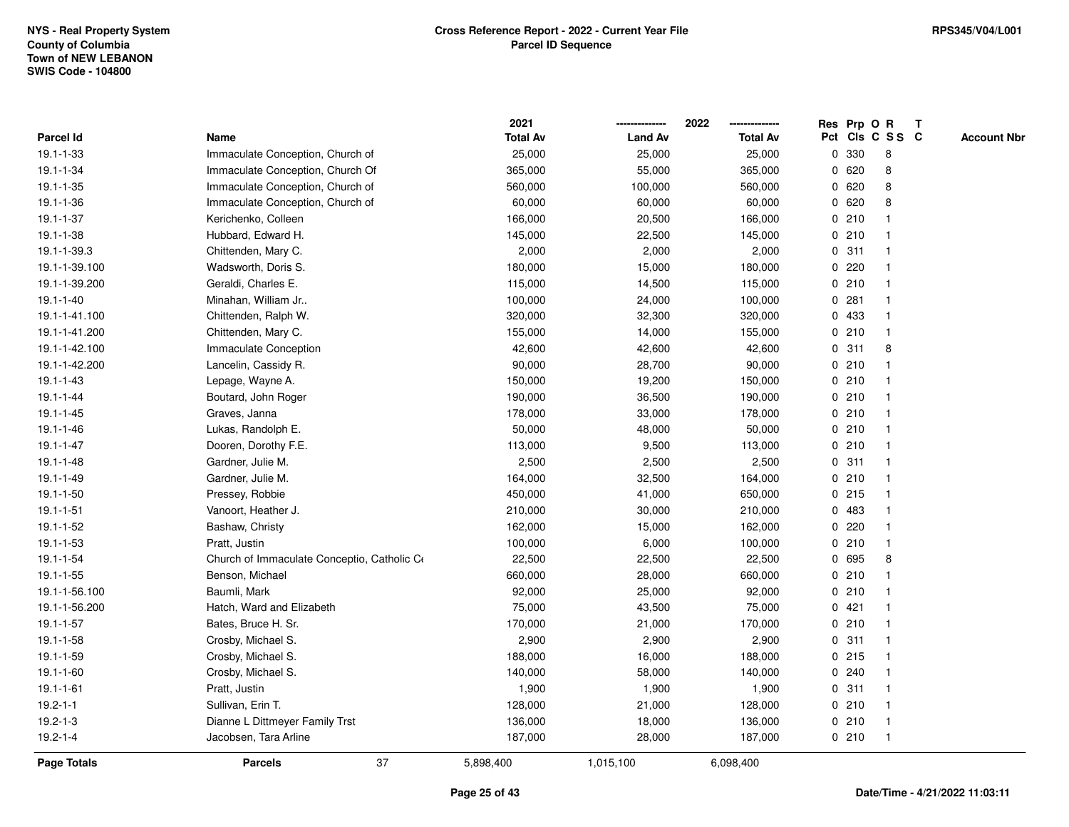|                  |                                             | 2021            |                | 2022            | Res Prp O R |     |                 | Т |                    |
|------------------|---------------------------------------------|-----------------|----------------|-----------------|-------------|-----|-----------------|---|--------------------|
| <b>Parcel Id</b> | Name                                        | <b>Total Av</b> | <b>Land Av</b> | <b>Total Av</b> |             |     | Pct Cls C S S C |   | <b>Account Nbr</b> |
| 19.1-1-33        | Immaculate Conception, Church of            | 25,000          | 25,000         | 25,000          | 0           | 330 | 8               |   |                    |
| 19.1-1-34        | Immaculate Conception, Church Of            | 365,000         | 55,000         | 365,000         | 0           | 620 | 8               |   |                    |
| 19.1-1-35        | Immaculate Conception, Church of            | 560,000         | 100,000        | 560,000         | 0620        |     | 8               |   |                    |
| 19.1-1-36        | Immaculate Conception, Church of            | 60,000          | 60,000         | 60,000          | 0620        |     | 8               |   |                    |
| 19.1-1-37        | Kerichenko, Colleen                         | 166,000         | 20,500         | 166,000         | 0210        |     |                 |   |                    |
| 19.1-1-38        | Hubbard, Edward H.                          | 145,000         | 22,500         | 145,000         | 0210        |     |                 |   |                    |
| 19.1-1-39.3      | Chittenden, Mary C.                         | 2,000           | 2,000          | 2,000           | 0.311       |     |                 |   |                    |
| 19.1-1-39.100    | Wadsworth, Doris S.                         | 180,000         | 15,000         | 180,000         | $\mathbf 0$ | 220 |                 |   |                    |
| 19.1-1-39.200    | Geraldi, Charles E.                         | 115,000         | 14,500         | 115,000         | 0210        |     | $\mathbf 1$     |   |                    |
| $19.1 - 1 - 40$  | Minahan, William Jr                         | 100,000         | 24,000         | 100,000         | 0.281       |     | -1              |   |                    |
| 19.1-1-41.100    | Chittenden, Ralph W.                        | 320,000         | 32,300         | 320,000         | 0 433       |     |                 |   |                    |
| 19.1-1-41.200    | Chittenden, Mary C.                         | 155,000         | 14,000         | 155,000         | 0210        |     |                 |   |                    |
| 19.1-1-42.100    | Immaculate Conception                       | 42,600          | 42,600         | 42,600          | 0.311       |     | 8               |   |                    |
| 19.1-1-42.200    | Lancelin, Cassidy R.                        | 90,000          | 28,700         | 90,000          | 0210        |     |                 |   |                    |
| 19.1-1-43        | Lepage, Wayne A.                            | 150,000         | 19,200         | 150,000         | 0210        |     |                 |   |                    |
| 19.1-1-44        | Boutard, John Roger                         | 190,000         | 36,500         | 190,000         | 0210        |     | -1              |   |                    |
| $19.1 - 1 - 45$  | Graves, Janna                               | 178,000         | 33,000         | 178,000         | 0210        |     |                 |   |                    |
| 19.1-1-46        | Lukas, Randolph E.                          | 50,000          | 48,000         | 50,000          | 0210        |     |                 |   |                    |
| $19.1 - 1 - 47$  | Dooren, Dorothy F.E.                        | 113,000         | 9,500          | 113,000         | 0210        |     |                 |   |                    |
| 19.1-1-48        | Gardner, Julie M.                           | 2,500           | 2,500          | 2,500           | 0.311       |     |                 |   |                    |
| 19.1-1-49        | Gardner, Julie M.                           | 164,000         | 32,500         | 164,000         | 0210        |     |                 |   |                    |
| 19.1-1-50        | Pressey, Robbie                             | 450,000         | 41,000         | 650,000         | $0$ 215     |     |                 |   |                    |
| $19.1 - 1 - 51$  | Vanoort, Heather J.                         | 210,000         | 30,000         | 210,000         | 0           | 483 |                 |   |                    |
| 19.1-1-52        | Bashaw, Christy                             | 162,000         | 15,000         | 162,000         | 0           | 220 | $\mathbf 1$     |   |                    |
| $19.1 - 1 - 53$  | Pratt, Justin                               | 100,000         | 6,000          | 100,000         | 0210        |     | $\mathbf 1$     |   |                    |
| $19.1 - 1 - 54$  | Church of Immaculate Conceptio, Catholic Co | 22,500          | 22,500         | 22,500          | 0 695       |     | 8               |   |                    |
| 19.1-1-55        | Benson, Michael                             | 660,000         | 28,000         | 660,000         | 0210        |     |                 |   |                    |
| 19.1-1-56.100    | Baumli, Mark                                | 92,000          | 25,000         | 92,000          | 0210        |     |                 |   |                    |
| 19.1-1-56.200    | Hatch, Ward and Elizabeth                   | 75,000          | 43,500         | 75,000          | 0           | 421 |                 |   |                    |
| $19.1 - 1 - 57$  | Bates, Bruce H. Sr.                         | 170,000         | 21,000         | 170,000         | 0210        |     | -1              |   |                    |
| 19.1-1-58        | Crosby, Michael S.                          | 2,900           | 2,900          | 2,900           | 0.311       |     |                 |   |                    |
| 19.1-1-59        | Crosby, Michael S.                          | 188,000         | 16,000         | 188,000         | 0215        |     | -1              |   |                    |
| 19.1-1-60        | Crosby, Michael S.                          | 140,000         | 58,000         | 140,000         | 0.240       |     |                 |   |                    |
| $19.1 - 1 - 61$  | Pratt, Justin                               | 1,900           | 1,900          | 1,900           | 0.311       |     |                 |   |                    |
| $19.2 - 1 - 1$   | Sullivan, Erin T.                           | 128,000         | 21,000         | 128,000         | 0210        |     |                 |   |                    |
| 19.2-1-3         | Dianne L Dittmeyer Family Trst              | 136,000         | 18,000         | 136,000         | 0210        |     | -1              |   |                    |
| $19.2 - 1 - 4$   | Jacobsen, Tara Arline                       | 187,000         | 28,000         | 187,000         | 0210        |     | $\mathbf{1}$    |   |                    |
| Page Totals      | 37<br><b>Parcels</b>                        | 5,898,400       | 1,015,100      | 6,098,400       |             |     |                 |   |                    |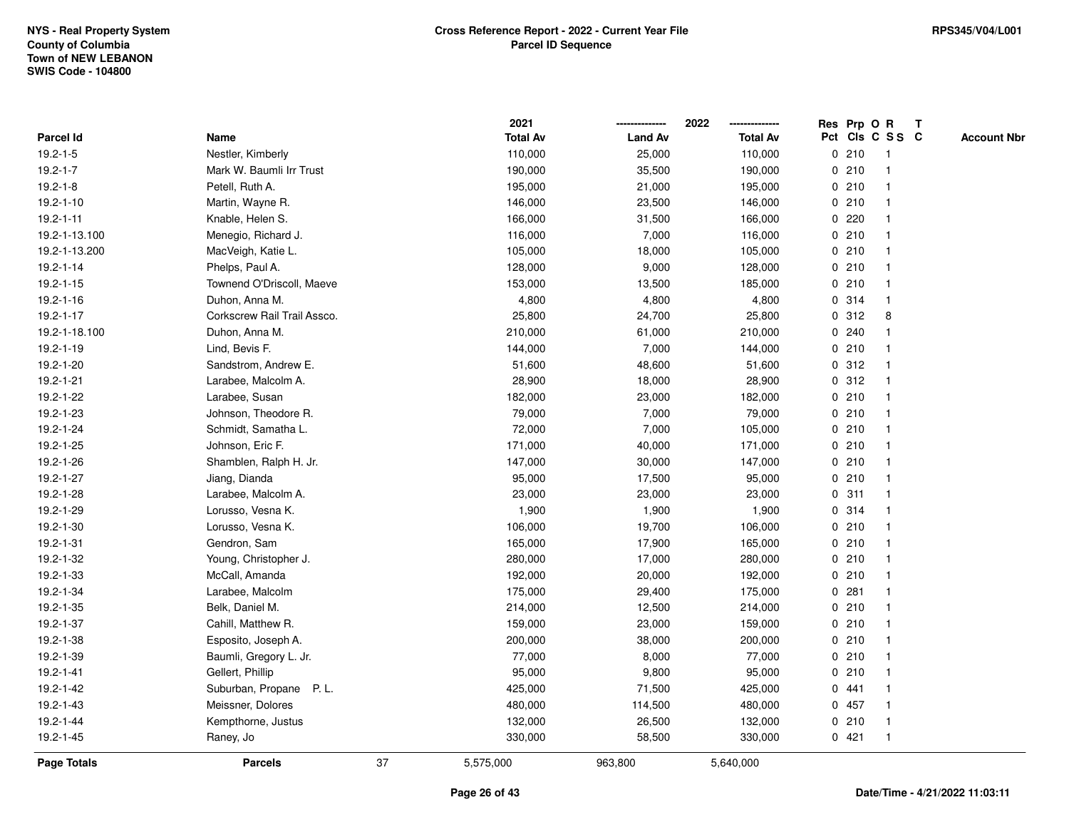|                    |                             |    | 2021            |                | 2022            |             | Res Prp O R |                         | Т |                    |
|--------------------|-----------------------------|----|-----------------|----------------|-----------------|-------------|-------------|-------------------------|---|--------------------|
| Parcel Id          | Name                        |    | <b>Total Av</b> | <b>Land Av</b> | <b>Total Av</b> |             |             | Pct Cls C S S C         |   | <b>Account Nbr</b> |
| $19.2 - 1 - 5$     | Nestler, Kimberly           |    | 110,000         | 25,000         | 110,000         |             | 0210        | $\mathbf{1}$            |   |                    |
| $19.2 - 1 - 7$     | Mark W. Baumli Irr Trust    |    | 190,000         | 35,500         | 190,000         |             | 0210        | $\mathbf 1$             |   |                    |
| $19.2 - 1 - 8$     | Petell, Ruth A.             |    | 195,000         | 21,000         | 195,000         |             | 0210        | $\mathbf{1}$            |   |                    |
| $19.2 - 1 - 10$    | Martin, Wayne R.            |    | 146,000         | 23,500         | 146,000         |             | 0210        |                         |   |                    |
| $19.2 - 1 - 11$    | Knable, Helen S.            |    | 166,000         | 31,500         | 166,000         |             | 0220        |                         |   |                    |
| 19.2-1-13.100      | Menegio, Richard J.         |    | 116,000         | 7,000          | 116,000         |             | 0210        |                         |   |                    |
| 19.2-1-13.200      | MacVeigh, Katie L.          |    | 105,000         | 18,000         | 105,000         |             | 0210        | -1                      |   |                    |
| $19.2 - 1 - 14$    | Phelps, Paul A.             |    | 128,000         | 9,000          | 128,000         |             | 0210        | -1                      |   |                    |
| $19.2 - 1 - 15$    | Townend O'Driscoll, Maeve   |    | 153,000         | 13,500         | 185,000         |             | 0210        | $\mathbf 1$             |   |                    |
| $19.2 - 1 - 16$    | Duhon, Anna M.              |    | 4,800           | 4,800          | 4,800           |             | 0.314       | $\mathbf{1}$            |   |                    |
| $19.2 - 1 - 17$    | Corkscrew Rail Trail Assco. |    | 25,800          | 24,700         | 25,800          |             | 0.312       | 8                       |   |                    |
| 19.2-1-18.100      | Duhon, Anna M.              |    | 210,000         | 61,000         | 210,000         |             | 0.240       |                         |   |                    |
| 19.2-1-19          | Lind, Bevis F.              |    | 144,000         | 7,000          | 144,000         |             | 0210        |                         |   |                    |
| 19.2-1-20          | Sandstrom, Andrew E.        |    | 51,600          | 48,600         | 51,600          |             | 0.312       | -1                      |   |                    |
| 19.2-1-21          | Larabee, Malcolm A.         |    | 28,900          | 18,000         | 28,900          | $\mathbf 0$ | 312         | $\mathbf{1}$            |   |                    |
| 19.2-1-22          | Larabee, Susan              |    | 182,000         | 23,000         | 182,000         |             | 0210        | -1                      |   |                    |
| 19.2-1-23          | Johnson, Theodore R.        |    | 79,000          | 7,000          | 79,000          |             | 0210        | $\mathbf{1}$            |   |                    |
| 19.2-1-24          | Schmidt, Samatha L.         |    | 72,000          | 7,000          | 105,000         |             | 0210        |                         |   |                    |
| 19.2-1-25          | Johnson, Eric F.            |    | 171,000         | 40,000         | 171,000         |             | 0210        |                         |   |                    |
| 19.2-1-26          | Shamblen, Ralph H. Jr.      |    | 147,000         | 30,000         | 147,000         |             | 0210        |                         |   |                    |
| 19.2-1-27          | Jiang, Dianda               |    | 95,000          | 17,500         | 95,000          |             | 0210        | -1                      |   |                    |
| 19.2-1-28          | Larabee, Malcolm A.         |    | 23,000          | 23,000         | 23,000          | $\mathbf 0$ | 311         |                         |   |                    |
| 19.2-1-29          | Lorusso, Vesna K.           |    | 1,900           | 1,900          | 1,900           |             | 0.314       | $\mathbf{1}$            |   |                    |
| 19.2-1-30          | Lorusso, Vesna K.           |    | 106,000         | 19,700         | 106,000         |             | 0210        | $\mathbf 1$             |   |                    |
| 19.2-1-31          | Gendron, Sam                |    | 165,000         | 17,900         | 165,000         |             | 0210        | -1                      |   |                    |
| 19.2-1-32          | Young, Christopher J.       |    | 280,000         | 17,000         | 280,000         |             | 0210        |                         |   |                    |
| 19.2-1-33          | McCall, Amanda              |    | 192,000         | 20,000         | 192,000         |             | 0210        |                         |   |                    |
| 19.2-1-34          | Larabee, Malcolm            |    | 175,000         | 29,400         | 175,000         |             | 0.281       | -1                      |   |                    |
| 19.2-1-35          | Belk, Daniel M.             |    | 214,000         | 12,500         | 214,000         |             | 0210        | $\overline{\mathbf{1}}$ |   |                    |
| 19.2-1-37          | Cahill, Matthew R.          |    | 159,000         | 23,000         | 159,000         |             | 0210        | $\mathbf{1}$            |   |                    |
| 19.2-1-38          | Esposito, Joseph A.         |    | 200,000         | 38,000         | 200,000         |             | 0210        | $\mathbf{1}$            |   |                    |
| 19.2-1-39          | Baumli, Gregory L. Jr.      |    | 77,000          | 8,000          | 77,000          |             | 0210        | -1                      |   |                    |
| 19.2-1-41          | Gellert, Phillip            |    | 95,000          | 9,800          | 95,000          |             | 0210        |                         |   |                    |
| 19.2-1-42          | Suburban, Propane P.L.      |    | 425,000         | 71,500         | 425,000         |             | 0441        |                         |   |                    |
| 19.2-1-43          | Meissner, Dolores           |    | 480,000         | 114,500        | 480,000         |             | 0457        | $\mathbf{1}$            |   |                    |
| 19.2-1-44          | Kempthorne, Justus          |    | 132,000         | 26,500         | 132,000         |             | 0210        | $\mathbf{1}$            |   |                    |
| 19.2-1-45          | Raney, Jo                   |    | 330,000         | 58,500         | 330,000         |             | 0421        | $\mathbf{1}$            |   |                    |
| <b>Page Totals</b> | <b>Parcels</b>              | 37 | 5,575,000       | 963,800        | 5,640,000       |             |             |                         |   |                    |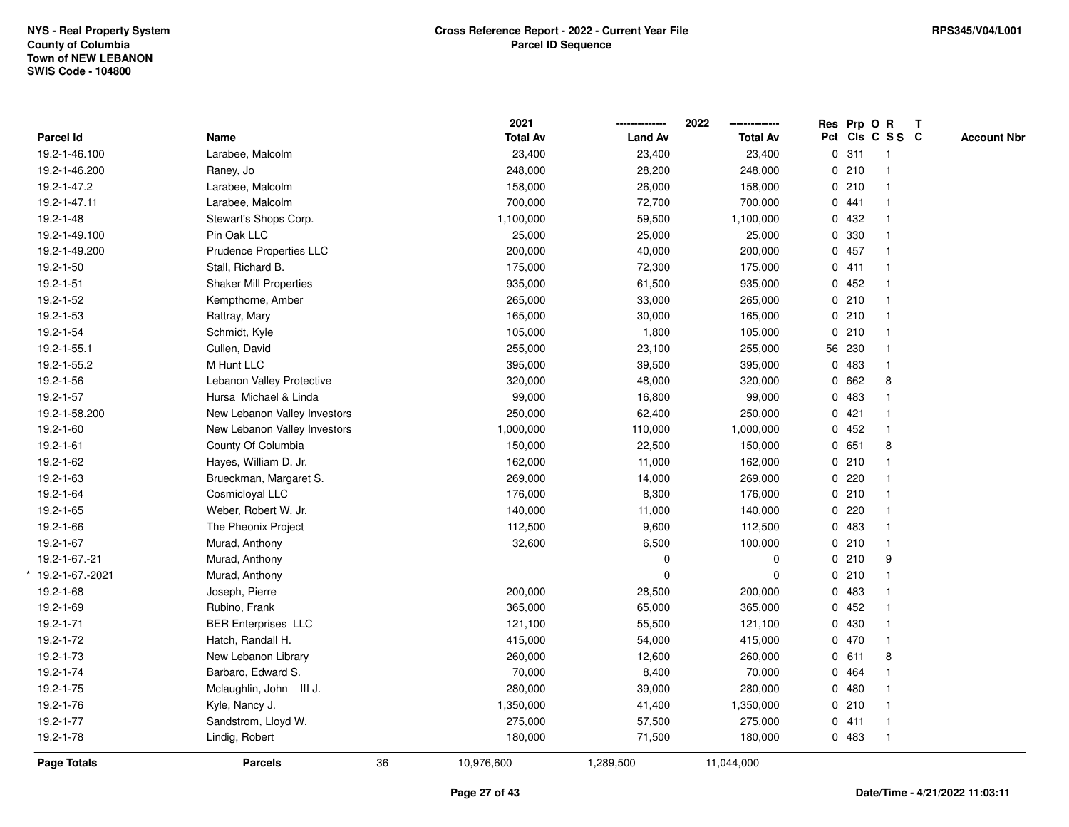|                   |                               |    | 2021            |                | 2022            | Res Prp O R |                 | $\mathbf{T}$ |                    |
|-------------------|-------------------------------|----|-----------------|----------------|-----------------|-------------|-----------------|--------------|--------------------|
| Parcel Id         | Name                          |    | <b>Total Av</b> | <b>Land Av</b> | <b>Total Av</b> |             | Pct Cls C S S C |              | <b>Account Nbr</b> |
| 19.2-1-46.100     | Larabee, Malcolm              |    | 23,400          | 23,400         | 23,400          | 0.311       | $\overline{1}$  |              |                    |
| 19.2-1-46.200     | Raney, Jo                     |    | 248,000         | 28,200         | 248,000         | 0210        | $\mathbf{1}$    |              |                    |
| 19.2-1-47.2       | Larabee, Malcolm              |    | 158,000         | 26,000         | 158,000         | 0210        | $\mathbf{1}$    |              |                    |
| 19.2-1-47.11      | Larabee, Malcolm              |    | 700,000         | 72,700         | 700,000         | 0.441       | 1               |              |                    |
| 19.2-1-48         | Stewart's Shops Corp.         |    | 1,100,000       | 59,500         | 1,100,000       | 0 432       | 1               |              |                    |
| 19.2-1-49.100     | Pin Oak LLC                   |    | 25,000          | 25,000         | 25,000          | 0 330       | 1               |              |                    |
| 19.2-1-49.200     | Prudence Properties LLC       |    | 200,000         | 40,000         | 200,000         | 0457        | $\mathbf{1}$    |              |                    |
| 19.2-1-50         | Stall, Richard B.             |    | 175,000         | 72,300         | 175,000         | 0411        | $\mathbf{1}$    |              |                    |
| 19.2-1-51         | <b>Shaker Mill Properties</b> |    | 935,000         | 61,500         | 935,000         | 0452        | $\mathbf{1}$    |              |                    |
| 19.2-1-52         | Kempthorne, Amber             |    | 265,000         | 33,000         | 265,000         | 0210        | $\mathbf{1}$    |              |                    |
| 19.2-1-53         | Rattray, Mary                 |    | 165,000         | 30,000         | 165,000         | 0210        | 1               |              |                    |
| 19.2-1-54         | Schmidt, Kyle                 |    | 105,000         | 1,800          | 105,000         | 0210        | 1               |              |                    |
| 19.2-1-55.1       | Cullen, David                 |    | 255,000         | 23,100         | 255,000         | 56 230      |                 |              |                    |
| 19.2-1-55.2       | M Hunt LLC                    |    | 395,000         | 39,500         | 395,000         | 0 483       | $\mathbf{1}$    |              |                    |
| 19.2-1-56         | Lebanon Valley Protective     |    | 320,000         | 48,000         | 320,000         | 0 662       | 8               |              |                    |
| 19.2-1-57         | Hursa Michael & Linda         |    | 99,000          | 16,800         | 99,000          | 0 483       | $\mathbf{1}$    |              |                    |
| 19.2-1-58.200     | New Lebanon Valley Investors  |    | 250,000         | 62,400         | 250,000         | 0421        | $\mathbf{1}$    |              |                    |
| 19.2-1-60         | New Lebanon Valley Investors  |    | 1,000,000       | 110,000        | 1,000,000       | 0452        | 1               |              |                    |
| $19.2 - 1 - 61$   | County Of Columbia            |    | 150,000         | 22,500         | 150,000         | 0 651       | 8               |              |                    |
| 19.2-1-62         | Hayes, William D. Jr.         |    | 162,000         | 11,000         | 162,000         | 0210        | $\mathbf{1}$    |              |                    |
| 19.2-1-63         | Brueckman, Margaret S.        |    | 269,000         | 14,000         | 269,000         | $0$ 220     | $\mathbf{1}$    |              |                    |
| 19.2-1-64         | Cosmicloyal LLC               |    | 176,000         | 8,300          | 176,000         | 0210        | $\mathbf{1}$    |              |                    |
| 19.2-1-65         | Weber, Robert W. Jr.          |    | 140,000         | 11,000         | 140,000         | 0.220       | $\mathbf{1}$    |              |                    |
| 19.2-1-66         | The Pheonix Project           |    | 112,500         | 9,600          | 112,500         | 0 483       | $\mathbf{1}$    |              |                    |
| 19.2-1-67         | Murad, Anthony                |    | 32,600          | 6,500          | 100,000         | 0210        | 1               |              |                    |
| 19.2-1-67.-21     | Murad, Anthony                |    |                 | 0              | 0               | 0210        | 9               |              |                    |
| * 19.2-1-67.-2021 | Murad, Anthony                |    |                 | 0              | $\mathbf 0$     | 0210        | $\mathbf{1}$    |              |                    |
| 19.2-1-68         | Joseph, Pierre                |    | 200,000         | 28,500         | 200,000         | 0 483       | $\mathbf{1}$    |              |                    |
| 19.2-1-69         | Rubino, Frank                 |    | 365,000         | 65,000         | 365,000         | 0452        | $\mathbf{1}$    |              |                    |
| 19.2-1-71         | <b>BER Enterprises LLC</b>    |    | 121,100         | 55,500         | 121,100         | 0 430       | $\mathbf{1}$    |              |                    |
| 19.2-1-72         | Hatch, Randall H.             |    | 415,000         | 54,000         | 415,000         | 0 470       | $\mathbf{1}$    |              |                    |
| 19.2-1-73         | New Lebanon Library           |    | 260,000         | 12,600         | 260,000         | 0 611       | 8               |              |                    |
| 19.2-1-74         | Barbaro, Edward S.            |    | 70,000          | 8,400          | 70,000          | 0 464       | 1               |              |                    |
| 19.2-1-75         | Mclaughlin, John III J.       |    | 280,000         | 39,000         | 280,000         | 0480        | $\mathbf{1}$    |              |                    |
| 19.2-1-76         | Kyle, Nancy J.                |    | 1,350,000       | 41,400         | 1,350,000       | 0210        | $\mathbf{1}$    |              |                    |
| 19.2-1-77         | Sandstrom, Lloyd W.           |    | 275,000         | 57,500         | 275,000         | 0411        | $\mathbf{1}$    |              |                    |
| 19.2-1-78         | Lindig, Robert                |    | 180,000         | 71,500         | 180,000         | 0 483       | $\mathbf{1}$    |              |                    |
| Page Totals       | <b>Parcels</b>                | 36 | 10,976,600      | 1,289,500      | 11,044,000      |             |                 |              |                    |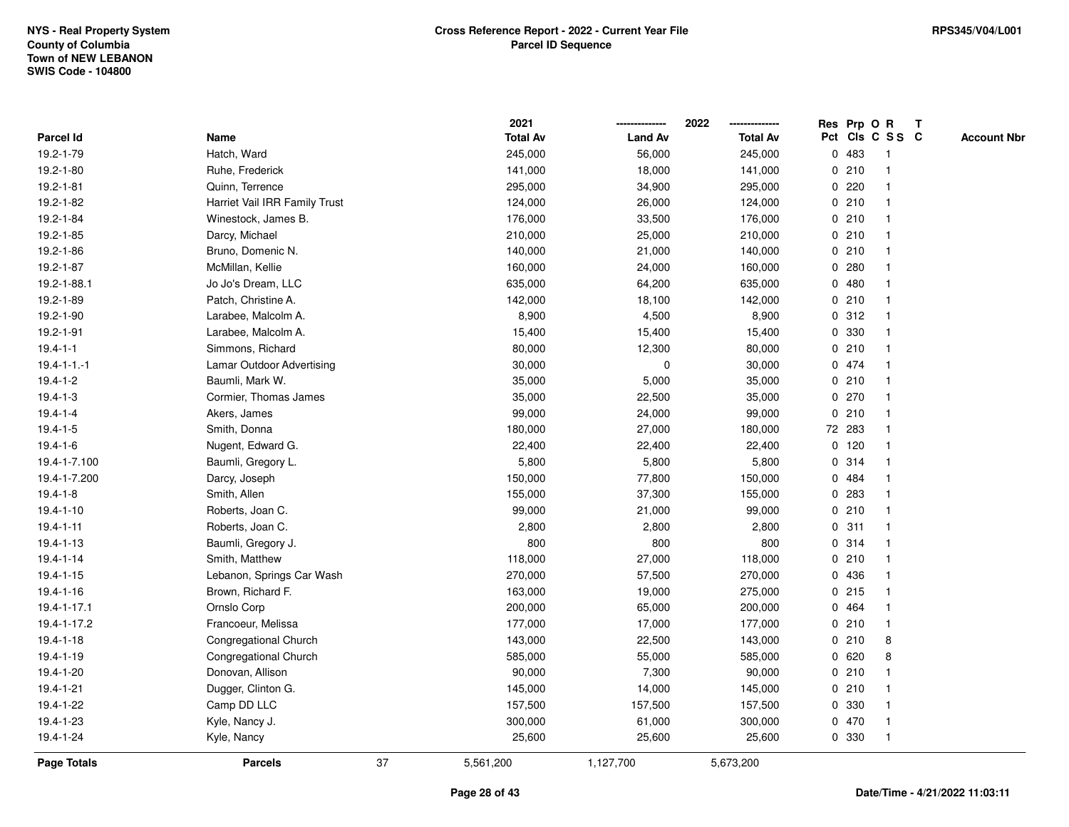|                    |                               |    | 2021            |                | 2022            |             | Res Prp O R |                         | Т |                    |
|--------------------|-------------------------------|----|-----------------|----------------|-----------------|-------------|-------------|-------------------------|---|--------------------|
| Parcel Id          | Name                          |    | <b>Total Av</b> | <b>Land Av</b> | <b>Total Av</b> |             |             | Pct Cls C S S C         |   | <b>Account Nbr</b> |
| 19.2-1-79          | Hatch, Ward                   |    | 245,000         | 56,000         | 245,000         | $\mathbf 0$ | 483         | $\mathbf{1}$            |   |                    |
| 19.2-1-80          | Ruhe, Frederick               |    | 141,000         | 18,000         | 141,000         |             | 0210        | $\mathbf 1$             |   |                    |
| 19.2-1-81          | Quinn, Terrence               |    | 295,000         | 34,900         | 295,000         |             | 0220        | $\mathbf{1}$            |   |                    |
| 19.2-1-82          | Harriet Vail IRR Family Trust |    | 124,000         | 26,000         | 124,000         |             | 0210        |                         |   |                    |
| 19.2-1-84          | Winestock, James B.           |    | 176,000         | 33,500         | 176,000         |             | 0210        |                         |   |                    |
| 19.2-1-85          | Darcy, Michael                |    | 210,000         | 25,000         | 210,000         |             | 0210        |                         |   |                    |
| 19.2-1-86          | Bruno, Domenic N.             |    | 140,000         | 21,000         | 140,000         |             | 0210        |                         |   |                    |
| 19.2-1-87          | McMillan, Kellie              |    | 160,000         | 24,000         | 160,000         | 0           | 280         |                         |   |                    |
| 19.2-1-88.1        | Jo Jo's Dream, LLC            |    | 635,000         | 64,200         | 635,000         |             | 0480        | $\mathbf 1$             |   |                    |
| 19.2-1-89          | Patch, Christine A.           |    | 142,000         | 18,100         | 142,000         |             | 0210        | $\mathbf{1}$            |   |                    |
| 19.2-1-90          | Larabee, Malcolm A.           |    | 8,900           | 4,500          | 8,900           |             | 0.312       |                         |   |                    |
| 19.2-1-91          | Larabee, Malcolm A.           |    | 15,400          | 15,400         | 15,400          |             | 0 330       |                         |   |                    |
| $19.4 - 1 - 1$     | Simmons, Richard              |    | 80,000          | 12,300         | 80,000          |             | 0210        |                         |   |                    |
| $19.4 - 1 - 1 - 1$ | Lamar Outdoor Advertising     |    | 30,000          | 0              | 30,000          |             | 0 474       | -1                      |   |                    |
| $19.4 - 1 - 2$     | Baumli, Mark W.               |    | 35,000          | 5,000          | 35,000          |             | 0210        | $\overline{\mathbf{1}}$ |   |                    |
| $19.4 - 1 - 3$     | Cormier, Thomas James         |    | 35,000          | 22,500         | 35,000          |             | 0270        | -1                      |   |                    |
| $19.4 - 1 - 4$     | Akers, James                  |    | 99,000          | 24,000         | 99,000          |             | 0210        | $\mathbf{1}$            |   |                    |
| $19.4 - 1 - 5$     | Smith, Donna                  |    | 180,000         | 27,000         | 180,000         |             | 72 283      |                         |   |                    |
| $19.4 - 1 - 6$     | Nugent, Edward G.             |    | 22,400          | 22,400         | 22,400          |             | $0$ 120     |                         |   |                    |
| 19.4-1-7.100       | Baumli, Gregory L.            |    | 5,800           | 5,800          | 5,800           |             | 0.314       |                         |   |                    |
| 19.4-1-7.200       | Darcy, Joseph                 |    | 150,000         | 77,800         | 150,000         |             | 0 484       |                         |   |                    |
| $19.4 - 1 - 8$     | Smith, Allen                  |    | 155,000         | 37,300         | 155,000         | 0           | 283         |                         |   |                    |
| $19.4 - 1 - 10$    | Roberts, Joan C.              |    | 99,000          | 21,000         | 99,000          |             | 0210        | $\mathbf{1}$            |   |                    |
| $19.4 - 1 - 11$    | Roberts, Joan C.              |    | 2,800           | 2,800          | 2,800           |             | 0.311       | $\mathbf 1$             |   |                    |
| 19.4-1-13          | Baumli, Gregory J.            |    | 800             | 800            | 800             |             | 0.314       | -1                      |   |                    |
| $19.4 - 1 - 14$    | Smith, Matthew                |    | 118,000         | 27,000         | 118,000         |             | 0210        |                         |   |                    |
| $19.4 - 1 - 15$    | Lebanon, Springs Car Wash     |    | 270,000         | 57,500         | 270,000         |             | 0 436       |                         |   |                    |
| 19.4-1-16          | Brown, Richard F.             |    | 163,000         | 19,000         | 275,000         |             | 0215        |                         |   |                    |
| 19.4-1-17.1        | Ornslo Corp                   |    | 200,000         | 65,000         | 200,000         |             | 0 464       |                         |   |                    |
| 19.4-1-17.2        | Francoeur, Melissa            |    | 177,000         | 17,000         | 177,000         |             | 0210        | $\mathbf{1}$            |   |                    |
| $19.4 - 1 - 18$    | Congregational Church         |    | 143,000         | 22,500         | 143,000         |             | 0210        | 8                       |   |                    |
| 19.4-1-19          | Congregational Church         |    | 585,000         | 55,000         | 585,000         |             | 0620        | 8                       |   |                    |
| 19.4-1-20          | Donovan, Allison              |    | 90,000          | 7,300          | 90,000          |             | 0210        |                         |   |                    |
| 19.4-1-21          | Dugger, Clinton G.            |    | 145,000         | 14,000         | 145,000         |             | 0210        |                         |   |                    |
| 19.4-1-22          | Camp DD LLC                   |    | 157,500         | 157,500        | 157,500         |             | 0 330       | $\overline{\mathbf{1}}$ |   |                    |
| 19.4-1-23          | Kyle, Nancy J.                |    | 300,000         | 61,000         | 300,000         |             | 0 470       | $\mathbf{1}$            |   |                    |
| 19.4-1-24          | Kyle, Nancy                   |    | 25,600          | 25,600         | 25,600          |             | 0 330       | $\mathbf{1}$            |   |                    |
| <b>Page Totals</b> | <b>Parcels</b>                | 37 | 5,561,200       | 1,127,700      | 5,673,200       |             |             |                         |   |                    |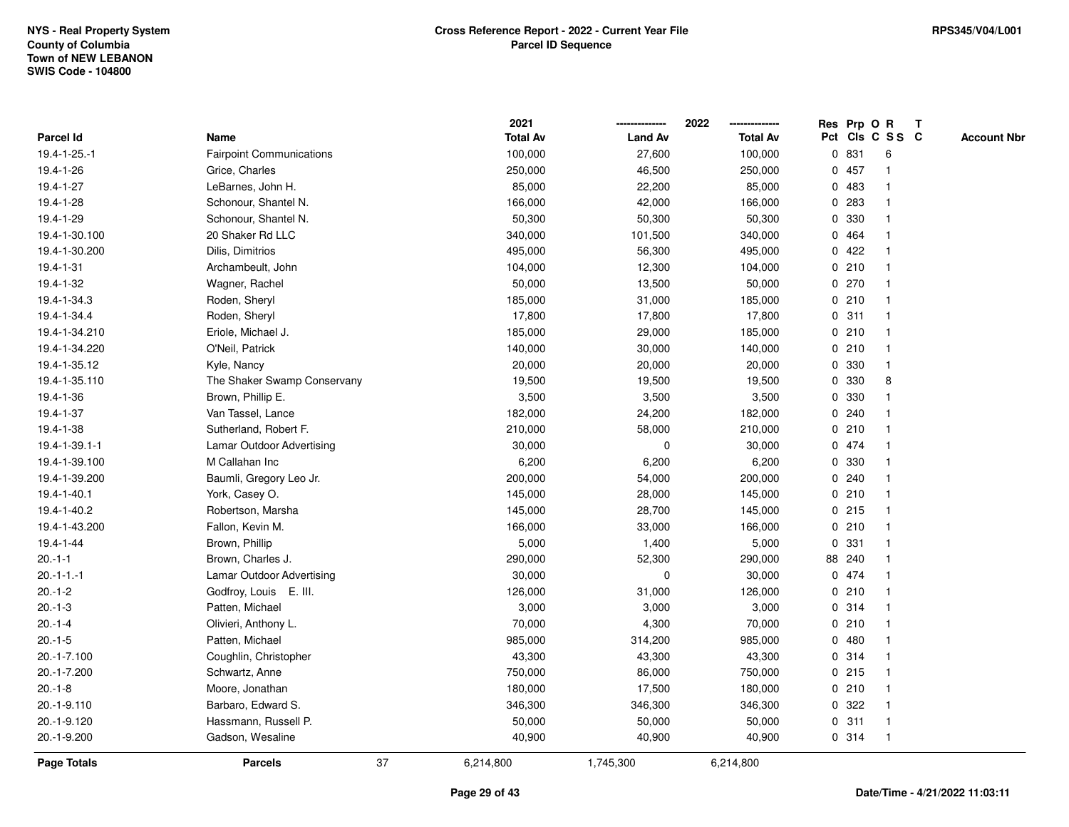|                    |                                 |    | 2021            |                | 2022            |   |        | Res Prp O R             | Т |                    |
|--------------------|---------------------------------|----|-----------------|----------------|-----------------|---|--------|-------------------------|---|--------------------|
| <b>Parcel Id</b>   | Name                            |    | <b>Total Av</b> | <b>Land Av</b> | <b>Total Av</b> |   |        | Pct Cls C S S C         |   | <b>Account Nbr</b> |
| 19.4-1-25.-1       | <b>Fairpoint Communications</b> |    | 100,000         | 27,600         | 100,000         |   | 0 831  | 6                       |   |                    |
| 19.4-1-26          | Grice, Charles                  |    | 250,000         | 46,500         | 250,000         |   | 0457   | $\mathbf 1$             |   |                    |
| 19.4-1-27          | LeBarnes, John H.               |    | 85,000          | 22,200         | 85,000          |   | 0483   | $\mathbf{1}$            |   |                    |
| 19.4-1-28          | Schonour, Shantel N.            |    | 166,000         | 42,000         | 166,000         |   | 0 283  |                         |   |                    |
| 19.4-1-29          | Schonour, Shantel N.            |    | 50,300          | 50,300         | 50,300          |   | 0 330  |                         |   |                    |
| 19.4-1-30.100      | 20 Shaker Rd LLC                |    | 340,000         | 101,500        | 340,000         |   | 0 464  |                         |   |                    |
| 19.4-1-30.200      | Dilis, Dimitrios                |    | 495,000         | 56,300         | 495,000         |   | 0422   |                         |   |                    |
| 19.4-1-31          | Archambeult, John               |    | 104,000         | 12,300         | 104,000         |   | 0210   | $\overline{\mathbf{1}}$ |   |                    |
| 19.4-1-32          | Wagner, Rachel                  |    | 50,000          | 13,500         | 50,000          |   | 0270   | -1                      |   |                    |
| 19.4-1-34.3        | Roden, Sheryl                   |    | 185,000         | 31,000         | 185,000         |   | 0210   | $\mathbf 1$             |   |                    |
| 19.4-1-34.4        | Roden, Sheryl                   |    | 17,800          | 17,800         | 17,800          |   | 0.311  | -1                      |   |                    |
| 19.4-1-34.210      | Eriole, Michael J.              |    | 185,000         | 29,000         | 185,000         |   | 0210   |                         |   |                    |
| 19.4-1-34.220      | O'Neil, Patrick                 |    | 140,000         | 30,000         | 140,000         |   | 0210   |                         |   |                    |
| 19.4-1-35.12       | Kyle, Nancy                     |    | 20,000          | 20,000         | 20,000          |   | 0 330  | -1                      |   |                    |
| 19.4-1-35.110      | The Shaker Swamp Conservany     |    | 19,500          | 19,500         | 19,500          | 0 | 330    | 8                       |   |                    |
| 19.4-1-36          | Brown, Phillip E.               |    | 3,500           | 3,500          | 3,500           | 0 | 330    | -1                      |   |                    |
| 19.4-1-37          | Van Tassel, Lance               |    | 182,000         | 24,200         | 182,000         |   | 0.240  | -1                      |   |                    |
| 19.4-1-38          | Sutherland, Robert F.           |    | 210,000         | 58,000         | 210,000         |   | 0210   | -1                      |   |                    |
| 19.4-1-39.1-1      | Lamar Outdoor Advertising       |    | 30,000          | 0              | 30,000          |   | 0 474  |                         |   |                    |
| 19.4-1-39.100      | M Callahan Inc                  |    | 6,200           | 6,200          | 6,200           |   | 0 330  |                         |   |                    |
| 19.4-1-39.200      | Baumli, Gregory Leo Jr.         |    | 200,000         | 54,000         | 200,000         |   | 0.240  |                         |   |                    |
| 19.4-1-40.1        | York, Casey O.                  |    | 145,000         | 28,000         | 145,000         |   | 0210   | -1                      |   |                    |
| 19.4-1-40.2        | Robertson, Marsha               |    | 145,000         | 28,700         | 145,000         |   | 0215   | $\mathbf{1}$            |   |                    |
| 19.4-1-43.200      | Fallon, Kevin M.                |    | 166,000         | 33,000         | 166,000         |   | 0210   | $\mathbf 1$             |   |                    |
| 19.4-1-44          | Brown, Phillip                  |    | 5,000           | 1,400          | 5,000           |   | 0 331  | $\mathbf 1$             |   |                    |
| $20.-1-1$          | Brown, Charles J.               |    | 290,000         | 52,300         | 290,000         |   | 88 240 |                         |   |                    |
| $20.-1-1.-1$       | Lamar Outdoor Advertising       |    | 30,000          | 0              | 30,000          |   | 0 474  |                         |   |                    |
| $20.-1-2$          | Godfroy, Louis E. III.          |    | 126,000         | 31,000         | 126,000         |   | 0210   | -1                      |   |                    |
| $20.-1-3$          | Patten, Michael                 |    | 3,000           | 3,000          | 3,000           |   | 0.314  | $\overline{\mathbf{1}}$ |   |                    |
| $20.-1-4$          | Olivieri, Anthony L.            |    | 70,000          | 4,300          | 70,000          |   | 0210   | -1                      |   |                    |
| $20.-1-5$          | Patten, Michael                 |    | 985,000         | 314,200        | 985,000         | 0 | 480    | $\mathbf 1$             |   |                    |
| 20.-1-7.100        | Coughlin, Christopher           |    | 43,300          | 43,300         | 43,300          |   | 0.314  | $\mathbf 1$             |   |                    |
| 20.-1-7.200        | Schwartz, Anne                  |    | 750,000         | 86,000         | 750,000         |   | 0.215  |                         |   |                    |
| $20.-1-8$          | Moore, Jonathan                 |    | 180,000         | 17,500         | 180,000         |   | 0210   |                         |   |                    |
| 20.-1-9.110        | Barbaro, Edward S.              |    | 346,300         | 346,300        | 346,300         |   | 0.322  | -1                      |   |                    |
| 20.-1-9.120        | Hassmann, Russell P.            |    | 50,000          | 50,000         | 50,000          |   | 0.311  | $\mathbf 1$             |   |                    |
| 20.-1-9.200        | Gadson, Wesaline                |    | 40,900          | 40,900         | 40,900          |   | 0.314  | $\mathbf{1}$            |   |                    |
| <b>Page Totals</b> | <b>Parcels</b>                  | 37 | 6,214,800       | 1,745,300      | 6,214,800       |   |        |                         |   |                    |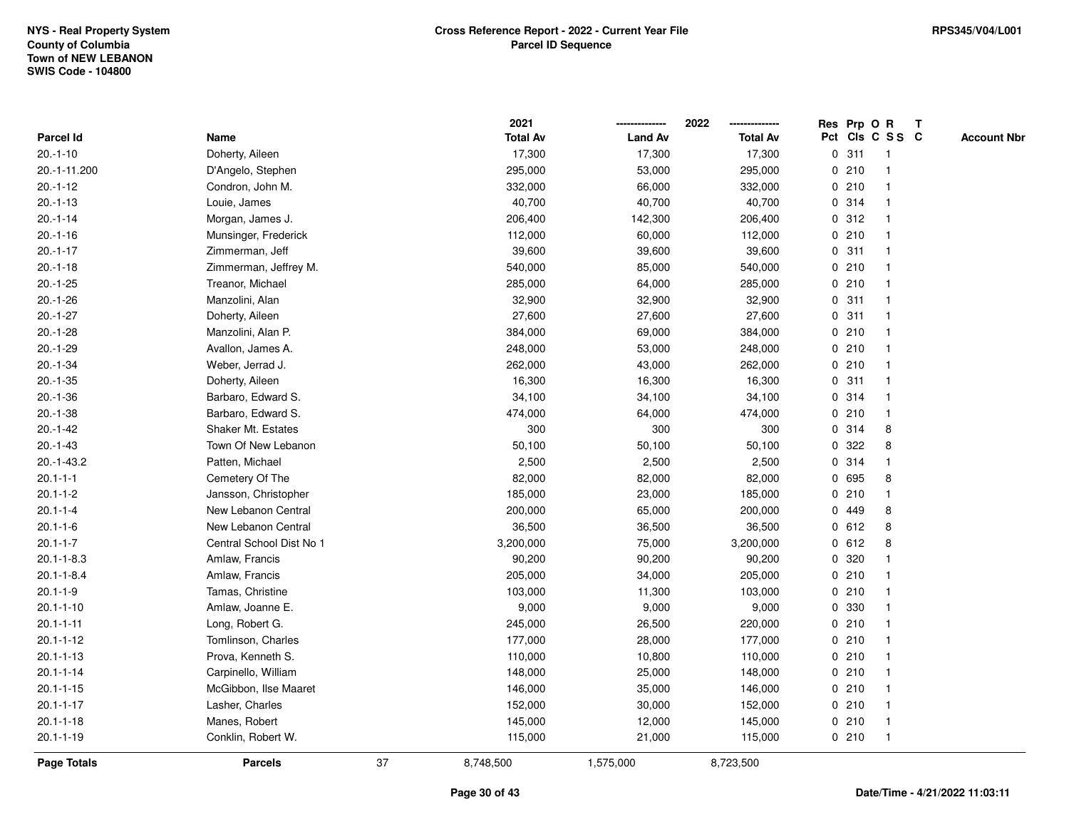|                  |                           |    | 2021            |                | 2022            |             |       | Res Prp O R             | T |                    |
|------------------|---------------------------|----|-----------------|----------------|-----------------|-------------|-------|-------------------------|---|--------------------|
| Parcel Id        | Name                      |    | <b>Total Av</b> | <b>Land Av</b> | <b>Total Av</b> |             |       | Pct Cls C S S C         |   | <b>Account Nbr</b> |
| $20.-1-10$       | Doherty, Aileen           |    | 17,300          | 17,300         | 17,300          | $\mathbf 0$ | 311   | $\mathbf{1}$            |   |                    |
| 20.-1-11.200     | D'Angelo, Stephen         |    | 295,000         | 53,000         | 295,000         | 0           | 210   | -1                      |   |                    |
| $20.-1-12$       | Condron, John M.          |    | 332,000         | 66,000         | 332,000         |             | 0210  | $\mathbf{1}$            |   |                    |
| $20.-1-13$       | Louie, James              |    | 40,700          | 40,700         | 40,700          |             | 0 314 |                         |   |                    |
| $20.-1-14$       | Morgan, James J.          |    | 206,400         | 142,300        | 206,400         |             | 0.312 |                         |   |                    |
| $20.-1-16$       | Munsinger, Frederick      |    | 112,000         | 60,000         | 112,000         |             | 0210  |                         |   |                    |
| $20.-1-17$       | Zimmerman, Jeff           |    | 39,600          | 39,600         | 39,600          |             | 0.311 | $\mathbf{1}$            |   |                    |
| $20.-1-18$       | Zimmerman, Jeffrey M.     |    | 540,000         | 85,000         | 540,000         | 0           | 210   | -1                      |   |                    |
| $20.-1-25$       | Treanor, Michael          |    | 285,000         | 64,000         | 285,000         | 0           | 210   | -1                      |   |                    |
| $20.-1-26$       | Manzolini, Alan           |    | 32,900          | 32,900         | 32,900          |             | 0.311 | $\mathbf{1}$            |   |                    |
| $20.-1-27$       | Doherty, Aileen           |    | 27,600          | 27,600         | 27,600          |             | 0.311 |                         |   |                    |
| $20.-1-28$       | Manzolini, Alan P.        |    | 384,000         | 69,000         | 384,000         |             | 0210  |                         |   |                    |
| $20.-1-29$       | Avallon, James A.         |    | 248,000         | 53,000         | 248,000         |             | 0210  |                         |   |                    |
| $20.-1-34$       | Weber, Jerrad J.          |    | 262,000         | 43,000         | 262,000         |             | 0210  | -1                      |   |                    |
| $20.-1-35$       | Doherty, Aileen           |    | 16,300          | 16,300         | 16,300          | 0           | 311   | -1                      |   |                    |
| $20.-1-36$       | Barbaro, Edward S.        |    | 34,100          | 34,100         | 34,100          | 0           | 314   | $\mathbf{1}$            |   |                    |
| $20.-1-38$       | Barbaro, Edward S.        |    | 474,000         | 64,000         | 474,000         |             | 0210  | $\mathbf{1}$            |   |                    |
| $20.-1-42$       | <b>Shaker Mt. Estates</b> |    | 300             | 300            | 300             |             | 0.314 | 8                       |   |                    |
| $20.-1-43$       | Town Of New Lebanon       |    | 50,100          | 50,100         | 50,100          |             | 0 322 | 8                       |   |                    |
| $20.-1-43.2$     | Patten, Michael           |    | 2,500           | 2,500          | 2,500           |             | 0 314 |                         |   |                    |
| $20.1 - 1 - 1$   | Cemetery Of The           |    | 82,000          | 82,000         | 82,000          |             | 0 695 | 8                       |   |                    |
| $20.1 - 1 - 2$   | Jansson, Christopher      |    | 185,000         | 23,000         | 185,000         | 0           | 210   | $\mathbf{1}$            |   |                    |
| $20.1 - 1 - 4$   | New Lebanon Central       |    | 200,000         | 65,000         | 200,000         |             | 0 449 | 8                       |   |                    |
| $20.1 - 1 - 6$   | New Lebanon Central       |    | 36,500          | 36,500         | 36,500          |             | 0 612 | 8                       |   |                    |
| $20.1 - 1 - 7$   | Central School Dist No 1  |    | 3,200,000       | 75,000         | 3,200,000       |             | 0 612 | 8                       |   |                    |
| $20.1 - 1 - 8.3$ | Amlaw, Francis            |    | 90,200          | 90,200         | 90,200          |             | 0 320 |                         |   |                    |
| $20.1 - 1 - 8.4$ | Amlaw, Francis            |    | 205,000         | 34,000         | 205,000         |             | 0210  |                         |   |                    |
| $20.1 - 1 - 9$   | Tamas, Christine          |    | 103,000         | 11,300         | 103,000         |             | 0210  | -1                      |   |                    |
| $20.1 - 1 - 10$  | Amlaw, Joanne E.          |    | 9,000           | 9,000          | 9,000           | $\mathbf 0$ | 330   |                         |   |                    |
| $20.1 - 1 - 11$  | Long, Robert G.           |    | 245,000         | 26,500         | 220,000         | 0           | 210   | $\mathbf{1}$            |   |                    |
| $20.1 - 1 - 12$  | Tomlinson, Charles        |    | 177,000         | 28,000         | 177,000         |             | 0210  | $\mathbf{1}$            |   |                    |
| $20.1 - 1 - 13$  | Prova, Kenneth S.         |    | 110,000         | 10,800         | 110,000         |             | 0210  |                         |   |                    |
| $20.1 - 1 - 14$  | Carpinello, William       |    | 148,000         | 25,000         | 148,000         |             | 0210  |                         |   |                    |
| $20.1 - 1 - 15$  | McGibbon, Ilse Maaret     |    | 146,000         | 35,000         | 146,000         |             | 0210  |                         |   |                    |
| $20.1 - 1 - 17$  | Lasher, Charles           |    | 152,000         | 30,000         | 152,000         |             | 0210  | $\overline{\mathbf{1}}$ |   |                    |
| $20.1 - 1 - 18$  | Manes, Robert             |    | 145,000         | 12,000         | 145,000         |             | 0210  | $\mathbf{1}$            |   |                    |
| $20.1 - 1 - 19$  | Conklin, Robert W.        |    | 115,000         | 21,000         | 115,000         |             | 0210  | $\mathbf{1}$            |   |                    |
| Page Totals      | <b>Parcels</b>            | 37 | 8,748,500       | 1,575,000      | 8,723,500       |             |       |                         |   |                    |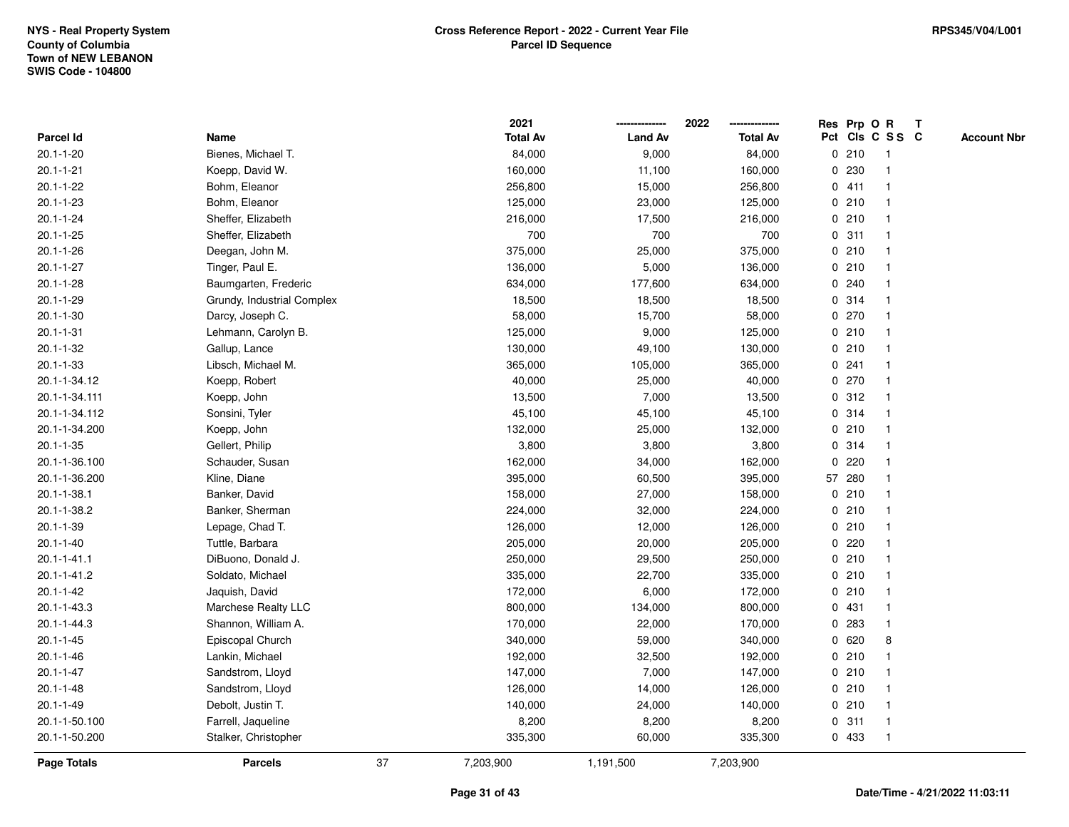|                   |                            |    | 2021            |                | 2022            |              | Res Prp O R |                 | Т |                    |
|-------------------|----------------------------|----|-----------------|----------------|-----------------|--------------|-------------|-----------------|---|--------------------|
| Parcel Id         | Name                       |    | <b>Total Av</b> | <b>Land Av</b> | <b>Total Av</b> |              |             | Pct Cls C S S C |   | <b>Account Nbr</b> |
| $20.1 - 1 - 20$   | Bienes, Michael T.         |    | 84,000          | 9,000          | 84,000          |              | 0210        | $\mathbf{1}$    |   |                    |
| $20.1 - 1 - 21$   | Koepp, David W.            |    | 160,000         | 11,100         | 160,000         | 0            | 230         | -1              |   |                    |
| $20.1 - 1 - 22$   | Bohm, Eleanor              |    | 256,800         | 15,000         | 256,800         |              | 0411        | $\mathbf 1$     |   |                    |
| $20.1 - 1 - 23$   | Bohm, Eleanor              |    | 125,000         | 23,000         | 125,000         |              | 0210        |                 |   |                    |
| $20.1 - 1 - 24$   | Sheffer, Elizabeth         |    | 216,000         | 17,500         | 216,000         |              | 0210        |                 |   |                    |
| $20.1 - 1 - 25$   | Sheffer, Elizabeth         |    | 700             | 700            | 700             |              | 0.311       |                 |   |                    |
| $20.1 - 1 - 26$   | Deegan, John M.            |    | 375,000         | 25,000         | 375,000         |              | 0210        |                 |   |                    |
| $20.1 - 1 - 27$   | Tinger, Paul E.            |    | 136,000         | 5,000          | 136,000         |              | 0210        |                 |   |                    |
| $20.1 - 1 - 28$   | Baumgarten, Frederic       |    | 634,000         | 177,600        | 634,000         |              | 0.240       | -1              |   |                    |
| $20.1 - 1 - 29$   | Grundy, Industrial Complex |    | 18,500          | 18,500         | 18,500          |              | 0.314       | $\mathbf 1$     |   |                    |
| $20.1 - 1 - 30$   | Darcy, Joseph C.           |    | 58,000          | 15,700         | 58,000          |              | 0270        |                 |   |                    |
| $20.1 - 1 - 31$   | Lehmann, Carolyn B.        |    | 125,000         | 9,000          | 125,000         |              | 0210        |                 |   |                    |
| $20.1 - 1 - 32$   | Gallup, Lance              |    | 130,000         | 49,100         | 130,000         |              | 0210        |                 |   |                    |
| $20.1 - 1 - 33$   | Libsch, Michael M.         |    | 365,000         | 105,000        | 365,000         |              | 0.241       |                 |   |                    |
| 20.1-1-34.12      | Koepp, Robert              |    | 40,000          | 25,000         | 40,000          |              | 0270        |                 |   |                    |
| 20.1-1-34.111     | Koepp, John                |    | 13,500          | 7,000          | 13,500          | 0            | 312         | -1              |   |                    |
| 20.1-1-34.112     | Sonsini, Tyler             |    | 45,100          | 45,100         | 45,100          |              | 0.314       | -1              |   |                    |
| 20.1-1-34.200     | Koepp, John                |    | 132,000         | 25,000         | 132,000         |              | 0210        |                 |   |                    |
| $20.1 - 1 - 35$   | Gellert, Philip            |    | 3,800           | 3,800          | 3,800           |              | 0.314       |                 |   |                    |
| 20.1-1-36.100     | Schauder, Susan            |    | 162,000         | 34,000         | 162,000         | $\mathbf{0}$ | 220         |                 |   |                    |
| 20.1-1-36.200     | Kline, Diane               |    | 395,000         | 60,500         | 395,000         |              | 57 280      |                 |   |                    |
| $20.1 - 1 - 38.1$ | Banker, David              |    | 158,000         | 27,000         | 158,000         |              | 0210        |                 |   |                    |
| 20.1-1-38.2       | Banker, Sherman            |    | 224,000         | 32,000         | 224,000         |              | 0210        | -1              |   |                    |
| $20.1 - 1 - 39$   | Lepage, Chad T.            |    | 126,000         | 12,000         | 126,000         |              | 0210        | $\mathbf 1$     |   |                    |
| $20.1 - 1 - 40$   | Tuttle, Barbara            |    | 205,000         | 20,000         | 205,000         |              | $0$ 220     |                 |   |                    |
| $20.1 - 1 - 41.1$ | DiBuono, Donald J.         |    | 250,000         | 29,500         | 250,000         |              | 0210        |                 |   |                    |
| 20.1-1-41.2       | Soldato, Michael           |    | 335,000         | 22,700         | 335,000         |              | 0210        |                 |   |                    |
| $20.1 - 1 - 42$   | Jaquish, David             |    | 172,000         | 6,000          | 172,000         |              | 0210        |                 |   |                    |
| 20.1-1-43.3       | Marchese Realty LLC        |    | 800,000         | 134,000        | 800,000         | 0            | 431         |                 |   |                    |
| 20.1-1-44.3       | Shannon, William A.        |    | 170,000         | 22,000         | 170,000         | $\mathbf 0$  | 283         | $\mathbf 1$     |   |                    |
| $20.1 - 1 - 45$   | Episcopal Church           |    | 340,000         | 59,000         | 340,000         | 0            | 620         | 8               |   |                    |
| $20.1 - 1 - 46$   | Lankin, Michael            |    | 192,000         | 32,500         | 192,000         |              | 0210        | -1              |   |                    |
| $20.1 - 1 - 47$   | Sandstrom, Lloyd           |    | 147,000         | 7,000          | 147,000         |              | 0210        |                 |   |                    |
| $20.1 - 1 - 48$   | Sandstrom, Lloyd           |    | 126,000         | 14,000         | 126,000         |              | 0210        |                 |   |                    |
| $20.1 - 1 - 49$   | Debolt, Justin T.          |    | 140,000         | 24,000         | 140,000         |              | 0210        |                 |   |                    |
| 20.1-1-50.100     | Farrell, Jaqueline         |    | 8,200           | 8,200          | 8,200           |              | 0.311       | -1              |   |                    |
| 20.1-1-50.200     | Stalker, Christopher       |    | 335,300         | 60,000         | 335,300         |              | 0 433       | $\mathbf{1}$    |   |                    |
| Page Totals       | <b>Parcels</b>             | 37 | 7,203,900       | 1,191,500      | 7,203,900       |              |             |                 |   |                    |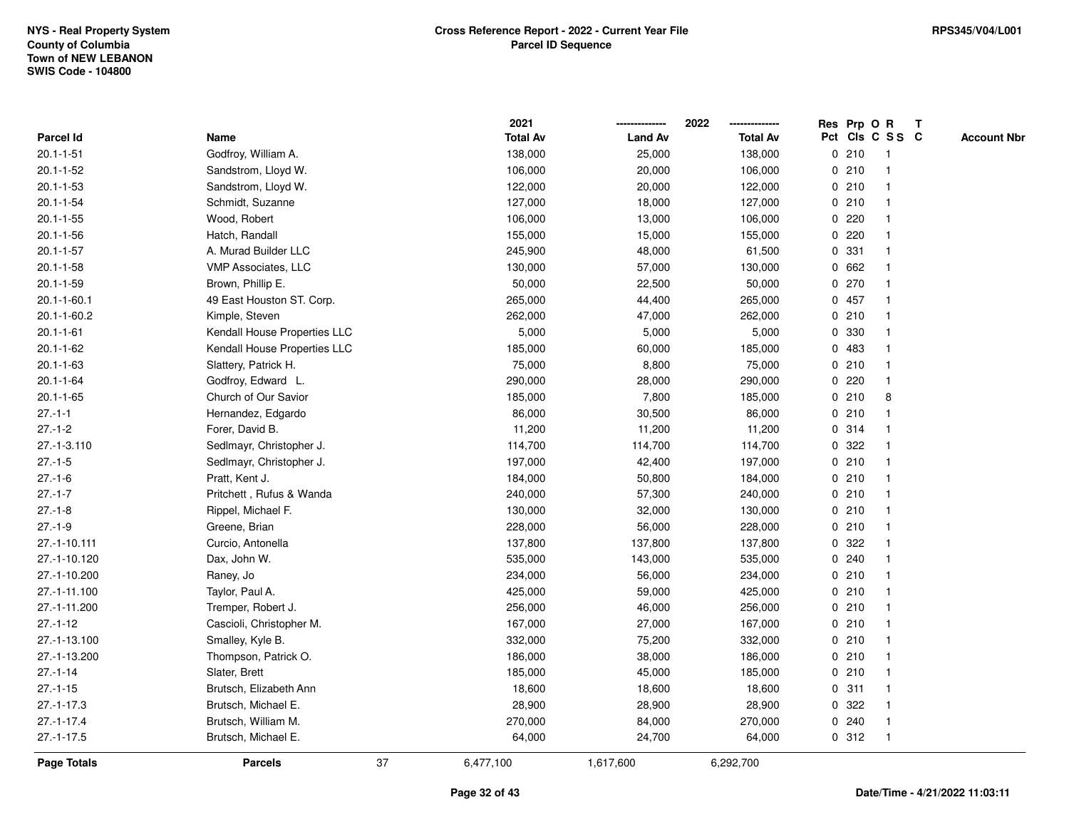|                    |                              |    | 2021            |                | 2022            |   | Res Prp O R |                 | T |                    |
|--------------------|------------------------------|----|-----------------|----------------|-----------------|---|-------------|-----------------|---|--------------------|
| Parcel Id          | Name                         |    | <b>Total Av</b> | <b>Land Av</b> | <b>Total Av</b> |   |             | Pct Cls C S S C |   | <b>Account Nbr</b> |
| $20.1 - 1 - 51$    | Godfroy, William A.          |    | 138,000         | 25,000         | 138,000         | 0 | 210         | $\mathbf{1}$    |   |                    |
| $20.1 - 1 - 52$    | Sandstrom, Lloyd W.          |    | 106,000         | 20,000         | 106,000         |   | 0210        |                 |   |                    |
| $20.1 - 1 - 53$    | Sandstrom, Lloyd W.          |    | 122,000         | 20,000         | 122,000         |   | 0210        | $\mathbf 1$     |   |                    |
| $20.1 - 1 - 54$    | Schmidt, Suzanne             |    | 127,000         | 18,000         | 127,000         |   | 0210        |                 |   |                    |
| $20.1 - 1 - 55$    | Wood, Robert                 |    | 106,000         | 13,000         | 106,000         |   | 0.220       |                 |   |                    |
| $20.1 - 1 - 56$    | Hatch, Randall               |    | 155,000         | 15,000         | 155,000         |   | 0.220       |                 |   |                    |
| $20.1 - 1 - 57$    | A. Murad Builder LLC         |    | 245,900         | 48,000         | 61,500          |   | 0.331       |                 |   |                    |
| $20.1 - 1 - 58$    | <b>VMP Associates, LLC</b>   |    | 130,000         | 57,000         | 130,000         | 0 | 662         |                 |   |                    |
| $20.1 - 1 - 59$    | Brown, Phillip E.            |    | 50,000          | 22,500         | 50,000          |   | 0270        |                 |   |                    |
| $20.1 - 1 - 60.1$  | 49 East Houston ST. Corp.    |    | 265,000         | 44,400         | 265,000         |   | 0 457       | $\mathbf 1$     |   |                    |
| $20.1 - 1 - 60.2$  | Kimple, Steven               |    | 262,000         | 47,000         | 262,000         |   | 0210        |                 |   |                    |
| $20.1 - 1 - 61$    | Kendall House Properties LLC |    | 5,000           | 5,000          | 5,000           |   | 0 330       |                 |   |                    |
| $20.1 - 1 - 62$    | Kendall House Properties LLC |    | 185,000         | 60,000         | 185,000         |   | 0 483       |                 |   |                    |
| $20.1 - 1 - 63$    | Slattery, Patrick H.         |    | 75,000          | 8,800          | 75,000          |   | 0210        |                 |   |                    |
| $20.1 - 1 - 64$    | Godfroy, Edward L.           |    | 290,000         | 28,000         | 290,000         | 0 | 220         |                 |   |                    |
| $20.1 - 1 - 65$    | Church of Our Savior         |    | 185,000         | 7,800          | 185,000         | 0 | 210         | 8               |   |                    |
| $27 - 1 - 1$       | Hernandez, Edgardo           |    | 86,000          | 30,500         | 86,000          |   | 0210        |                 |   |                    |
| $27 - 1 - 2$       | Forer, David B.              |    | 11,200          | 11,200         | 11,200          |   | 0.314       |                 |   |                    |
| 27.-1-3.110        | Sedlmayr, Christopher J.     |    | 114,700         | 114,700        | 114,700         |   | 0 322       |                 |   |                    |
| $27 - 1 - 5$       | Sedlmayr, Christopher J.     |    | 197,000         | 42,400         | 197,000         |   | 0210        |                 |   |                    |
| $27.-1-6$          | Pratt, Kent J.               |    | 184,000         | 50,800         | 184,000         |   | 0210        |                 |   |                    |
| $27 - 1 - 7$       | Pritchett, Rufus & Wanda     |    | 240,000         | 57,300         | 240,000         |   | 0210        |                 |   |                    |
| $27 - 1 - 8$       | Rippel, Michael F.           |    | 130,000         | 32,000         | 130,000         |   | 0210        | $\mathbf 1$     |   |                    |
| $27 - 1 - 9$       | Greene, Brian                |    | 228,000         | 56,000         | 228,000         |   | 0210        |                 |   |                    |
| 27.-1-10.111       | Curcio, Antonella            |    | 137,800         | 137,800        | 137,800         |   | 0 322       |                 |   |                    |
| 27.-1-10.120       | Dax, John W.                 |    | 535,000         | 143,000        | 535,000         |   | 0.240       |                 |   |                    |
| 27.-1-10.200       | Raney, Jo                    |    | 234,000         | 56,000         | 234,000         |   | 0210        |                 |   |                    |
| 27.-1-11.100       | Taylor, Paul A.              |    | 425,000         | 59,000         | 425,000         |   | 0210        |                 |   |                    |
| 27.-1-11.200       | Tremper, Robert J.           |    | 256,000         | 46,000         | 256,000         |   | 0210        |                 |   |                    |
| $27.-1-12$         | Cascioli, Christopher M.     |    | 167,000         | 27,000         | 167,000         |   | 0210        |                 |   |                    |
| 27.-1-13.100       | Smalley, Kyle B.             |    | 332,000         | 75,200         | 332,000         |   | 0210        |                 |   |                    |
| 27.-1-13.200       | Thompson, Patrick O.         |    | 186,000         | 38,000         | 186,000         |   | 0210        | $\mathbf 1$     |   |                    |
| $27.-1-14$         | Slater, Brett                |    | 185,000         | 45,000         | 185,000         |   | 0210        |                 |   |                    |
| $27.-1-15$         | Brutsch, Elizabeth Ann       |    | 18,600          | 18,600         | 18,600          |   | 0.311       |                 |   |                    |
| $27.-1-17.3$       | Brutsch, Michael E.          |    | 28,900          | 28,900         | 28,900          |   | 0 322       |                 |   |                    |
| $27.-1-17.4$       | Brutsch, William M.          |    | 270,000         | 84,000         | 270,000         |   | 0.240       |                 |   |                    |
| $27.-1-17.5$       | Brutsch, Michael E.          |    | 64,000          | 24,700         | 64,000          |   | 0.312       | $\overline{1}$  |   |                    |
| <b>Page Totals</b> | <b>Parcels</b>               | 37 | 6,477,100       | 1,617,600      | 6,292,700       |   |             |                 |   |                    |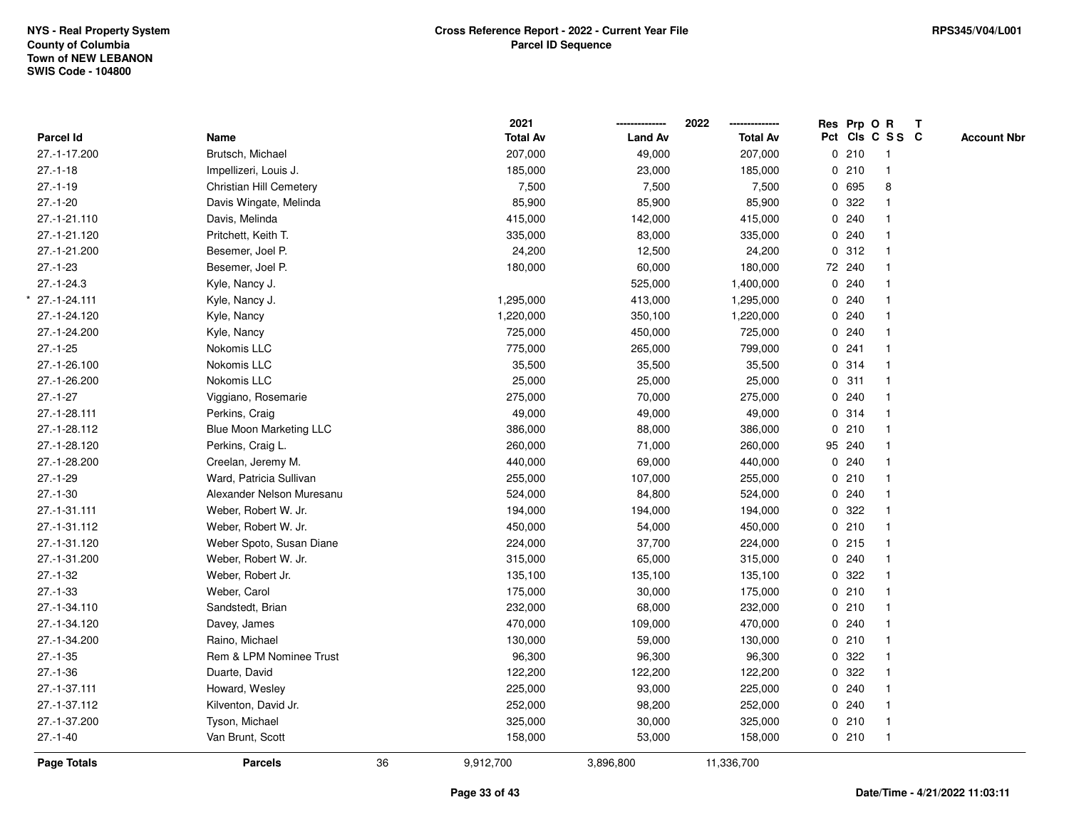|                  |                                |    | 2021            |                | 2022            | Res Prp O R |                 | T |                    |
|------------------|--------------------------------|----|-----------------|----------------|-----------------|-------------|-----------------|---|--------------------|
| <b>Parcel Id</b> | Name                           |    | <b>Total Av</b> | <b>Land Av</b> | <b>Total Av</b> |             | Pct Cls C S S C |   | <b>Account Nbr</b> |
| 27.-1-17.200     | Brutsch, Michael               |    | 207,000         | 49,000         | 207,000         | 0210        | $\overline{1}$  |   |                    |
| $27 - 1 - 18$    | Impellizeri, Louis J.          |    | 185,000         | 23,000         | 185,000         | 0210        | $\overline{1}$  |   |                    |
| $27 - 1 - 19$    | Christian Hill Cemetery        |    | 7,500           | 7,500          | 7,500           | 0 695       | 8               |   |                    |
| $27.-1-20$       | Davis Wingate, Melinda         |    | 85,900          | 85,900         | 85,900          | 0 322       |                 |   |                    |
| 27.-1-21.110     | Davis, Melinda                 |    | 415,000         | 142,000        | 415,000         | 0.240       |                 |   |                    |
| 27.-1-21.120     | Pritchett, Keith T.            |    | 335,000         | 83,000         | 335,000         | 0.240       |                 |   |                    |
| 27.-1-21.200     | Besemer, Joel P.               |    | 24,200          | 12,500         | 24,200          | 0.312       |                 |   |                    |
| $27.-1-23$       | Besemer, Joel P.               |    | 180,000         | 60,000         | 180,000         | 72 240      | $\overline{1}$  |   |                    |
| $27.-1-24.3$     | Kyle, Nancy J.                 |    |                 | 525,000        | 1,400,000       | 0.240       |                 |   |                    |
| 27.-1-24.111     | Kyle, Nancy J.                 |    | 1,295,000       | 413,000        | 1,295,000       | 0.240       | $\mathbf{1}$    |   |                    |
| 27.-1-24.120     | Kyle, Nancy                    |    | 1,220,000       | 350,100        | 1,220,000       | 0.240       |                 |   |                    |
| 27.-1-24.200     | Kyle, Nancy                    |    | 725,000         | 450,000        | 725,000         | 0.240       |                 |   |                    |
| $27.-1-25$       | Nokomis LLC                    |    | 775,000         | 265,000        | 799,000         | 0.241       |                 |   |                    |
| 27.-1-26.100     | Nokomis LLC                    |    | 35,500          | 35,500         | 35,500          | 0.314       |                 |   |                    |
| 27.-1-26.200     | Nokomis LLC                    |    | 25,000          | 25,000         | 25,000          | 0.311       | $\mathbf{1}$    |   |                    |
| $27 - 1 - 27$    | Viggiano, Rosemarie            |    | 275,000         | 70,000         | 275,000         | 0.240       | $\mathbf{1}$    |   |                    |
| 27.-1-28.111     | Perkins, Craig                 |    | 49,000          | 49,000         | 49,000          | 0.314       | $\mathbf{1}$    |   |                    |
| 27.-1-28.112     | <b>Blue Moon Marketing LLC</b> |    | 386,000         | 88,000         | 386,000         | 0210        |                 |   |                    |
| 27.-1-28.120     | Perkins, Craig L.              |    | 260,000         | 71,000         | 260,000         | 95 240      |                 |   |                    |
| 27.-1-28.200     | Creelan, Jeremy M.             |    | 440,000         | 69,000         | 440,000         | 0.240       |                 |   |                    |
| $27.-1-29$       | Ward, Patricia Sullivan        |    | 255,000         | 107,000        | 255,000         | 0210        |                 |   |                    |
| $27.-1-30$       | Alexander Nelson Muresanu      |    | 524,000         | 84,800         | 524,000         | 0.240       |                 |   |                    |
| 27.-1-31.111     | Weber, Robert W. Jr.           |    | 194,000         | 194,000        | 194,000         | 0.322       |                 |   |                    |
| 27.-1-31.112     | Weber, Robert W. Jr.           |    | 450,000         | 54,000         | 450,000         | 0210        | $\mathbf{1}$    |   |                    |
| 27.-1-31.120     | Weber Spoto, Susan Diane       |    | 224,000         | 37,700         | 224,000         | 0215        |                 |   |                    |
| 27.-1-31.200     | Weber, Robert W. Jr.           |    | 315,000         | 65,000         | 315,000         | 0.240       |                 |   |                    |
| $27.-1-32$       | Weber, Robert Jr.              |    | 135,100         | 135,100        | 135,100         | 0 322       |                 |   |                    |
| $27.-1-33$       | Weber, Carol                   |    | 175,000         | 30,000         | 175,000         | 0210        |                 |   |                    |
| 27.-1-34.110     | Sandstedt, Brian               |    | 232,000         | 68,000         | 232,000         | 0210        |                 |   |                    |
| 27.-1-34.120     | Davey, James                   |    | 470,000         | 109,000        | 470,000         | 0.240       | 1               |   |                    |
| 27.-1-34.200     | Raino, Michael                 |    | 130,000         | 59,000         | 130,000         | 0210        | $\mathbf{1}$    |   |                    |
| $27.-1-35$       | Rem & LPM Nominee Trust        |    | 96,300          | 96,300         | 96,300          | 0.322       |                 |   |                    |
| $27.-1-36$       | Duarte, David                  |    | 122,200         | 122,200        | 122,200         | 0.322       |                 |   |                    |
| 27.-1-37.111     | Howard, Wesley                 |    | 225,000         | 93,000         | 225,000         | 0.240       |                 |   |                    |
| 27.-1-37.112     | Kilventon, David Jr.           |    | 252,000         | 98,200         | 252,000         | 0.240       |                 |   |                    |
| 27.-1-37.200     | Tyson, Michael                 |    | 325,000         | 30,000         | 325,000         | 0210        | $\overline{1}$  |   |                    |
| $27.-1-40$       | Van Brunt, Scott               |    | 158,000         | 53,000         | 158,000         | 0210        | $\mathbf{1}$    |   |                    |
| Page Totals      | <b>Parcels</b>                 | 36 | 9,912,700       | 3,896,800      | 11,336,700      |             |                 |   |                    |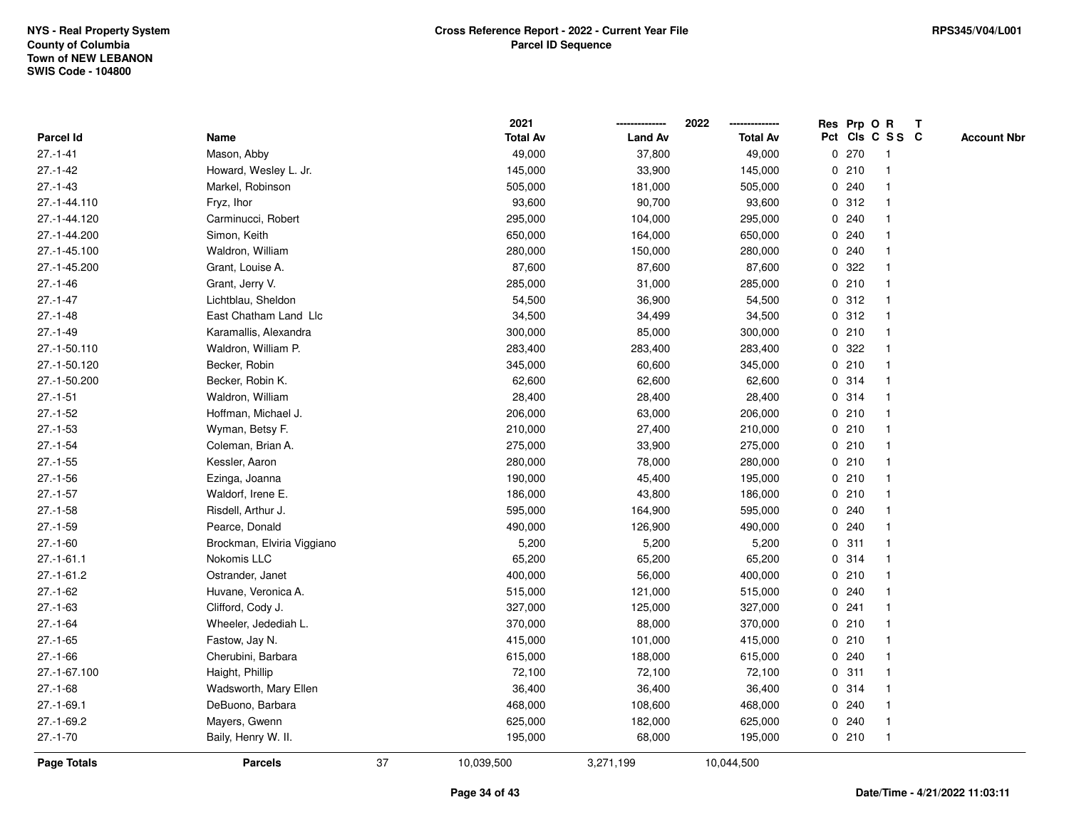|                  |                            |    | 2021            |                | 2022            |              |       | Res Prp O R     | Т |                    |
|------------------|----------------------------|----|-----------------|----------------|-----------------|--------------|-------|-----------------|---|--------------------|
| <b>Parcel Id</b> | Name                       |    | <b>Total Av</b> | <b>Land Av</b> | <b>Total Av</b> |              |       | Pct Cls C S S C |   | <b>Account Nbr</b> |
| $27 - 1 - 41$    | Mason, Abby                |    | 49,000          | 37,800         | 49,000          | 0            | 270   | $\mathbf 1$     |   |                    |
| $27 - 1 - 42$    | Howard, Wesley L. Jr.      |    | 145,000         | 33,900         | 145,000         | 0            | 210   |                 |   |                    |
| $27.-1-43$       | Markel, Robinson           |    | 505,000         | 181,000        | 505,000         |              | 0.240 |                 |   |                    |
| 27.-1-44.110     | Fryz, Ihor                 |    | 93,600          | 90,700         | 93,600          |              | 0.312 |                 |   |                    |
| 27.-1-44.120     | Carminucci, Robert         |    | 295,000         | 104,000        | 295,000         |              | 0.240 |                 |   |                    |
| 27.-1-44.200     | Simon, Keith               |    | 650,000         | 164,000        | 650,000         |              | 0.240 |                 |   |                    |
| 27.-1-45.100     | Waldron, William           |    | 280,000         | 150,000        | 280,000         |              | 0.240 |                 |   |                    |
| 27.-1-45.200     | Grant, Louise A.           |    | 87,600          | 87,600         | 87,600          | 0            | 322   |                 |   |                    |
| $27.-1-46$       | Grant, Jerry V.            |    | 285,000         | 31,000         | 285,000         |              | 0210  | -1              |   |                    |
| $27 - 1 - 47$    | Lichtblau, Sheldon         |    | 54,500          | 36,900         | 54,500          |              | 0.312 |                 |   |                    |
| $27.-1-48$       | East Chatham Land Llc      |    | 34,500          | 34,499         | 34,500          |              | 0.312 |                 |   |                    |
| $27 - 1 - 49$    | Karamallis, Alexandra      |    | 300,000         | 85,000         | 300,000         |              | 0210  |                 |   |                    |
| 27.-1-50.110     | Waldron, William P.        |    | 283,400         | 283,400        | 283,400         | 0            | 322   |                 |   |                    |
| 27.-1-50.120     | Becker, Robin              |    | 345,000         | 60,600         | 345,000         |              | 0210  |                 |   |                    |
| 27.-1-50.200     | Becker, Robin K.           |    | 62,600          | 62,600         | 62,600          | 0            | 314   |                 |   |                    |
| $27.-1-51$       | Waldron, William           |    | 28,400          | 28,400         | 28,400          | 0            | 314   |                 |   |                    |
| $27.-1-52$       | Hoffman, Michael J.        |    | 206,000         | 63,000         | 206,000         |              | 0210  |                 |   |                    |
| $27.-1-53$       | Wyman, Betsy F.            |    | 210,000         | 27,400         | 210,000         |              | 0210  |                 |   |                    |
| $27.-1-54$       | Coleman, Brian A.          |    | 275,000         | 33,900         | 275,000         |              | 0210  |                 |   |                    |
| $27 - 1 - 55$    | Kessler, Aaron             |    | 280,000         | 78,000         | 280,000         |              | 0210  |                 |   |                    |
| $27.-1-56$       | Ezinga, Joanna             |    | 190,000         | 45,400         | 195,000         |              | 0210  |                 |   |                    |
| $27.-1-57$       | Waldorf, Irene E.          |    | 186,000         | 43,800         | 186,000         |              | 0210  |                 |   |                    |
| $27.-1-58$       | Risdell, Arthur J.         |    | 595,000         | 164,900        | 595,000         | 0            | 240   |                 |   |                    |
| $27.-1-59$       | Pearce, Donald             |    | 490,000         | 126,900        | 490,000         | $\mathbf{0}$ | 240   |                 |   |                    |
| $27.-1-60$       | Brockman, Elviria Viggiano |    | 5,200           | 5,200          | 5,200           |              | 0.311 |                 |   |                    |
| $27.-1-61.1$     | Nokomis LLC                |    | 65,200          | 65,200         | 65,200          |              | 0.314 |                 |   |                    |
| $27.-1-61.2$     | Ostrander, Janet           |    | 400,000         | 56,000         | 400,000         |              | 0210  |                 |   |                    |
| $27.-1-62$       | Huvane, Veronica A.        |    | 515,000         | 121,000        | 515,000         |              | 0.240 |                 |   |                    |
| $27.-1-63$       | Clifford, Cody J.          |    | 327,000         | 125,000        | 327,000         | 0            | 241   |                 |   |                    |
| $27.-1-64$       | Wheeler, Jedediah L.       |    | 370,000         | 88,000         | 370,000         | 0            | 210   |                 |   |                    |
| $27.-1-65$       | Fastow, Jay N.             |    | 415,000         | 101,000        | 415,000         |              | 0210  |                 |   |                    |
| $27 - 1 - 66$    | Cherubini, Barbara         |    | 615,000         | 188,000        | 615,000         |              | 0.240 |                 |   |                    |
| 27.-1-67.100     | Haight, Phillip            |    | 72,100          | 72,100         | 72,100          |              | 0.311 |                 |   |                    |
| $27.-1-68$       | Wadsworth, Mary Ellen      |    | 36,400          | 36,400         | 36,400          |              | 0 314 |                 |   |                    |
| $27.-1-69.1$     | DeBuono, Barbara           |    | 468,000         | 108,600        | 468,000         |              | 0.240 |                 |   |                    |
| $27.-1-69.2$     | Mayers, Gwenn              |    | 625,000         | 182,000        | 625,000         |              | 0.240 |                 |   |                    |
| $27.-1-70$       | Baily, Henry W. II.        |    | 195,000         | 68,000         | 195,000         |              | 0210  | $\mathbf{1}$    |   |                    |
| Page Totals      | <b>Parcels</b>             | 37 | 10,039,500      | 3,271,199      | 10,044,500      |              |       |                 |   |                    |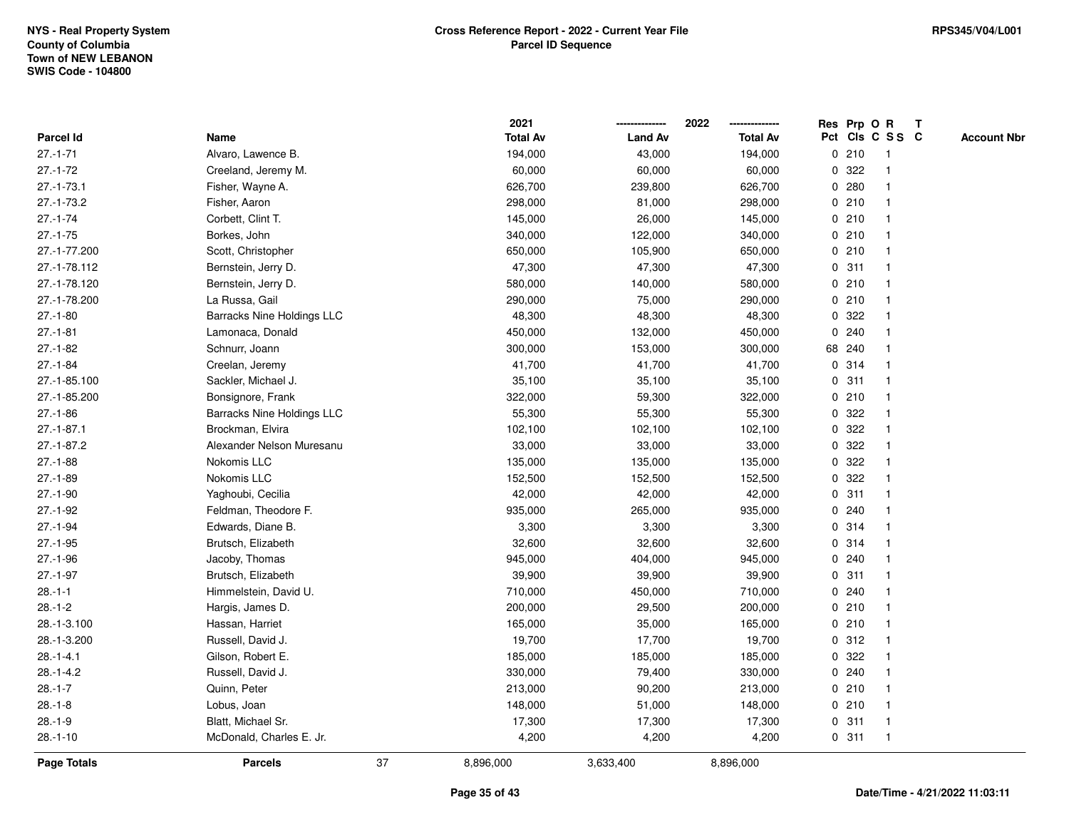|                  |                                   |    | 2021            |                | 2022            |              |        | Res Prp O R     | $\mathbf{T}$ |                    |
|------------------|-----------------------------------|----|-----------------|----------------|-----------------|--------------|--------|-----------------|--------------|--------------------|
| <b>Parcel Id</b> | Name                              |    | <b>Total Av</b> | <b>Land Av</b> | <b>Total Av</b> |              |        | Pct Cls C S S C |              | <b>Account Nbr</b> |
| $27 - 1 - 71$    | Alvaro, Lawence B.                |    | 194,000         | 43,000         | 194,000         |              | 0210   |                 |              |                    |
| $27.-1-72$       | Creeland, Jeremy M.               |    | 60,000          | 60,000         | 60,000          | 0            | 322    |                 |              |                    |
| $27.-1-73.1$     | Fisher, Wayne A.                  |    | 626,700         | 239,800        | 626,700         |              | 0.280  |                 |              |                    |
| $27.-1-73.2$     | Fisher, Aaron                     |    | 298,000         | 81,000         | 298,000         | 0            | 210    |                 |              |                    |
| $27.-1-74$       | Corbett, Clint T.                 |    | 145,000         | 26,000         | 145,000         |              | 0210   |                 |              |                    |
| $27.-1-75$       | Borkes, John                      |    | 340,000         | 122,000        | 340,000         |              | 0210   |                 |              |                    |
| 27.-1-77.200     | Scott, Christopher                |    | 650,000         | 105,900        | 650,000         |              | 0210   |                 |              |                    |
| 27.-1-78.112     | Bernstein, Jerry D.               |    | 47,300          | 47,300         | 47,300          |              | 0.311  |                 |              |                    |
| 27.-1-78.120     | Bernstein, Jerry D.               |    | 580,000         | 140,000        | 580,000         |              | 0210   |                 |              |                    |
| 27.-1-78.200     | La Russa, Gail                    |    | 290,000         | 75,000         | 290,000         |              | 0210   |                 |              |                    |
| $27.-1-80$       | <b>Barracks Nine Holdings LLC</b> |    | 48,300          | 48,300         | 48,300          | 0            | 322    |                 |              |                    |
| $27.-1-81$       | Lamonaca, Donald                  |    | 450,000         | 132,000        | 450,000         | $\mathbf{0}$ | 240    |                 |              |                    |
| $27.-1-82$       | Schnurr, Joann                    |    | 300,000         | 153,000        | 300,000         |              | 68 240 |                 |              |                    |
| $27 - 1 - 84$    | Creelan, Jeremy                   |    | 41,700          | 41,700         | 41,700          |              | 0.314  |                 |              |                    |
| 27.-1-85.100     | Sackler, Michael J.               |    | 35,100          | 35,100         | 35,100          |              | 0.311  |                 |              |                    |
| 27.-1-85.200     | Bonsignore, Frank                 |    | 322,000         | 59,300         | 322,000         |              | 0210   |                 |              |                    |
| $27.-1-86$       | <b>Barracks Nine Holdings LLC</b> |    | 55,300          | 55,300         | 55,300          | 0            | 322    |                 |              |                    |
| $27 - 1 - 87.1$  | Brockman, Elvira                  |    | 102,100         | 102,100        | 102,100         | 0            | 322    |                 |              |                    |
| $27.-1-87.2$     | Alexander Nelson Muresanu         |    | 33,000          | 33,000         | 33,000          |              | 0.322  |                 |              |                    |
| $27.-1-88$       | Nokomis LLC                       |    | 135,000         | 135,000        | 135,000         |              | 0.322  |                 |              |                    |
| $27.-1-89$       | Nokomis LLC                       |    | 152,500         | 152,500        | 152,500         |              | 0.322  |                 |              |                    |
| $27.-1-90$       | Yaghoubi, Cecilia                 |    | 42,000          | 42,000         | 42,000          |              | 0.311  |                 |              |                    |
| $27.-1-92$       | Feldman, Theodore F.              |    | 935,000         | 265,000        | 935,000         |              | 0.240  |                 |              |                    |
| $27.-1-94$       | Edwards, Diane B.                 |    | 3,300           | 3,300          | 3,300           | 0            | 314    |                 |              |                    |
| $27.-1-95$       | Brutsch, Elizabeth                |    | 32,600          | 32,600         | 32,600          |              | 0.314  |                 |              |                    |
| $27.-1-96$       | Jacoby, Thomas                    |    | 945,000         | 404,000        | 945,000         |              | 0.240  |                 |              |                    |
| $27.-1-97$       | Brutsch, Elizabeth                |    | 39,900          | 39,900         | 39,900          |              | 0.311  |                 |              |                    |
| $28.-1-1$        | Himmelstein, David U.             |    | 710,000         | 450,000        | 710,000         |              | 0.240  |                 |              |                    |
| $28.-1-2$        | Hargis, James D.                  |    | 200,000         | 29,500         | 200,000         |              | 0210   |                 |              |                    |
| 28.-1-3.100      | Hassan, Harriet                   |    | 165,000         | 35,000         | 165,000         |              | 0210   |                 |              |                    |
| 28.-1-3.200      | Russell, David J.                 |    | 19,700          | 17,700         | 19,700          | 0            | 312    |                 |              |                    |
| $28 - 1 - 4.1$   | Gilson, Robert E.                 |    | 185,000         | 185,000        | 185,000         |              | 0.322  |                 |              |                    |
| $28.-1-4.2$      | Russell, David J.                 |    | 330,000         | 79,400         | 330,000         |              | 0.240  |                 |              |                    |
| $28.-1-7$        | Quinn, Peter                      |    | 213,000         | 90,200         | 213,000         |              | 0210   |                 |              |                    |
| $28.-1-8$        | Lobus, Joan                       |    | 148,000         | 51,000         | 148,000         |              | 0210   |                 |              |                    |
| $28.-1-9$        | Blatt, Michael Sr.                |    | 17,300          | 17,300         | 17,300          |              | 0.311  |                 |              |                    |
| $28.-1-10$       | McDonald, Charles E. Jr.          |    | 4,200           | 4,200          | 4,200           |              | 0.311  |                 |              |                    |
| Page Totals      | <b>Parcels</b>                    | 37 | 8,896,000       | 3,633,400      | 8,896,000       |              |        |                 |              |                    |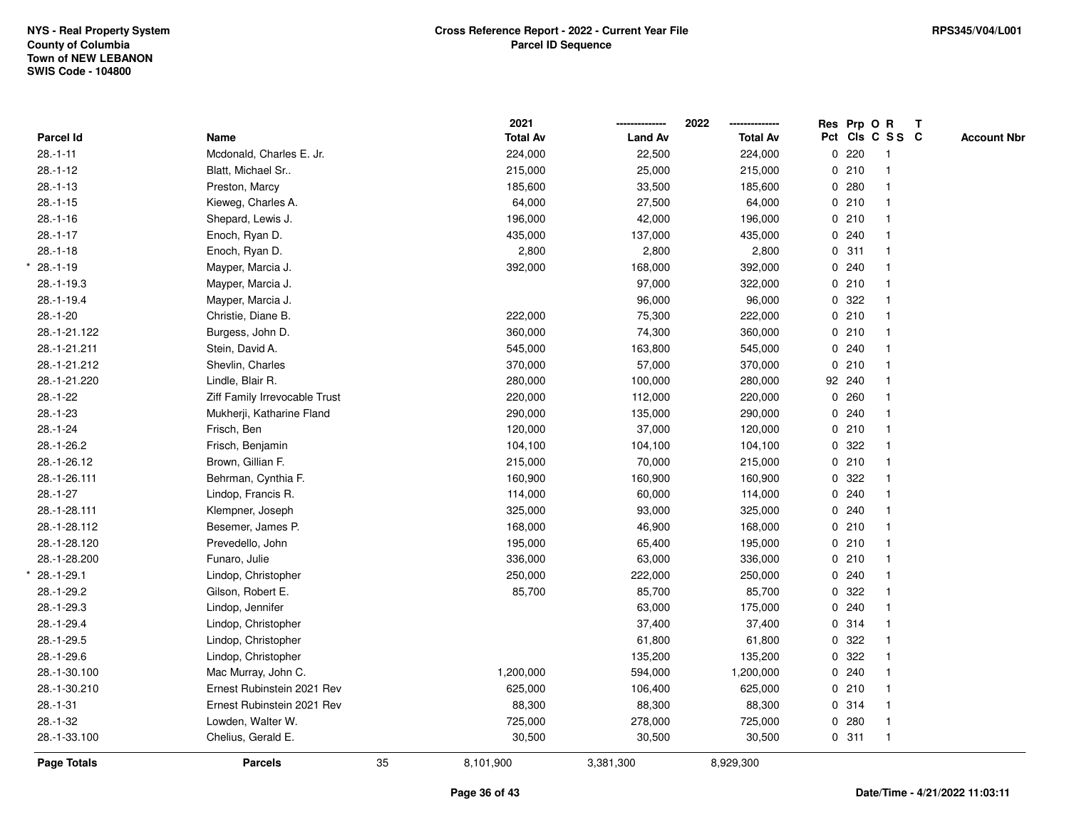|                 |                               |    | 2021            |                | 2022            | Res Prp O R     |                         | $\mathbf{T}$ |                    |
|-----------------|-------------------------------|----|-----------------|----------------|-----------------|-----------------|-------------------------|--------------|--------------------|
| Parcel Id       | Name                          |    | <b>Total Av</b> | <b>Land Av</b> | <b>Total Av</b> | Pct Cls C S S C |                         |              | <b>Account Nbr</b> |
| $28.-1-11$      | Mcdonald, Charles E. Jr.      |    | 224,000         | 22,500         | 224,000         | 0220            | $\mathbf{1}$            |              |                    |
| $28.-1-12$      | Blatt, Michael Sr             |    | 215,000         | 25,000         | 215,000         | 0210            | $\mathbf{1}$            |              |                    |
| $28.-1-13$      | Preston, Marcy                |    | 185,600         | 33,500         | 185,600         | 0.280           | $\mathbf{1}$            |              |                    |
| $28.-1-15$      | Kieweg, Charles A.            |    | 64,000          | 27,500         | 64,000          | 0210            |                         |              |                    |
| $28.-1-16$      | Shepard, Lewis J.             |    | 196,000         | 42,000         | 196,000         | 0210            |                         |              |                    |
| $28.-1-17$      | Enoch, Ryan D.                |    | 435,000         | 137,000        | 435,000         | 0.240           |                         |              |                    |
| $28.-1-18$      | Enoch, Ryan D.                |    | 2,800           | 2,800          | 2,800           | 0.311           |                         |              |                    |
| $28.-1-19$      | Mayper, Marcia J.             |    | 392,000         | 168,000        | 392,000         | 0.240           |                         |              |                    |
| $28.-1-19.3$    | Mayper, Marcia J.             |    |                 | 97,000         | 322,000         | 0210            | $\mathbf{1}$            |              |                    |
| $28 - 1 - 19.4$ | Mayper, Marcia J.             |    |                 | 96,000         | 96,000          | 0.322           |                         |              |                    |
| $28.-1-20$      | Christie, Diane B.            |    | 222,000         | 75,300         | 222,000         | 0210            |                         |              |                    |
| 28.-1-21.122    | Burgess, John D.              |    | 360,000         | 74,300         | 360,000         | 0210            |                         |              |                    |
| 28.-1-21.211    | Stein, David A.               |    | 545,000         | 163,800        | 545,000         | 0.240           |                         |              |                    |
| 28.-1-21.212    | Shevlin, Charles              |    | 370,000         | 57,000         | 370,000         | 0210            |                         |              |                    |
| 28.-1-21.220    | Lindle, Blair R.              |    | 280,000         | 100,000        | 280,000         | 92 240          |                         |              |                    |
| $28.-1-22$      | Ziff Family Irrevocable Trust |    | 220,000         | 112,000        | 220,000         | 0.260           |                         |              |                    |
| $28.-1-23$      | Mukherji, Katharine Fland     |    | 290,000         | 135,000        | 290,000         | 0.240           | $\mathbf{1}$            |              |                    |
| $28.-1-24$      | Frisch, Ben                   |    | 120,000         | 37,000         | 120,000         | 0210            |                         |              |                    |
| $28.-1-26.2$    | Frisch, Benjamin              |    | 104,100         | 104,100        | 104,100         | 0.322           |                         |              |                    |
| 28.-1-26.12     | Brown, Gillian F.             |    | 215,000         | 70,000         | 215,000         | 0210            |                         |              |                    |
| 28.-1-26.111    | Behrman, Cynthia F.           |    | 160,900         | 160,900        | 160,900         | 0.322           |                         |              |                    |
| $28.-1-27$      | Lindop, Francis R.            |    | 114,000         | 60,000         | 114,000         | 0.240           |                         |              |                    |
| 28.-1-28.111    | Klempner, Joseph              |    | 325,000         | 93,000         | 325,000         | 0.240           |                         |              |                    |
| 28.-1-28.112    | Besemer, James P.             |    | 168,000         | 46,900         | 168,000         | 0210            | $\overline{\mathbf{1}}$ |              |                    |
| 28.-1-28.120    | Prevedello, John              |    | 195,000         | 65,400         | 195,000         | 0210            |                         |              |                    |
| 28.-1-28.200    | Funaro, Julie                 |    | 336,000         | 63,000         | 336,000         | 0210            |                         |              |                    |
| 28.-1-29.1      | Lindop, Christopher           |    | 250,000         | 222,000        | 250,000         | 0.240           |                         |              |                    |
| 28.-1-29.2      | Gilson, Robert E.             |    | 85,700          | 85,700         | 85,700          | 0.322           |                         |              |                    |
| 28.-1-29.3      | Lindop, Jennifer              |    |                 | 63,000         | 175,000         | 0.240           |                         |              |                    |
| 28.-1-29.4      | Lindop, Christopher           |    |                 | 37,400         | 37,400          | 0.314           | $\overline{1}$          |              |                    |
| 28.-1-29.5      | Lindop, Christopher           |    |                 | 61,800         | 61,800          | 0.322           |                         |              |                    |
| 28.-1-29.6      | Lindop, Christopher           |    |                 | 135,200        | 135,200         | 0.322           |                         |              |                    |
| 28.-1-30.100    | Mac Murray, John C.           |    | 1,200,000       | 594,000        | 1,200,000       | 0.240           |                         |              |                    |
| 28.-1-30.210    | Ernest Rubinstein 2021 Rev    |    | 625,000         | 106,400        | 625,000         | 0210            |                         |              |                    |
| $28.-1-31$      | Ernest Rubinstein 2021 Rev    |    | 88,300          | 88,300         | 88,300          | 0.314           |                         |              |                    |
| $28.-1-32$      | Lowden, Walter W.             |    | 725,000         | 278,000        | 725,000         | 0.280           | $\mathbf{1}$            |              |                    |
| 28.-1-33.100    | Chelius, Gerald E.            |    | 30,500          | 30,500         | 30,500          | 0.311           | $\mathbf{1}$            |              |                    |
| Page Totals     | <b>Parcels</b>                | 35 | 8,101,900       | 3,381,300      | 8,929,300       |                 |                         |              |                    |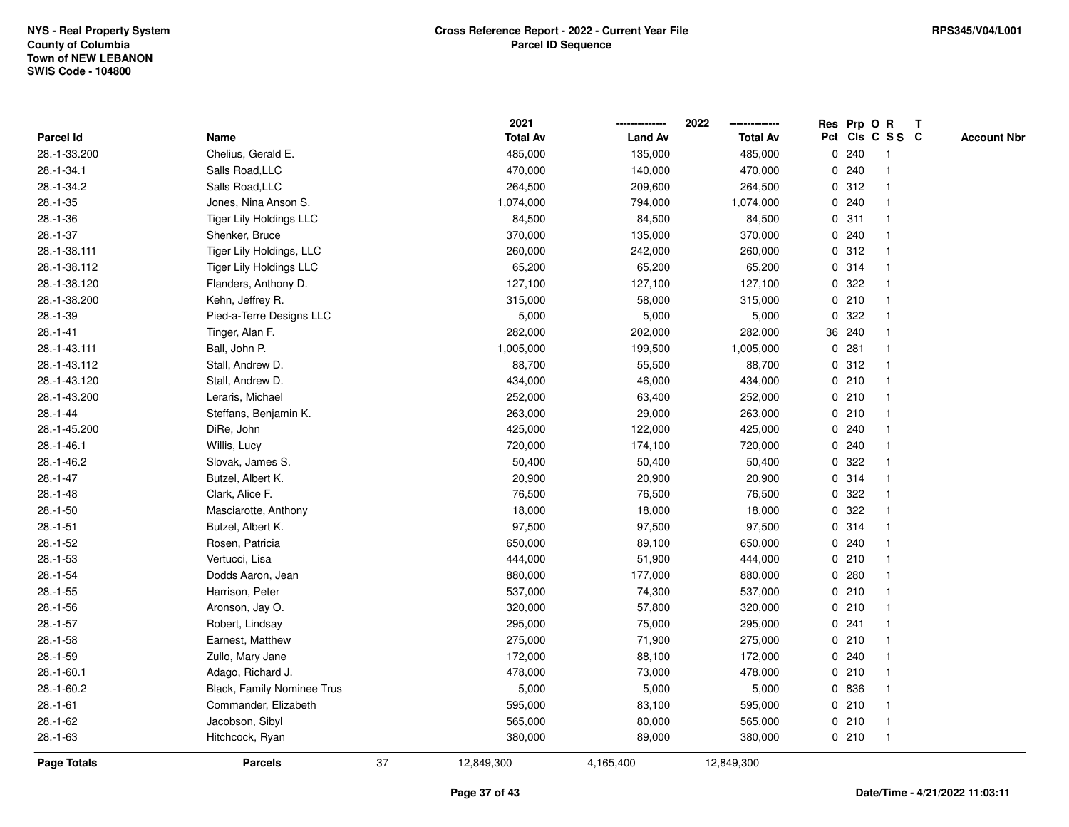|                    |                                |    | 2021            |                | 2022            |   |        | Res Prp O R             | Т |                    |
|--------------------|--------------------------------|----|-----------------|----------------|-----------------|---|--------|-------------------------|---|--------------------|
| Parcel Id          | Name                           |    | <b>Total Av</b> | <b>Land Av</b> | <b>Total Av</b> |   |        | Pct Cls C S S C         |   | <b>Account Nbr</b> |
| 28.-1-33.200       | Chelius, Gerald E.             |    | 485,000         | 135,000        | 485,000         |   | 0.240  | -1                      |   |                    |
| 28.-1-34.1         | Salls Road, LLC                |    | 470,000         | 140,000        | 470,000         | 0 | 240    | -1                      |   |                    |
| 28.-1-34.2         | Salls Road, LLC                |    | 264,500         | 209,600        | 264,500         |   | 0.312  | $\mathbf 1$             |   |                    |
| $28.-1-35$         | Jones, Nina Anson S.           |    | 1,074,000       | 794,000        | 1,074,000       |   | 0.240  |                         |   |                    |
| $28.-1-36$         | <b>Tiger Lily Holdings LLC</b> |    | 84,500          | 84,500         | 84,500          |   | 0.311  |                         |   |                    |
| $28.-1-37$         | Shenker, Bruce                 |    | 370,000         | 135,000        | 370,000         |   | 0.240  |                         |   |                    |
| 28.-1-38.111       | Tiger Lily Holdings, LLC       |    | 260,000         | 242,000        | 260,000         |   | 0.312  |                         |   |                    |
| 28.-1-38.112       | <b>Tiger Lily Holdings LLC</b> |    | 65,200          | 65,200         | 65,200          |   | 0.314  |                         |   |                    |
| 28.-1-38.120       | Flanders, Anthony D.           |    | 127,100         | 127,100        | 127,100         | 0 | 322    | -1                      |   |                    |
| 28.-1-38.200       | Kehn, Jeffrey R.               |    | 315,000         | 58,000         | 315,000         |   | 0210   | $\mathbf{1}$            |   |                    |
| $28.-1-39$         | Pied-a-Terre Designs LLC       |    | 5,000           | 5,000          | 5,000           |   | 0.322  | -1                      |   |                    |
| $28.-1-41$         | Tinger, Alan F.                |    | 282,000         | 202,000        | 282,000         |   | 36 240 |                         |   |                    |
| 28.-1-43.111       | Ball, John P.                  |    | 1,005,000       | 199,500        | 1,005,000       | 0 | 281    |                         |   |                    |
| 28.-1-43.112       | Stall, Andrew D.               |    | 88,700          | 55,500         | 88,700          |   | 0.312  | -1                      |   |                    |
| 28.-1-43.120       | Stall, Andrew D.               |    | 434,000         | 46,000         | 434,000         |   | 0210   |                         |   |                    |
| 28.-1-43.200       | Leraris, Michael               |    | 252,000         | 63,400         | 252,000         |   | 0210   | -1                      |   |                    |
| $28.-1-44$         | Steffans, Benjamin K.          |    | 263,000         | 29,000         | 263,000         |   | 0210   | $\mathbf{1}$            |   |                    |
| 28.-1-45.200       | DiRe, John                     |    | 425,000         | 122,000        | 425,000         |   | 0.240  |                         |   |                    |
| 28.-1-46.1         | Willis, Lucy                   |    | 720,000         | 174,100        | 720,000         |   | 0.240  |                         |   |                    |
| 28.-1-46.2         | Slovak, James S.               |    | 50,400          | 50,400         | 50,400          |   | 0.322  |                         |   |                    |
| $28.-1-47$         | Butzel, Albert K.              |    | 20,900          | 20,900         | 20,900          |   | 0.314  |                         |   |                    |
| $28.-1-48$         | Clark, Alice F.                |    | 76,500          | 76,500         | 76,500          | 0 | 322    |                         |   |                    |
| $28.-1-50$         | Masciarotte, Anthony           |    | 18,000          | 18,000         | 18,000          | 0 | 322    | -1                      |   |                    |
| $28.-1-51$         | Butzel, Albert K.              |    | 97,500          | 97,500         | 97,500          |   | 0.314  | $\mathbf 1$             |   |                    |
| $28.-1-52$         | Rosen, Patricia                |    | 650,000         | 89,100         | 650,000         |   | 0.240  | -1                      |   |                    |
| $28.-1-53$         | Vertucci, Lisa                 |    | 444,000         | 51,900         | 444,000         |   | 0210   |                         |   |                    |
| $28.-1-54$         | Dodds Aaron, Jean              |    | 880,000         | 177,000        | 880,000         |   | 0.280  |                         |   |                    |
| $28.-1-55$         | Harrison, Peter                |    | 537,000         | 74,300         | 537,000         |   | 0210   | -1                      |   |                    |
| $28.-1-56$         | Aronson, Jay O.                |    | 320,000         | 57,800         | 320,000         |   | 0210   | $\overline{\mathbf{1}}$ |   |                    |
| $28.-1-57$         | Robert, Lindsay                |    | 295,000         | 75,000         | 295,000         |   | 0.241  | -1                      |   |                    |
| $28.-1-58$         | Earnest, Matthew               |    | 275,000         | 71,900         | 275,000         |   | 0210   | $\mathbf 1$             |   |                    |
| $28.-1-59$         | Zullo, Mary Jane               |    | 172,000         | 88,100         | 172,000         |   | 0.240  | -1                      |   |                    |
| $28.-1-60.1$       | Adago, Richard J.              |    | 478,000         | 73,000         | 478,000         |   | 0210   |                         |   |                    |
| 28.-1-60.2         | Black, Family Nominee Trus     |    | 5,000           | 5,000          | 5,000           |   | 0 836  |                         |   |                    |
| $28.-1-61$         | Commander, Elizabeth           |    | 595,000         | 83,100         | 595,000         |   | 0210   | -1                      |   |                    |
| 28.-1-62           | Jacobson, Sibyl                |    | 565,000         | 80,000         | 565,000         |   | 0210   | $\mathbf 1$             |   |                    |
| $28.-1-63$         | Hitchcock, Ryan                |    | 380,000         | 89,000         | 380,000         |   | 0210   | $\mathbf{1}$            |   |                    |
| <b>Page Totals</b> | <b>Parcels</b>                 | 37 | 12,849,300      | 4,165,400      | 12,849,300      |   |        |                         |   |                    |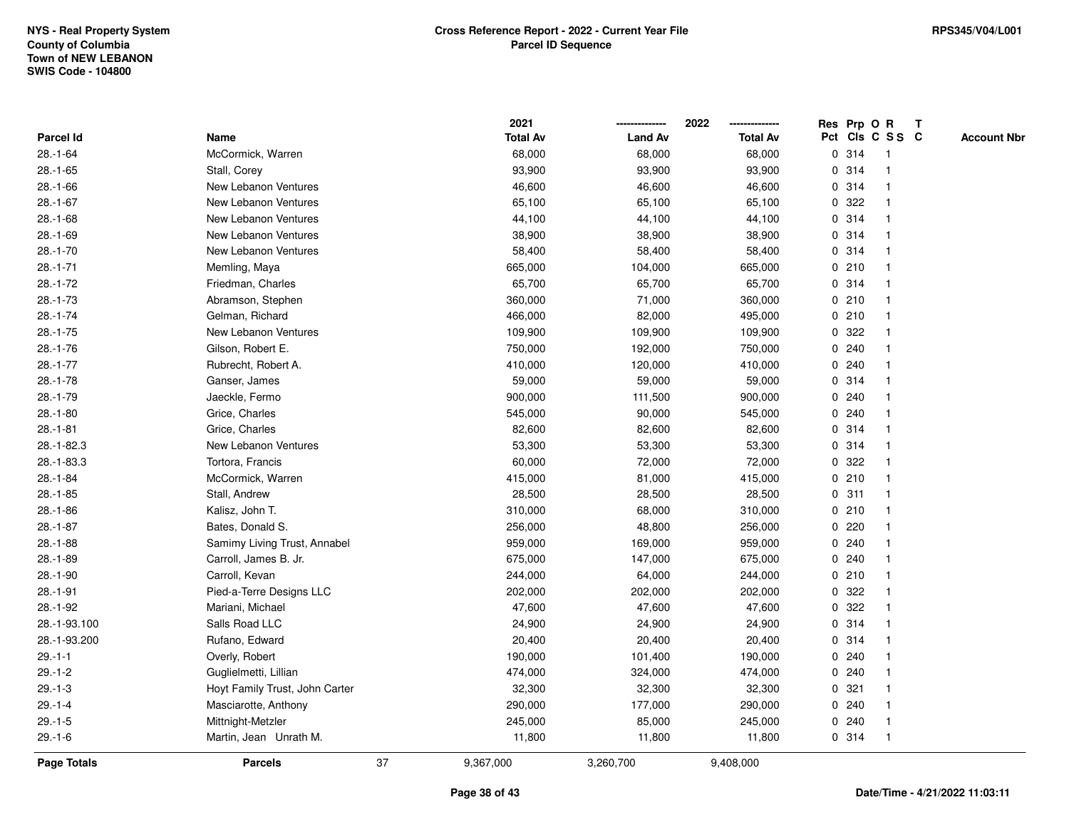|                    |                                |    | 2021            |                | 2022            | Res Prp O    |       | R               | $\mathbf{T}$ |                    |
|--------------------|--------------------------------|----|-----------------|----------------|-----------------|--------------|-------|-----------------|--------------|--------------------|
| <b>Parcel Id</b>   | Name                           |    | <b>Total Av</b> | <b>Land Av</b> | <b>Total Av</b> |              |       | Pct Cls C S S C |              | <b>Account Nbr</b> |
| $28.-1-64$         | McCormick, Warren              |    | 68,000          | 68,000         | 68,000          |              | 0 314 |                 |              |                    |
| $28.-1-65$         | Stall, Corey                   |    | 93,900          | 93,900         | 93,900          | 0            | 314   |                 |              |                    |
| $28.-1-66$         | New Lebanon Ventures           |    | 46,600          | 46,600         | 46,600          | 0            | 314   |                 |              |                    |
| $28.-1-67$         | New Lebanon Ventures           |    | 65,100          | 65,100         | 65,100          | 0            | 322   |                 |              |                    |
| $28.-1-68$         | New Lebanon Ventures           |    | 44,100          | 44,100         | 44,100          | 0            | 314   |                 |              |                    |
| $28.-1-69$         | New Lebanon Ventures           |    | 38,900          | 38,900         | 38,900          |              | 0.314 |                 |              |                    |
| $28.-1-70$         | New Lebanon Ventures           |    | 58,400          | 58,400         | 58,400          |              | 0.314 |                 |              |                    |
| $28.-1-71$         | Memling, Maya                  |    | 665,000         | 104,000        | 665,000         |              | 0210  |                 |              |                    |
| $28.-1-72$         | Friedman, Charles              |    | 65,700          | 65,700         | 65,700          |              | 0 314 |                 |              |                    |
| $28.-1-73$         | Abramson, Stephen              |    | 360,000         | 71,000         | 360,000         |              | 0210  |                 |              |                    |
| $28.-1-74$         | Gelman, Richard                |    | 466,000         | 82,000         | 495,000         |              | 0210  |                 |              |                    |
| $28.-1-75$         | New Lebanon Ventures           |    | 109,900         | 109,900        | 109,900         | $\mathbf{0}$ | 322   |                 |              |                    |
| $28.-1-76$         | Gilson, Robert E.              |    | 750,000         | 192,000        | 750,000         |              | 0.240 |                 |              |                    |
| $28.-1-77$         | Rubrecht, Robert A.            |    | 410,000         | 120,000        | 410,000         |              | 0.240 |                 |              |                    |
| $28.-1-78$         | Ganser, James                  |    | 59,000          | 59,000         | 59,000          |              | 0 314 |                 |              |                    |
| $28.-1-79$         | Jaeckle, Fermo                 |    | 900,000         | 111,500        | 900,000         |              | 0.240 |                 |              |                    |
| $28.-1-80$         | Grice, Charles                 |    | 545,000         | 90,000         | 545,000         | 0            | 240   |                 |              |                    |
| $28.-1-81$         | Grice, Charles                 |    | 82,600          | 82,600         | 82,600          | 0            | 314   |                 |              |                    |
| $28.-1-82.3$       | New Lebanon Ventures           |    | 53,300          | 53,300         | 53,300          |              | 0.314 |                 |              |                    |
| 28.-1-83.3         | Tortora, Francis               |    | 60,000          | 72,000         | 72,000          |              | 0 322 |                 |              |                    |
| $28.-1-84$         | McCormick, Warren              |    | 415,000         | 81,000         | 415,000         |              | 0210  |                 |              |                    |
| $28.-1-85$         | Stall, Andrew                  |    | 28,500          | 28,500         | 28,500          |              | 0.311 |                 |              |                    |
| $28.-1-86$         | Kalisz, John T.                |    | 310,000         | 68,000         | 310,000         |              | 0210  |                 |              |                    |
| $28.-1-87$         | Bates, Donald S.               |    | 256,000         | 48,800         | 256,000         | $\mathbf 0$  | 220   |                 |              |                    |
| $28.-1-88$         | Samimy Living Trust, Annabel   |    | 959,000         | 169,000        | 959,000         | 0            | 240   |                 |              |                    |
| $28.-1-89$         | Carroll, James B. Jr.          |    | 675,000         | 147,000        | 675,000         |              | 0.240 |                 |              |                    |
| $28.-1-90$         | Carroll, Kevan                 |    | 244,000         | 64,000         | 244,000         |              | 0210  |                 |              |                    |
| $28.-1-91$         | Pied-a-Terre Designs LLC       |    | 202,000         | 202,000        | 202,000         | 0            | 322   |                 |              |                    |
| $28.-1-92$         | Mariani, Michael               |    | 47,600          | 47,600         | 47,600          | 0            | 322   |                 |              |                    |
| 28.-1-93.100       | Salls Road LLC                 |    | 24,900          | 24,900         | 24,900          | 0            | 314   |                 |              |                    |
| 28.-1-93.200       | Rufano, Edward                 |    | 20,400          | 20,400         | 20,400          | $\mathbf{0}$ | 314   |                 |              |                    |
| $29. - 1 - 1$      | Overly, Robert                 |    | 190,000         | 101,400        | 190,000         |              | 0.240 |                 |              |                    |
| $29.-1-2$          | Guglielmetti, Lillian          |    | 474,000         | 324,000        | 474,000         |              | 0.240 |                 |              |                    |
| $29.-1-3$          | Hoyt Family Trust, John Carter |    | 32,300          | 32,300         | 32,300          |              | 0.321 |                 |              |                    |
| $29. - 1 - 4$      | Masciarotte, Anthony           |    | 290,000         | 177,000        | 290,000         | 0            | 240   |                 |              |                    |
| $29.-1-5$          | Mittnight-Metzler              |    | 245,000         | 85,000         | 245,000         | 0            | 240   |                 |              |                    |
| $29.-1-6$          | Martin, Jean Unrath M.         |    | 11,800          | 11,800         | 11,800          |              | 0 314 |                 |              |                    |
| <b>Page Totals</b> | <b>Parcels</b>                 | 37 | 9,367,000       | 3,260,700      | 9,408,000       |              |       |                 |              |                    |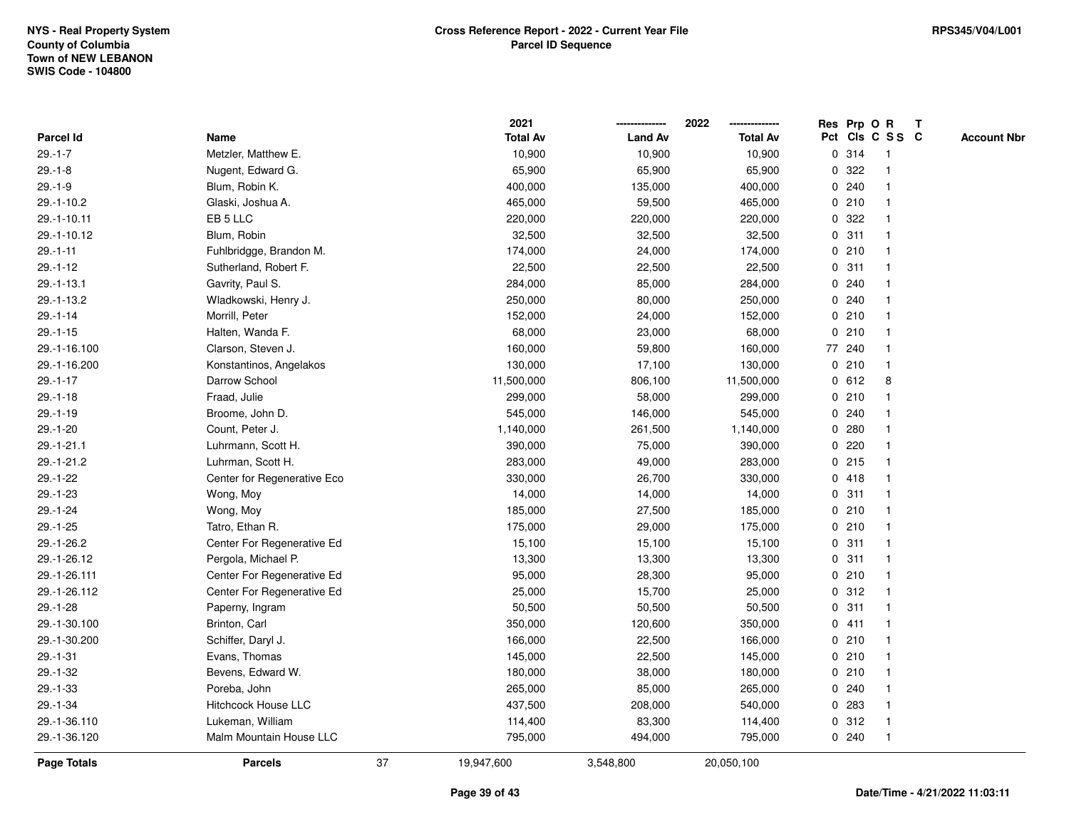|                  |                             |    | 2021            |                | 2022            |             | Res Prp O R |                 | Т |                    |
|------------------|-----------------------------|----|-----------------|----------------|-----------------|-------------|-------------|-----------------|---|--------------------|
| Parcel Id        | Name                        |    | <b>Total Av</b> | <b>Land Av</b> | <b>Total Av</b> |             |             | Pct Cls C S S C |   | <b>Account Nbr</b> |
| $29. - 1 - 7$    | Metzler, Matthew E.         |    | 10,900          | 10,900         | 10,900          |             | 0.314       | -1              |   |                    |
| $29.-1-8$        | Nugent, Edward G.           |    | 65,900          | 65,900         | 65,900          | 0           | 322         |                 |   |                    |
| $29. - 1 - 9$    | Blum, Robin K.              |    | 400,000         | 135,000        | 400,000         |             | 0.240       | $\mathbf 1$     |   |                    |
| 29.-1-10.2       | Glaski, Joshua A.           |    | 465,000         | 59,500         | 465,000         |             | 0210        |                 |   |                    |
| 29.-1-10.11      | EB 5 LLC                    |    | 220,000         | 220,000        | 220,000         |             | 0 322       |                 |   |                    |
| 29.-1-10.12      | Blum, Robin                 |    | 32,500          | 32,500         | 32,500          |             | 0.311       |                 |   |                    |
| $29. - 1 - 11$   | Fuhlbridgge, Brandon M.     |    | 174,000         | 24,000         | 174,000         |             | 0210        |                 |   |                    |
| $29.-1-12$       | Sutherland, Robert F.       |    | 22,500          | 22,500         | 22,500          |             | 0.311       |                 |   |                    |
| $29. - 1 - 13.1$ | Gavrity, Paul S.            |    | 284,000         | 85,000         | 284,000         |             | 0240        | -1              |   |                    |
| 29.-1-13.2       | Wladkowski, Henry J.        |    | 250,000         | 80,000         | 250,000         |             | 0.240       | $\mathbf 1$     |   |                    |
| $29. - 1 - 14$   | Morrill, Peter              |    | 152,000         | 24,000         | 152,000         |             | 0210        | -1              |   |                    |
| $29.-1-15$       | Halten, Wanda F.            |    | 68,000          | 23,000         | 68,000          |             | 0210        |                 |   |                    |
| 29.-1-16.100     | Clarson, Steven J.          |    | 160,000         | 59,800         | 160,000         |             | 77 240      |                 |   |                    |
| 29.-1-16.200     | Konstantinos, Angelakos     |    | 130,000         | 17,100         | 130,000         |             | 0210        | -1              |   |                    |
| $29.-1-17$       | Darrow School               |    | 11,500,000      | 806,100        | 11,500,000      | 0           | 612         | 8               |   |                    |
| $29.-1-18$       | Fraad, Julie                |    | 299,000         | 58,000         | 299,000         |             | 0210        | -1              |   |                    |
| $29.-1-19$       | Broome, John D.             |    | 545,000         | 146,000        | 545,000         |             | 0.240       |                 |   |                    |
| 29.-1-20         | Count, Peter J.             |    | 1,140,000       | 261,500        | 1,140,000       |             | 0.280       |                 |   |                    |
| 29.-1-21.1       | Luhrmann, Scott H.          |    | 390,000         | 75,000         | 390,000         |             | 0.220       |                 |   |                    |
| 29.-1-21.2       | Luhrman, Scott H.           |    | 283,000         | 49,000         | 283,000         |             | 0.215       |                 |   |                    |
| $29.-1-22$       | Center for Regenerative Eco |    | 330,000         | 26,700         | 330,000         |             | 0418        |                 |   |                    |
| $29.-1-23$       | Wong, Moy                   |    | 14,000          | 14,000         | 14,000          |             | 0.311       |                 |   |                    |
| $29. - 1 - 24$   | Wong, Moy                   |    | 185,000         | 27,500         | 185,000         |             | 0210        | -1              |   |                    |
| $29.-1-25$       | Tatro, Ethan R.             |    | 175,000         | 29,000         | 175,000         |             | 0210        | $\mathbf 1$     |   |                    |
| 29.-1-26.2       | Center For Regenerative Ed  |    | 15,100          | 15,100         | 15,100          |             | 0.311       |                 |   |                    |
| 29.-1-26.12      | Pergola, Michael P.         |    | 13,300          | 13,300         | 13,300          |             | 0.311       |                 |   |                    |
| 29.-1-26.111     | Center For Regenerative Ed  |    | 95,000          | 28,300         | 95,000          |             | 0210        |                 |   |                    |
| 29.-1-26.112     | Center For Regenerative Ed  |    | 25,000          | 15,700         | 25,000          |             | 0.312       | -1              |   |                    |
| $29.-1-28$       | Paperny, Ingram             |    | 50,500          | 50,500         | 50,500          | 0           | 311         |                 |   |                    |
| 29.-1-30.100     | Brinton, Carl               |    | 350,000         | 120,600        | 350,000         | $\mathbf 0$ | 411         | -1              |   |                    |
| 29.-1-30.200     | Schiffer, Daryl J.          |    | 166,000         | 22,500         | 166,000         |             | 0210        | -1              |   |                    |
| $29. - 1 - 31$   | Evans, Thomas               |    | 145,000         | 22,500         | 145,000         |             | 0210        | -1              |   |                    |
| $29. - 1 - 32$   | Bevens, Edward W.           |    | 180,000         | 38,000         | 180,000         |             | 0210        |                 |   |                    |
| 29.-1-33         | Poreba, John                |    | 265,000         | 85,000         | 265,000         |             | 0.240       |                 |   |                    |
| $29.-1-34$       | <b>Hitchcock House LLC</b>  |    | 437,500         | 208,000        | 540,000         |             | 0 283       |                 |   |                    |
| 29.-1-36.110     | Lukeman, William            |    | 114,400         | 83,300         | 114,400         |             | 0.312       | -1              |   |                    |
| 29.-1-36.120     | Malm Mountain House LLC     |    | 795,000         | 494,000        | 795,000         |             | 0.240       | $\mathbf{1}$    |   |                    |
| Page Totals      | <b>Parcels</b>              | 37 | 19,947,600      | 3,548,800      | 20,050,100      |             |             |                 |   |                    |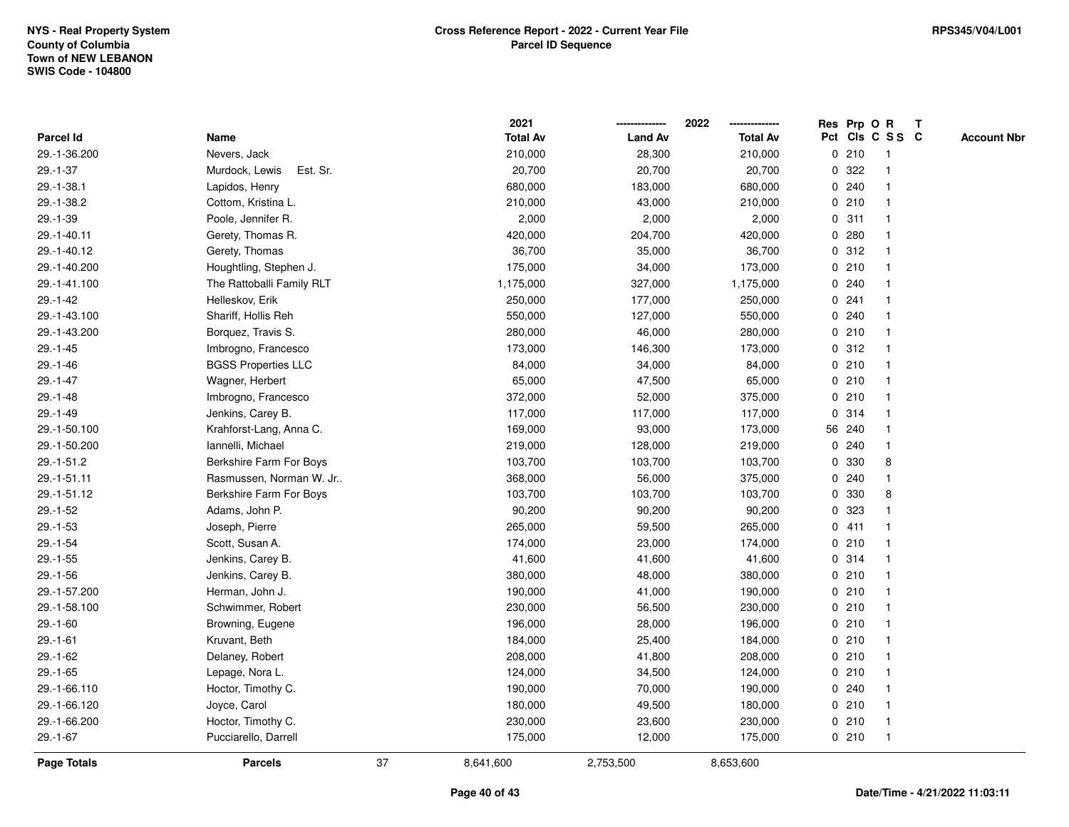|                |                            |    | 2021            |                | 2022            |   | Res Prp O R |                         | Т |                    |
|----------------|----------------------------|----|-----------------|----------------|-----------------|---|-------------|-------------------------|---|--------------------|
| Parcel Id      | Name                       |    | <b>Total Av</b> | <b>Land Av</b> | <b>Total Av</b> |   |             | Pct Cls C S S C         |   | <b>Account Nbr</b> |
| 29.-1-36.200   | Nevers, Jack               |    | 210,000         | 28,300         | 210,000         |   | 0210        | $\mathbf{1}$            |   |                    |
| $29.-1-37$     | Est. Sr.<br>Murdock, Lewis |    | 20,700          | 20,700         | 20,700          | 0 | 322         |                         |   |                    |
| 29.-1-38.1     | Lapidos, Henry             |    | 680,000         | 183,000        | 680,000         |   | 0.240       | $\mathbf 1$             |   |                    |
| 29.-1-38.2     | Cottom, Kristina L.        |    | 210,000         | 43,000         | 210,000         |   | 0210        |                         |   |                    |
| $29. - 1 - 39$ | Poole, Jennifer R.         |    | 2,000           | 2,000          | 2,000           |   | 0.311       |                         |   |                    |
| 29.-1-40.11    | Gerety, Thomas R.          |    | 420,000         | 204,700        | 420,000         |   | 0.280       |                         |   |                    |
| 29.-1-40.12    | Gerety, Thomas             |    | 36,700          | 35,000         | 36,700          |   | 0.312       |                         |   |                    |
| 29.-1-40.200   | Houghtling, Stephen J.     |    | 175,000         | 34,000         | 173,000         |   | 0210        |                         |   |                    |
| 29.-1-41.100   | The Rattoballi Family RLT  |    | 1,175,000       | 327,000        | 1,175,000       |   | 0.240       | -1                      |   |                    |
| $29.-1-42$     | Helleskov, Erik            |    | 250,000         | 177,000        | 250,000         |   | 0.241       | -1                      |   |                    |
| 29.-1-43.100   | Shariff, Hollis Reh        |    | 550,000         | 127,000        | 550,000         |   | 0.240       |                         |   |                    |
| 29.-1-43.200   | Borquez, Travis S.         |    | 280,000         | 46,000         | 280,000         |   | 0210        |                         |   |                    |
| $29.-1-45$     | Imbrogno, Francesco        |    | 173,000         | 146,300        | 173,000         |   | 0.312       |                         |   |                    |
| $29. - 1 - 46$ | <b>BGSS Properties LLC</b> |    | 84,000          | 34,000         | 84,000          |   | 0210        |                         |   |                    |
| $29. - 1 - 47$ | Wagner, Herbert            |    | 65,000          | 47,500         | 65,000          |   | 0210        |                         |   |                    |
| $29. - 1 - 48$ | Imbrogno, Francesco        |    | 372,000         | 52,000         | 375,000         |   | 0210        | -1                      |   |                    |
| $29. - 1 - 49$ | Jenkins, Carey B.          |    | 117,000         | 117,000        | 117,000         |   | 0.314       | $\overline{\mathbf{1}}$ |   |                    |
| 29.-1-50.100   | Krahforst-Lang, Anna C.    |    | 169,000         | 93,000         | 173,000         |   | 56 240      |                         |   |                    |
| 29.-1-50.200   | Iannelli, Michael          |    | 219,000         | 128,000        | 219,000         |   | 0.240       |                         |   |                    |
| 29.-1-51.2     | Berkshire Farm For Boys    |    | 103,700         | 103,700        | 103,700         |   | 0 330       | 8                       |   |                    |
| 29.-1-51.11    | Rasmussen, Norman W. Jr    |    | 368,000         | 56,000         | 375,000         |   | 0.240       |                         |   |                    |
| 29.-1-51.12    | Berkshire Farm For Boys    |    | 103,700         | 103,700        | 103,700         | 0 | 330         | 8                       |   |                    |
| $29. - 1 - 52$ | Adams, John P.             |    | 90,200          | 90,200         | 90,200          | 0 | 323         |                         |   |                    |
| $29.-1-53$     | Joseph, Pierre             |    | 265,000         | 59,500         | 265,000         |   | 0411        |                         |   |                    |
| $29.-1-54$     | Scott, Susan A.            |    | 174,000         | 23,000         | 174,000         |   | 0210        |                         |   |                    |
| $29.-1-55$     | Jenkins, Carey B.          |    | 41,600          | 41,600         | 41,600          |   | 0.314       |                         |   |                    |
| $29. - 1 - 56$ | Jenkins, Carey B.          |    | 380,000         | 48,000         | 380,000         |   | 0210        |                         |   |                    |
| 29.-1-57.200   | Herman, John J.            |    | 190,000         | 41,000         | 190,000         |   | 0210        |                         |   |                    |
| 29.-1-58.100   | Schwimmer, Robert          |    | 230,000         | 56,500         | 230,000         |   | 0210        |                         |   |                    |
| $29.-1-60$     | Browning, Eugene           |    | 196,000         | 28,000         | 196,000         |   | 0210        | -1                      |   |                    |
| $29. - 1 - 61$ | Kruvant, Beth              |    | 184,000         | 25,400         | 184,000         |   | 0210        | -1                      |   |                    |
| $29. - 1 - 62$ | Delaney, Robert            |    | 208,000         | 41,800         | 208,000         |   | 0210        | -1                      |   |                    |
| $29.-1-65$     | Lepage, Nora L.            |    | 124,000         | 34,500         | 124,000         |   | 0210        |                         |   |                    |
| 29.-1-66.110   | Hoctor, Timothy C.         |    | 190,000         | 70,000         | 190,000         |   | 0.240       |                         |   |                    |
| 29.-1-66.120   | Joyce, Carol               |    | 180,000         | 49,500         | 180,000         |   | 0210        |                         |   |                    |
| 29.-1-66.200   | Hoctor, Timothy C.         |    | 230,000         | 23,600         | 230,000         |   | 0210        | -1                      |   |                    |
| $29.-1-67$     | Pucciarello, Darrell       |    | 175,000         | 12,000         | 175,000         |   | 0210        | $\mathbf{1}$            |   |                    |
| Page Totals    | <b>Parcels</b>             | 37 | 8,641,600       | 2,753,500      | 8,653,600       |   |             |                         |   |                    |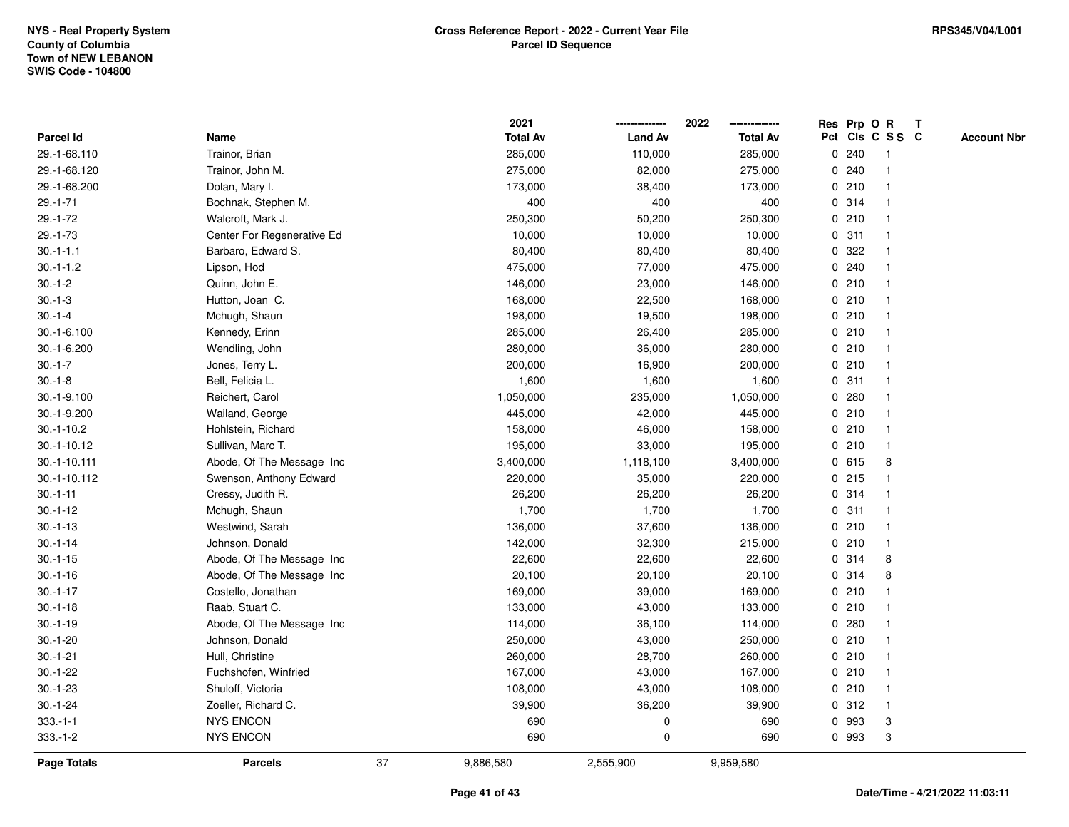|                |                            |    | 2021            |                | 2022<br>-------------- |   | Res Prp O R |                         | T |                    |
|----------------|----------------------------|----|-----------------|----------------|------------------------|---|-------------|-------------------------|---|--------------------|
| Parcel Id      | Name                       |    | <b>Total Av</b> | <b>Land Av</b> | <b>Total Av</b>        |   |             | Pct Cls C S S C         |   | <b>Account Nbr</b> |
| 29.-1-68.110   | Trainor, Brian             |    | 285,000         | 110,000        | 285,000                |   | 0.240       | -1                      |   |                    |
| 29.-1-68.120   | Trainor, John M.           |    | 275,000         | 82,000         | 275,000                | 0 | 240         | $\overline{\mathbf{1}}$ |   |                    |
| 29.-1-68.200   | Dolan, Mary I.             |    | 173,000         | 38,400         | 173,000                |   | 0210        | 1                       |   |                    |
| $29. - 1 - 71$ | Bochnak, Stephen M.        |    | 400             | 400            | 400                    |   | 0.314       |                         |   |                    |
| $29.-1-72$     | Walcroft, Mark J.          |    | 250,300         | 50,200         | 250,300                |   | 0210        |                         |   |                    |
| $29. - 1 - 73$ | Center For Regenerative Ed |    | 10,000          | 10,000         | 10,000                 |   | 0.311       |                         |   |                    |
| $30.-1-1.1$    | Barbaro, Edward S.         |    | 80,400          | 80,400         | 80,400                 |   | 0.322       |                         |   |                    |
| $30.-1-1.2$    | Lipson, Hod                |    | 475,000         | 77,000         | 475,000                |   | 0.240       | $\overline{\mathbf{1}}$ |   |                    |
| $30.-1-2$      | Quinn, John E.             |    | 146,000         | 23,000         | 146,000                |   | 0210        | -1                      |   |                    |
| $30.-1-3$      | Hutton, Joan C.            |    | 168,000         | 22,500         | 168,000                |   | 0210        | $\mathbf{1}$            |   |                    |
| $30.-1-4$      | Mchugh, Shaun              |    | 198,000         | 19,500         | 198,000                |   | 0210        |                         |   |                    |
| $30.-1-6.100$  | Kennedy, Erinn             |    | 285,000         | 26,400         | 285,000                |   | 0210        |                         |   |                    |
| 30.-1-6.200    | Wendling, John             |    | 280,000         | 36,000         | 280,000                |   | 0210        |                         |   |                    |
| $30.-1-7$      | Jones, Terry L.            |    | 200,000         | 16,900         | 200,000                |   | 0210        |                         |   |                    |
| $30.-1-8$      | Bell, Felicia L.           |    | 1,600           | 1,600          | 1,600                  |   | 0.311       | -1                      |   |                    |
| 30.-1-9.100    | Reichert, Carol            |    | 1,050,000       | 235,000        | 1,050,000              | 0 | 280         | -1                      |   |                    |
| 30.-1-9.200    | Wailand, George            |    | 445,000         | 42,000         | 445,000                |   | 0210        | $\overline{1}$          |   |                    |
| $30.-1-10.2$   | Hohlstein, Richard         |    | 158,000         | 46,000         | 158,000                |   | 0210        |                         |   |                    |
| $30.-1-10.12$  | Sullivan, Marc T.          |    | 195,000         | 33,000         | 195,000                |   | 0210        |                         |   |                    |
| 30.-1-10.111   | Abode, Of The Message Inc  |    | 3,400,000       | 1,118,100      | 3,400,000              |   | 0615        | 8                       |   |                    |
| 30.-1-10.112   | Swenson, Anthony Edward    |    | 220,000         | 35,000         | 220,000                |   | 0215        |                         |   |                    |
| $30.-1-11$     | Cressy, Judith R.          |    | 26,200          | 26,200         | 26,200                 |   | 0.314       |                         |   |                    |
| $30.-1-12$     | Mchugh, Shaun              |    | 1,700           | 1,700          | 1,700                  |   | 0.311       | $\overline{\mathbf{1}}$ |   |                    |
| $30.-1-13$     | Westwind, Sarah            |    | 136,000         | 37,600         | 136,000                |   | 0210        | -1                      |   |                    |
| $30.-1-14$     | Johnson, Donald            |    | 142,000         | 32,300         | 215,000                |   | 0210        | -1                      |   |                    |
| $30.-1-15$     | Abode, Of The Message Inc. |    | 22,600          | 22,600         | 22,600                 |   | 0.314       | 8                       |   |                    |
| $30.-1-16$     | Abode, Of The Message Inc. |    | 20,100          | 20,100         | 20,100                 |   | 0.314       | 8                       |   |                    |
| $30.-1-17$     | Costello, Jonathan         |    | 169,000         | 39,000         | 169,000                |   | 0210        |                         |   |                    |
| $30.-1-18$     | Raab, Stuart C.            |    | 133,000         | 43,000         | 133,000                |   | 0210        |                         |   |                    |
| $30.-1-19$     | Abode, Of The Message Inc. |    | 114,000         | 36,100         | 114,000                |   | 0.280       | -1                      |   |                    |
| $30.-1-20$     | Johnson, Donald            |    | 250,000         | 43,000         | 250,000                |   | 0210        | $\mathbf{1}$            |   |                    |
| $30.-1-21$     | Hull, Christine            |    | 260,000         | 28,700         | 260,000                |   | 0210        |                         |   |                    |
| $30.-1-22$     | Fuchshofen, Winfried       |    | 167,000         | 43,000         | 167,000                |   | 0210        |                         |   |                    |
| $30.-1-23$     | Shuloff, Victoria          |    | 108,000         | 43,000         | 108,000                |   | 0210        |                         |   |                    |
| $30.-1-24$     | Zoeller, Richard C.        |    | 39,900          | 36,200         | 39,900                 |   | 0.312       | $\overline{\mathbf{1}}$ |   |                    |
| $333.-1-1$     | <b>NYS ENCON</b>           |    | 690             | $\pmb{0}$      | 690                    |   | 0 993       | 3                       |   |                    |
| $333.-1-2$     | <b>NYS ENCON</b>           |    | 690             | 0              | 690                    |   | 0 993       | 3                       |   |                    |
| Page Totals    | <b>Parcels</b>             | 37 | 9,886,580       | 2,555,900      | 9,959,580              |   |             |                         |   |                    |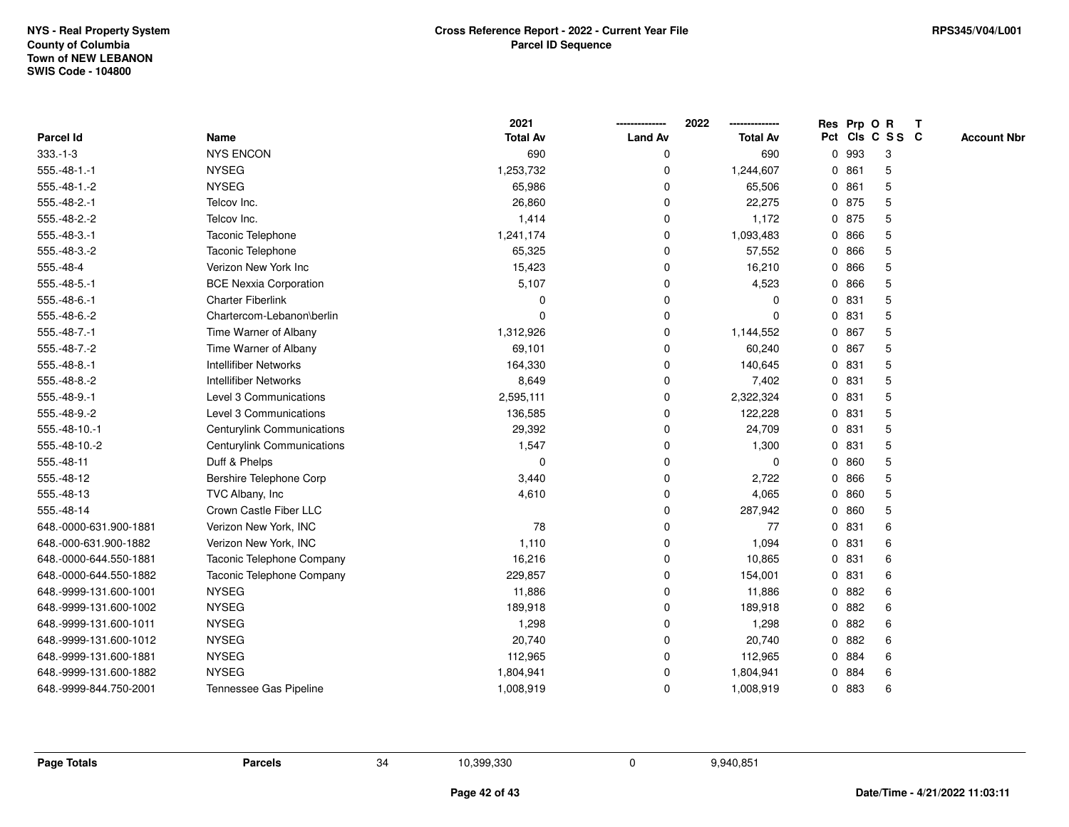| <b>Parcel Id</b>       | Name                          | 2021<br><b>Total Av</b> | <b>Land Av</b> | 2022<br><b>Total Av</b> |   |       | Res Prp O R<br>Pct Cls C S S C | $\mathbf{T}$ | <b>Account Nbr</b> |
|------------------------|-------------------------------|-------------------------|----------------|-------------------------|---|-------|--------------------------------|--------------|--------------------|
| $333.-1-3$             | <b>NYS ENCON</b>              | 690                     | 0              | 690                     | 0 | 993   | 3                              |              |                    |
| $555.-48-1.-1$         | <b>NYSEG</b>                  | 1,253,732               | 0              | 1,244,607               |   | 0861  | 5                              |              |                    |
| $555.-48-1.-2$         | <b>NYSEG</b>                  | 65,986                  | 0              | 65,506                  |   | 0861  | 5                              |              |                    |
| 555.-48-2.-1           | Telcov Inc.                   | 26,860                  | 0              | 22,275                  |   | 0 875 | 5                              |              |                    |
| 555.-48-2.-2           | Telcov Inc.                   | 1,414                   | 0              | 1,172                   |   | 0 875 | 5                              |              |                    |
| 555.-48-3.-1           | Taconic Telephone             | 1,241,174               | $\Omega$       | 1,093,483               |   | 0 866 | 5                              |              |                    |
| 555.-48-3.-2           | Taconic Telephone             | 65,325                  | $\Omega$       | 57,552                  |   | 0 866 | 5                              |              |                    |
| 555.-48-4              | Verizon New York Inc          | 15,423                  | 0              | 16,210                  |   | 0 866 | 5                              |              |                    |
| 555.-48-5.-1           | <b>BCE Nexxia Corporation</b> | 5,107                   | $\Omega$       | 4,523                   |   | 0 866 | 5                              |              |                    |
| 555.-48-6.-1           | <b>Charter Fiberlink</b>      | $\Omega$                | 0              | 0                       |   | 0 831 | 5                              |              |                    |
| 555.-48-6.-2           | Chartercom-Lebanon\berlin     | $\Omega$                | 0              | 0                       | 0 | 831   | 5                              |              |                    |
| 555.-48-7.-1           | Time Warner of Albany         | 1,312,926               | 0              | 1,144,552               |   | 0 867 | 5                              |              |                    |
| 555.-48-7.-2           | Time Warner of Albany         | 69,101                  | 0              | 60,240                  |   | 0 867 | 5                              |              |                    |
| 555.-48-8.-1           | <b>Intellifiber Networks</b>  | 164,330                 | 0              | 140,645                 | 0 | 831   | 5                              |              |                    |
| 555.-48-8.-2           | Intellifiber Networks         | 8,649                   | 0              | 7,402                   |   | 0 831 | 5                              |              |                    |
| 555.-48-9.-1           | Level 3 Communications        | 2,595,111               | 0              | 2,322,324               | 0 | 831   | 5                              |              |                    |
| 555.-48-9.-2           | Level 3 Communications        | 136,585                 | 0              | 122,228                 |   | 0 831 | 5                              |              |                    |
| 555.-48-10.-1          | Centurylink Communications    | 29,392                  | 0              | 24,709                  |   | 0 831 | 5                              |              |                    |
| 555.-48-10.-2          | Centurylink Communications    | 1,547                   | 0              | 1,300                   |   | 0 831 | 5                              |              |                    |
| 555.-48-11             | Duff & Phelps                 | $\mathbf 0$             | 0              | 0                       |   | 0860  | 5                              |              |                    |
| 555.-48-12             | Bershire Telephone Corp       | 3,440                   | 0              | 2,722                   |   | 0 866 | 5                              |              |                    |
| 555.-48-13             | TVC Albany, Inc               | 4,610                   | 0              | 4,065                   |   | 0 860 | 5                              |              |                    |
| 555.-48-14             | Crown Castle Fiber LLC        |                         | 0              | 287,942                 |   | 0 860 | 5                              |              |                    |
| 648.-0000-631.900-1881 | Verizon New York, INC         | 78                      | 0              | 77                      |   | 0 831 | 6                              |              |                    |
| 648.-000-631.900-1882  | Verizon New York, INC         | 1,110                   | 0              | 1,094                   |   | 0 831 | 6                              |              |                    |
| 648.-0000-644.550-1881 | Taconic Telephone Company     | 16,216                  | 0              | 10,865                  |   | 0 831 | 6                              |              |                    |
| 648.-0000-644.550-1882 | Taconic Telephone Company     | 229,857                 | 0              | 154,001                 |   | 0 831 | 6                              |              |                    |
| 648.-9999-131.600-1001 | <b>NYSEG</b>                  | 11,886                  | 0              | 11,886                  |   | 0882  | 6                              |              |                    |
| 648.-9999-131.600-1002 | <b>NYSEG</b>                  | 189,918                 | 0              | 189,918                 |   | 0882  | 6                              |              |                    |
| 648.-9999-131.600-1011 | <b>NYSEG</b>                  | 1,298                   | $\Omega$       | 1,298                   |   | 0 882 | 6                              |              |                    |
| 648.-9999-131.600-1012 | <b>NYSEG</b>                  | 20,740                  | $\Omega$       | 20,740                  |   | 0 882 | 6                              |              |                    |
| 648.-9999-131.600-1881 | <b>NYSEG</b>                  | 112,965                 | 0              | 112,965                 |   | 0 884 | 6                              |              |                    |
| 648.-9999-131.600-1882 | <b>NYSEG</b>                  | 1,804,941               | $\Omega$       | 1,804,941               |   | 0 884 | 6                              |              |                    |
| 648.-9999-844.750-2001 | Tennessee Gas Pipeline        | 1,008,919               | 0              | 1,008,919               |   | 0 883 | 6                              |              |                    |

**Page Totals Parcels**

**s** 34 10,399,330 0 9,940,851